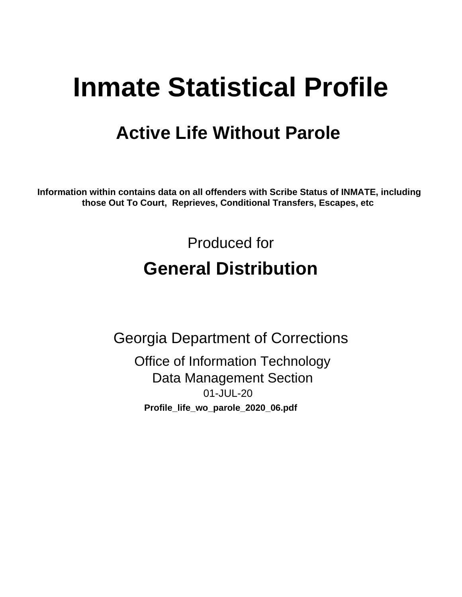# **Inmate Statistical Profile**

## **Active Life Without Parole**

Information within contains data on all offenders with Scribe Status of INMATE, including those Out To Court, Reprieves, Conditional Transfers, Escapes, etc

> Produced for **General Distribution**

**Georgia Department of Corrections Office of Information Technology Data Management Section** 01-JUL-20 Profile\_life\_wo\_parole\_2020\_06.pdf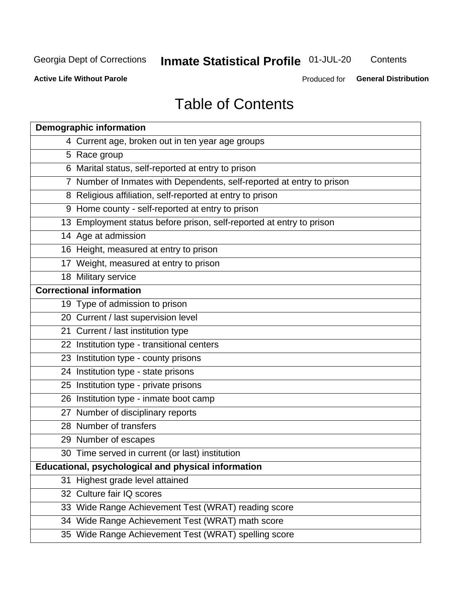## **Inmate Statistical Profile 01-JUL-20**

Contents

**Active Life Without Parole** 

**General Distribution** Produced for

## **Table of Contents**

|    | <b>Demographic information</b>                                        |
|----|-----------------------------------------------------------------------|
|    | 4 Current age, broken out in ten year age groups                      |
|    | 5 Race group                                                          |
|    | 6 Marital status, self-reported at entry to prison                    |
|    | 7 Number of Inmates with Dependents, self-reported at entry to prison |
|    | 8 Religious affiliation, self-reported at entry to prison             |
|    | 9 Home county - self-reported at entry to prison                      |
|    | 13 Employment status before prison, self-reported at entry to prison  |
|    | 14 Age at admission                                                   |
|    | 16 Height, measured at entry to prison                                |
|    | 17 Weight, measured at entry to prison                                |
|    | 18 Military service                                                   |
|    | <b>Correctional information</b>                                       |
|    | 19 Type of admission to prison                                        |
|    | 20 Current / last supervision level                                   |
|    | 21 Current / last institution type                                    |
|    | 22 Institution type - transitional centers                            |
|    | 23 Institution type - county prisons                                  |
|    | 24 Institution type - state prisons                                   |
|    | 25 Institution type - private prisons                                 |
|    | 26 Institution type - inmate boot camp                                |
|    | 27 Number of disciplinary reports                                     |
|    | 28 Number of transfers                                                |
|    | 29 Number of escapes                                                  |
|    | 30 Time served in current (or last) institution                       |
|    | Educational, psychological and physical information                   |
| 31 | Highest grade level attained                                          |
|    | 32 Culture fair IQ scores                                             |
|    | 33 Wide Range Achievement Test (WRAT) reading score                   |
|    | 34 Wide Range Achievement Test (WRAT) math score                      |
|    | 35 Wide Range Achievement Test (WRAT) spelling score                  |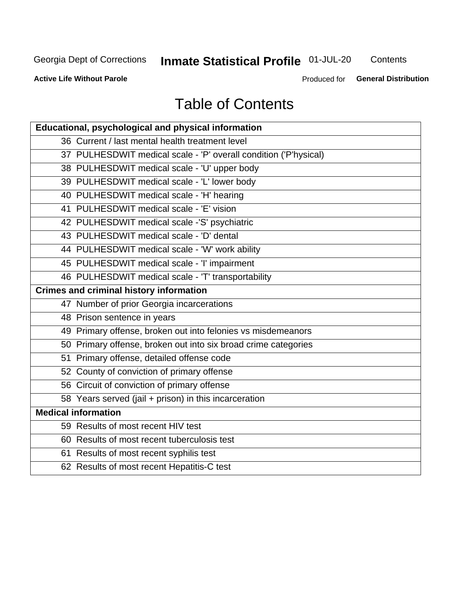## **Inmate Statistical Profile 01-JUL-20**

Contents

**Active Life Without Parole** 

**General Distribution** Produced for

## **Table of Contents**

| Educational, psychological and physical information              |
|------------------------------------------------------------------|
| 36 Current / last mental health treatment level                  |
| 37 PULHESDWIT medical scale - 'P' overall condition ('P'hysical) |
| 38 PULHESDWIT medical scale - 'U' upper body                     |
| 39 PULHESDWIT medical scale - 'L' lower body                     |
| 40 PULHESDWIT medical scale - 'H' hearing                        |
| 41 PULHESDWIT medical scale - 'E' vision                         |
| 42 PULHESDWIT medical scale -'S' psychiatric                     |
| 43 PULHESDWIT medical scale - 'D' dental                         |
| 44 PULHESDWIT medical scale - 'W' work ability                   |
| 45 PULHESDWIT medical scale - 'I' impairment                     |
| 46 PULHESDWIT medical scale - 'T' transportability               |
| <b>Crimes and criminal history information</b>                   |
| 47 Number of prior Georgia incarcerations                        |
| 48 Prison sentence in years                                      |
| 49 Primary offense, broken out into felonies vs misdemeanors     |
| 50 Primary offense, broken out into six broad crime categories   |
| 51 Primary offense, detailed offense code                        |
| 52 County of conviction of primary offense                       |
| 56 Circuit of conviction of primary offense                      |
| 58 Years served (jail + prison) in this incarceration            |
| <b>Medical information</b>                                       |
| 59 Results of most recent HIV test                               |
| 60 Results of most recent tuberculosis test                      |
| 61 Results of most recent syphilis test                          |
| 62 Results of most recent Hepatitis-C test                       |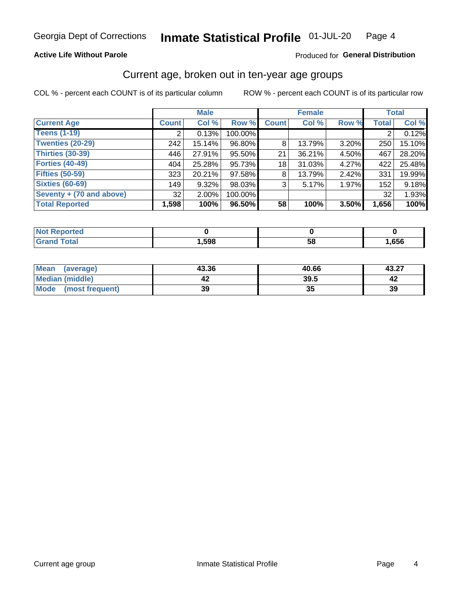### **Active Life Without Parole**

### Produced for General Distribution

## Current age, broken out in ten-year age groups

COL % - percent each COUNT is of its particular column

|                          | <b>Male</b>  |          |         | <b>Female</b> |        |       | <b>Total</b> |        |
|--------------------------|--------------|----------|---------|---------------|--------|-------|--------------|--------|
| <b>Current Age</b>       | <b>Count</b> | Col %    | Row %   | <b>Count</b>  | Col %  | Row % | <b>Total</b> | Col %  |
| <b>Teens (1-19)</b>      | ⌒            | 0.13%    | 100.00% |               |        |       | 2            | 0.12%  |
| <b>Twenties (20-29)</b>  | 242          | 15.14%   | 96.80%  | 8             | 13.79% | 3.20% | 250          | 15.10% |
| Thirties (30-39)         | 446          | 27.91%   | 95.50%  | 21            | 36.21% | 4.50% | 467          | 28.20% |
| <b>Forties (40-49)</b>   | 404          | 25.28%   | 95.73%  | 18            | 31.03% | 4.27% | 422          | 25.48% |
| <b>Fifties (50-59)</b>   | 323          | 20.21%   | 97.58%  | 8             | 13.79% | 2.42% | 331          | 19.99% |
| <b>Sixties (60-69)</b>   | 149          | 9.32%    | 98.03%  | 3             | 5.17%  | 1.97% | 152          | 9.18%  |
| Seventy + (70 and above) | 32           | $2.00\%$ | 100.00% |               |        |       | 32           | 1.93%  |
| <b>Total Reported</b>    | 1,598        | 100%     | 96.50%  | 58            | 100%   | 3.50% | 1,656        | 100%   |

| <b>Not Reported</b>  |      |    |      |
|----------------------|------|----|------|
| <b>Total</b><br>Cror | 598, | 58 | ,656 |

| <b>Mean</b><br>(average) | 43.36 | 40.66 | 43.27 |
|--------------------------|-------|-------|-------|
| Median (middle)          |       | 39.5  |       |
| Mode<br>(most frequent)  | 39    | JJ    | 39    |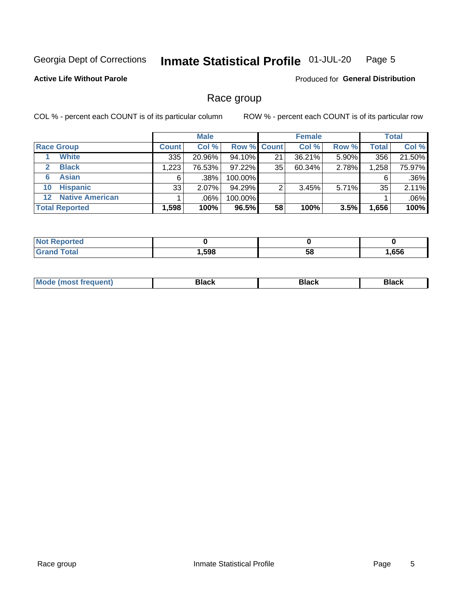#### Inmate Statistical Profile 01-JUL-20 Page 5

### **Active Life Without Parole**

Produced for General Distribution

### Race group

COL % - percent each COUNT is of its particular column

|                       |                        |              | <b>Male</b> |         |                    | <b>Female</b> |       |              | <b>Total</b> |  |
|-----------------------|------------------------|--------------|-------------|---------|--------------------|---------------|-------|--------------|--------------|--|
| <b>Race Group</b>     |                        | <b>Count</b> | Col %       |         | <b>Row % Count</b> | Col %         | Row % | <b>Total</b> | Col %        |  |
|                       | <b>White</b>           | 335          | 20.96%      | 94.10%  | 21                 | 36.21%        | 5.90% | 356          | 21.50%       |  |
| $\mathbf{2}$          | <b>Black</b>           | 1,223        | 76.53%      | 97.22%  | 35                 | 60.34%        | 2.78% | 1,258        | 75.97%       |  |
| 6                     | <b>Asian</b>           | 6            | .38%        | 100.00% |                    |               |       | 6            | .36%         |  |
| 10                    | <b>Hispanic</b>        | 33           | 2.07%       | 94.29%  | ◠                  | 3.45%         | 5.71% | 35           | 2.11%        |  |
| $12 \,$               | <b>Native American</b> |              | .06%        | 100.00% |                    |               |       |              | .06%         |  |
| <b>Total Reported</b> |                        | 1,598        | 100%        | 96.5%   | 58                 | 100%          | 3.5%  | 1,656        | 100%         |  |

| <b>rted</b>       |      |    |      |
|-------------------|------|----|------|
| $F \sim 4 \sim 7$ | ,598 | 58 | ,656 |

| M |  |  |
|---|--|--|
|   |  |  |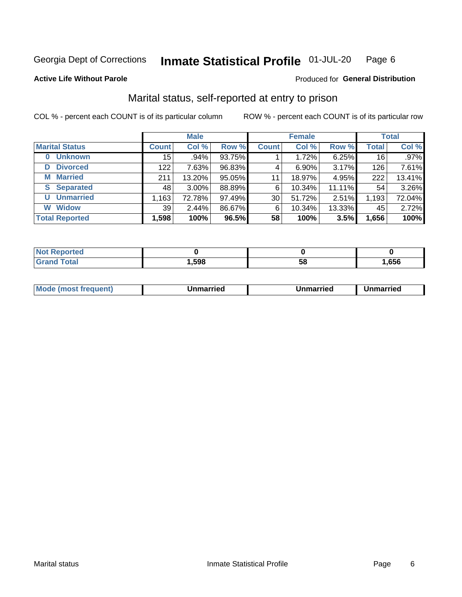#### Inmate Statistical Profile 01-JUL-20 Page 6

Produced for General Distribution

### **Active Life Without Parole**

## Marital status, self-reported at entry to prison

COL % - percent each COUNT is of its particular column

|                        | <b>Male</b>  |          |        | <b>Female</b>   |        |        | <b>Total</b>    |         |
|------------------------|--------------|----------|--------|-----------------|--------|--------|-----------------|---------|
| <b>Marital Status</b>  | <b>Count</b> | Col %    | Row %  | <b>Count</b>    | Col %  | Row %  | <b>Total</b>    | Col %   |
| <b>Unknown</b><br>0    | 15           | .94%     | 93.75% |                 | 1.72%  | 6.25%  | 16 <sub>1</sub> | $.97\%$ |
| <b>Divorced</b><br>D   | 122          | 7.63%    | 96.83% | 4               | 6.90%  | 3.17%  | 126             | 7.61%   |
| <b>Married</b><br>М    | 211          | 13.20%   | 95.05% | 11              | 18.97% | 4.95%  | 222             | 13.41%  |
| <b>Separated</b><br>S. | 48           | $3.00\%$ | 88.89% | 6               | 10.34% | 11.11% | 54              | 3.26%   |
| <b>Unmarried</b><br>U  | 1,163        | 72.78%   | 97.49% | 30 <sup>1</sup> | 51.72% | 2.51%  | 1,193           | 72.04%  |
| <b>Widow</b><br>W      | 39           | 2.44%    | 86.67% | 6               | 10.34% | 13.33% | 45              | 2.72%   |
| <b>Total Reported</b>  | 1,598        | 100%     | 96.5%  | 58              | 100%   | 3.5%   | 1,656           | 100%    |

| prted<br>NOT I |      |    |      |
|----------------|------|----|------|
| <b>Total</b>   | ,598 | ວດ | .656 |

|  | M | . | Unmarried | າmarried<br>_____ |
|--|---|---|-----------|-------------------|
|--|---|---|-----------|-------------------|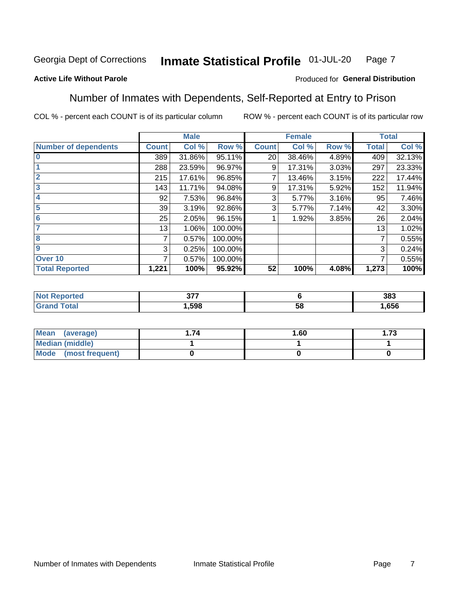#### Inmate Statistical Profile 01-JUL-20 Page 7

### **Active Life Without Parole**

### Produced for General Distribution

### Number of Inmates with Dependents, Self-Reported at Entry to Prison

COL % - percent each COUNT is of its particular column

|                             |                 | <b>Male</b> |         |              | <b>Female</b> |       |              | <b>Total</b> |
|-----------------------------|-----------------|-------------|---------|--------------|---------------|-------|--------------|--------------|
| <b>Number of dependents</b> | <b>Count</b>    | Col %       | Row %   | <b>Count</b> | Col %         | Row % | <b>Total</b> | Col %        |
| $\bf{0}$                    | 389             | 31.86%      | 95.11%  | 20           | 38.46%        | 4.89% | 409          | 32.13%       |
|                             | 288             | 23.59%      | 96.97%  | 9            | 17.31%        | 3.03% | 297          | 23.33%       |
| $\overline{2}$              | 215             | 17.61%      | 96.85%  |              | 13.46%        | 3.15% | 222          | 17.44%       |
| 3                           | 143             | 11.71%      | 94.08%  | 9            | 17.31%        | 5.92% | 152          | 11.94%       |
| 4                           | 92              | 7.53%       | 96.84%  | 3            | 5.77%         | 3.16% | 95           | 7.46%        |
| 5                           | 39 <sub>1</sub> | 3.19%       | 92.86%  | 3            | 5.77%         | 7.14% | 42           | 3.30%        |
| 6                           | 25              | 2.05%       | 96.15%  |              | 1.92%         | 3.85% | 26           | 2.04%        |
| 7                           | 13              | 1.06%       | 100.00% |              |               |       | 13           | 1.02%        |
| 8                           | 7               | 0.57%       | 100.00% |              |               |       | 7            | 0.55%        |
| $\boldsymbol{9}$            | 3               | 0.25%       | 100.00% |              |               |       | 3            | 0.24%        |
| Over <sub>10</sub>          | 7               | 0.57%       | 100.00% |              |               |       | 7            | 0.55%        |
| <b>Total Reported</b>       | 1,221           | 100%        | 95.92%  | 52           | 100%          | 4.08% | 1,273        | 100%         |

| $\sim$ $\sim$ $\sim$<br>$\sim$ |          | 383  |
|--------------------------------|----------|------|
| .598                           | EС<br>ວເ | .656 |

| <b>Mean</b><br>(average) | 1.60 | - 72<br>I. I J |
|--------------------------|------|----------------|
| Median (middle)          |      |                |
| Mode<br>(most frequent)  |      |                |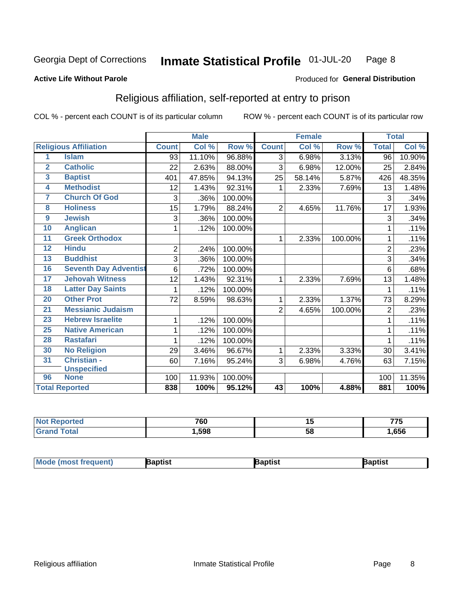#### Inmate Statistical Profile 01-JUL-20 Page 8

#### **Active Life Without Parole**

#### Produced for General Distribution

## Religious affiliation, self-reported at entry to prison

COL % - percent each COUNT is of its particular column

|                         |                              |                | <b>Male</b> |         |                | <b>Female</b> |         |                | <b>Total</b> |
|-------------------------|------------------------------|----------------|-------------|---------|----------------|---------------|---------|----------------|--------------|
|                         | <b>Religious Affiliation</b> | <b>Count</b>   | Col %       | Row %   | <b>Count</b>   | Col %         | Row %   | <b>Total</b>   | Col %        |
| 1                       | <b>Islam</b>                 | 93             | 11.10%      | 96.88%  | $\overline{3}$ | 6.98%         | 3.13%   | 96             | 10.90%       |
| $\overline{2}$          | <b>Catholic</b>              | 22             | 2.63%       | 88.00%  | 3              | 6.98%         | 12.00%  | 25             | 2.84%        |
| $\overline{\mathbf{3}}$ | <b>Baptist</b>               | 401            | 47.85%      | 94.13%  | 25             | 58.14%        | 5.87%   | 426            | 48.35%       |
| $\overline{\mathbf{4}}$ | <b>Methodist</b>             | 12             | 1.43%       | 92.31%  | 1              | 2.33%         | 7.69%   | 13             | 1.48%        |
| 7                       | <b>Church Of God</b>         | 3              | .36%        | 100.00% |                |               |         | 3              | .34%         |
| 8                       | <b>Holiness</b>              | 15             | 1.79%       | 88.24%  | $\overline{2}$ | 4.65%         | 11.76%  | 17             | 1.93%        |
| $\overline{9}$          | <b>Jewish</b>                | 3              | .36%        | 100.00% |                |               |         | 3              | .34%         |
| 10                      | <b>Anglican</b>              | 1              | .12%        | 100.00% |                |               |         |                | .11%         |
| 11                      | <b>Greek Orthodox</b>        |                |             |         | 1              | 2.33%         | 100.00% |                | .11%         |
| 12                      | <b>Hindu</b>                 | $\overline{2}$ | .24%        | 100.00% |                |               |         | $\overline{2}$ | .23%         |
| 13                      | <b>Buddhist</b>              | 3              | .36%        | 100.00% |                |               |         | 3              | .34%         |
| 16                      | <b>Seventh Day Adventist</b> | 6              | .72%        | 100.00% |                |               |         | 6              | .68%         |
| 17                      | <b>Jehovah Witness</b>       | 12             | 1.43%       | 92.31%  | 1              | 2.33%         | 7.69%   | 13             | 1.48%        |
| 18                      | <b>Latter Day Saints</b>     | 1              | .12%        | 100.00% |                |               |         |                | .11%         |
| 20                      | <b>Other Prot</b>            | 72             | 8.59%       | 98.63%  | 1              | 2.33%         | 1.37%   | 73             | 8.29%        |
| $\overline{21}$         | <b>Messianic Judaism</b>     |                |             |         | $\overline{2}$ | 4.65%         | 100.00% | $\overline{2}$ | .23%         |
| 23                      | <b>Hebrew Israelite</b>      | 1              | .12%        | 100.00% |                |               |         |                | .11%         |
| 25                      | <b>Native American</b>       | 1              | .12%        | 100.00% |                |               |         |                | .11%         |
| 28                      | <b>Rastafari</b>             | 1              | .12%        | 100.00% |                |               |         |                | .11%         |
| 30                      | <b>No Religion</b>           | 29             | 3.46%       | 96.67%  | 1              | 2.33%         | 3.33%   | 30             | 3.41%        |
| 31                      | Christian -                  | 60             | 7.16%       | 95.24%  | 3              | 6.98%         | 4.76%   | 63             | 7.15%        |
|                         | <b>Unspecified</b>           |                |             |         |                |               |         |                |              |
| 96                      | <b>None</b>                  | 100            | 11.93%      | 100.00% |                |               |         | 100            | 11.35%       |
|                         | <b>Total Reported</b>        | 838            | 100%        | 95.12%  | 43             | 100%          | 4.88%   | 881            | 100%         |

| ιθυ | 700<br>טס י | ''      | ---<br>ູ |
|-----|-------------|---------|----------|
|     | .598        | 58<br>◡ | 656      |

| Mode (most frequent)<br>3aptist<br>3aptist<br>ˈaɒtist |
|-------------------------------------------------------|
|-------------------------------------------------------|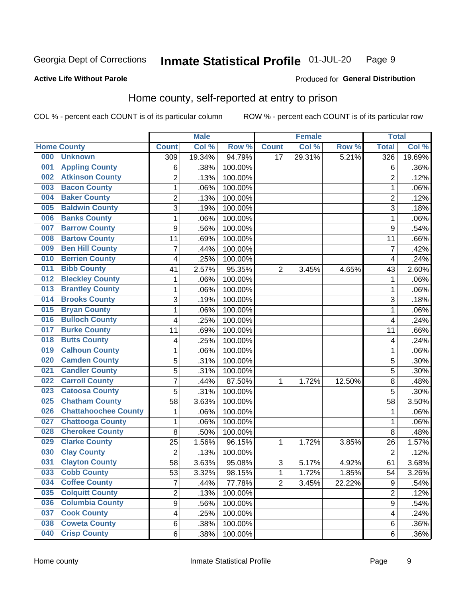#### Inmate Statistical Profile 01-JUL-20 Page 9

### **Active Life Without Parole**

### Produced for General Distribution

## Home county, self-reported at entry to prison

COL % - percent each COUNT is of its particular column

|     |                             |                  | <b>Male</b> |         |                | <b>Female</b> |        | <b>Total</b>   |        |
|-----|-----------------------------|------------------|-------------|---------|----------------|---------------|--------|----------------|--------|
|     | <b>Home County</b>          | <b>Count</b>     | Col %       | Row %   | <b>Count</b>   | Col %         | Row %  | <b>Total</b>   | Col %  |
| 000 | <b>Unknown</b>              | 309              | 19.34%      | 94.79%  | 17             | 29.31%        | 5.21%  | 326            | 19.69% |
| 001 | <b>Appling County</b>       | 6                | .38%        | 100.00% |                |               |        | 6              | .36%   |
| 002 | <b>Atkinson County</b>      | $\overline{2}$   | .13%        | 100.00% |                |               |        | $\overline{2}$ | .12%   |
| 003 | <b>Bacon County</b>         | $\mathbf 1$      | .06%        | 100.00% |                |               |        | 1              | .06%   |
| 004 | <b>Baker County</b>         | $\overline{2}$   | .13%        | 100.00% |                |               |        | $\overline{2}$ | .12%   |
| 005 | <b>Baldwin County</b>       | 3                | .19%        | 100.00% |                |               |        | 3              | .18%   |
| 006 | <b>Banks County</b>         | $\mathbf 1$      | .06%        | 100.00% |                |               |        | 1              | .06%   |
| 007 | <b>Barrow County</b>        | $\boldsymbol{9}$ | .56%        | 100.00% |                |               |        | 9              | .54%   |
| 008 | <b>Bartow County</b>        | 11               | .69%        | 100.00% |                |               |        | 11             | .66%   |
| 009 | <b>Ben Hill County</b>      | $\overline{7}$   | .44%        | 100.00% |                |               |        | $\overline{7}$ | .42%   |
| 010 | <b>Berrien County</b>       | 4                | .25%        | 100.00% |                |               |        | 4              | .24%   |
| 011 | <b>Bibb County</b>          | 41               | 2.57%       | 95.35%  | $\overline{2}$ | 3.45%         | 4.65%  | 43             | 2.60%  |
| 012 | <b>Bleckley County</b>      | 1                | .06%        | 100.00% |                |               |        | 1              | .06%   |
| 013 | <b>Brantley County</b>      | $\mathbf 1$      | .06%        | 100.00% |                |               |        | 1              | .06%   |
| 014 | <b>Brooks County</b>        | 3                | .19%        | 100.00% |                |               |        | 3              | .18%   |
| 015 | <b>Bryan County</b>         | 1                | .06%        | 100.00% |                |               |        | 1              | .06%   |
| 016 | <b>Bulloch County</b>       | 4                | .25%        | 100.00% |                |               |        | 4              | .24%   |
| 017 | <b>Burke County</b>         | 11               | .69%        | 100.00% |                |               |        | 11             | .66%   |
| 018 | <b>Butts County</b>         | 4                | .25%        | 100.00% |                |               |        | 4              | .24%   |
| 019 | <b>Calhoun County</b>       | $\mathbf 1$      | .06%        | 100.00% |                |               |        | 1              | .06%   |
| 020 | <b>Camden County</b>        | 5                | .31%        | 100.00% |                |               |        | 5              | .30%   |
| 021 | <b>Candler County</b>       | 5                | .31%        | 100.00% |                |               |        | 5              | .30%   |
| 022 | <b>Carroll County</b>       | $\overline{7}$   | .44%        | 87.50%  | 1              | 1.72%         | 12.50% | 8              | .48%   |
| 023 | <b>Catoosa County</b>       | 5                | .31%        | 100.00% |                |               |        | 5              | .30%   |
| 025 | <b>Chatham County</b>       | 58               | 3.63%       | 100.00% |                |               |        | 58             | 3.50%  |
| 026 | <b>Chattahoochee County</b> | 1                | .06%        | 100.00% |                |               |        | 1              | .06%   |
| 027 | <b>Chattooga County</b>     | $\mathbf 1$      | .06%        | 100.00% |                |               |        | 1              | .06%   |
| 028 | <b>Cherokee County</b>      | 8                | .50%        | 100.00% |                |               |        | 8              | .48%   |
| 029 | <b>Clarke County</b>        | 25               | 1.56%       | 96.15%  | 1              | 1.72%         | 3.85%  | 26             | 1.57%  |
| 030 | <b>Clay County</b>          | $\overline{2}$   | .13%        | 100.00% |                |               |        | $\overline{2}$ | .12%   |
| 031 | <b>Clayton County</b>       | 58               | 3.63%       | 95.08%  | 3              | 5.17%         | 4.92%  | 61             | 3.68%  |
| 033 | <b>Cobb County</b>          | 53               | 3.32%       | 98.15%  | 1              | 1.72%         | 1.85%  | 54             | 3.26%  |
| 034 | <b>Coffee County</b>        | $\overline{7}$   | .44%        | 77.78%  | $\overline{2}$ | 3.45%         | 22.22% | 9              | .54%   |
| 035 | <b>Colquitt County</b>      | $\overline{2}$   | .13%        | 100.00% |                |               |        | $\overline{2}$ | .12%   |
| 036 | <b>Columbia County</b>      | $\overline{9}$   | .56%        | 100.00% |                |               |        | 9              | .54%   |
| 037 | <b>Cook County</b>          | 4                | .25%        | 100.00% |                |               |        | 4              | .24%   |
| 038 | <b>Coweta County</b>        | 6                | .38%        | 100.00% |                |               |        | 6              | .36%   |
| 040 | <b>Crisp County</b>         | 6                | .38%        | 100.00% |                |               |        | 6              | .36%   |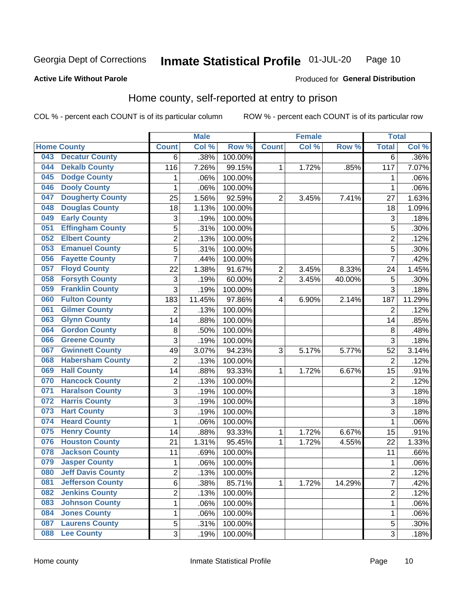#### Inmate Statistical Profile 01-JUL-20 Page 10

### **Active Life Without Parole**

### Produced for General Distribution

## Home county, self-reported at entry to prison

COL % - percent each COUNT is of its particular column

|     |                          |                | <b>Male</b> |                  |                | <b>Female</b> |        | <b>Total</b>    |        |
|-----|--------------------------|----------------|-------------|------------------|----------------|---------------|--------|-----------------|--------|
|     | <b>Home County</b>       | <b>Count</b>   | Col %       | Row <sup>%</sup> | <b>Count</b>   | Col %         | Row %  | <b>Total</b>    | Col %  |
| 043 | <b>Decatur County</b>    | 6              | .38%        | 100.00%          |                |               |        | 6               | .36%   |
| 044 | <b>Dekalb County</b>     | 116            | 7.26%       | 99.15%           | 1              | 1.72%         | .85%   | 117             | 7.07%  |
| 045 | <b>Dodge County</b>      | 1              | .06%        | 100.00%          |                |               |        | 1               | .06%   |
| 046 | <b>Dooly County</b>      | 1              | .06%        | 100.00%          |                |               |        | 1               | .06%   |
| 047 | <b>Dougherty County</b>  | 25             | 1.56%       | 92.59%           | $\overline{2}$ | 3.45%         | 7.41%  | 27              | 1.63%  |
| 048 | <b>Douglas County</b>    | 18             | 1.13%       | 100.00%          |                |               |        | 18              | 1.09%  |
| 049 | <b>Early County</b>      | 3              | .19%        | 100.00%          |                |               |        | 3               | .18%   |
| 051 | <b>Effingham County</b>  | 5              | .31%        | 100.00%          |                |               |        | 5               | .30%   |
| 052 | <b>Elbert County</b>     | $\overline{2}$ | .13%        | 100.00%          |                |               |        | $\overline{2}$  | .12%   |
| 053 | <b>Emanuel County</b>    | 5              | .31%        | 100.00%          |                |               |        | 5               | .30%   |
| 056 | <b>Fayette County</b>    | $\overline{7}$ | .44%        | 100.00%          |                |               |        | $\overline{7}$  | .42%   |
| 057 | <b>Floyd County</b>      | 22             | 1.38%       | 91.67%           | $\overline{2}$ | 3.45%         | 8.33%  | 24              | 1.45%  |
| 058 | <b>Forsyth County</b>    | 3              | .19%        | 60.00%           | $\overline{2}$ | 3.45%         | 40.00% | 5               | .30%   |
| 059 | <b>Franklin County</b>   | 3              | .19%        | 100.00%          |                |               |        | 3               | .18%   |
| 060 | <b>Fulton County</b>     | 183            | 11.45%      | 97.86%           | 4              | 6.90%         | 2.14%  | 187             | 11.29% |
| 061 | <b>Gilmer County</b>     | $\overline{2}$ | .13%        | 100.00%          |                |               |        | $\overline{2}$  | .12%   |
| 063 | <b>Glynn County</b>      | 14             | .88%        | 100.00%          |                |               |        | 14              | .85%   |
| 064 | <b>Gordon County</b>     | 8              | .50%        | 100.00%          |                |               |        | 8               | .48%   |
| 066 | <b>Greene County</b>     | 3              | .19%        | 100.00%          |                |               |        | 3               | .18%   |
| 067 | <b>Gwinnett County</b>   | 49             | 3.07%       | 94.23%           | 3              | 5.17%         | 5.77%  | 52              | 3.14%  |
| 068 | <b>Habersham County</b>  | $\overline{2}$ | .13%        | 100.00%          |                |               |        | $\overline{2}$  | .12%   |
| 069 | <b>Hall County</b>       | 14             | .88%        | 93.33%           | 1              | 1.72%         | 6.67%  | $\overline{15}$ | .91%   |
| 070 | <b>Hancock County</b>    | $\mathbf 2$    | .13%        | 100.00%          |                |               |        | $\overline{2}$  | .12%   |
| 071 | <b>Haralson County</b>   | 3              | .19%        | 100.00%          |                |               |        | $\overline{3}$  | .18%   |
| 072 | <b>Harris County</b>     | 3              | .19%        | 100.00%          |                |               |        | 3               | .18%   |
| 073 | <b>Hart County</b>       | 3              | .19%        | 100.00%          |                |               |        | $\overline{3}$  | .18%   |
| 074 | <b>Heard County</b>      | $\mathbf{1}$   | .06%        | 100.00%          |                |               |        | 1               | .06%   |
| 075 | <b>Henry County</b>      | 14             | .88%        | 93.33%           | 1              | 1.72%         | 6.67%  | 15              | .91%   |
| 076 | <b>Houston County</b>    | 21             | 1.31%       | 95.45%           | 1              | 1.72%         | 4.55%  | 22              | 1.33%  |
| 078 | <b>Jackson County</b>    | 11             | .69%        | 100.00%          |                |               |        | 11              | .66%   |
| 079 | <b>Jasper County</b>     | 1              | .06%        | 100.00%          |                |               |        | 1               | .06%   |
| 080 | <b>Jeff Davis County</b> | 2              | .13%        | 100.00%          |                |               |        | $\overline{2}$  | .12%   |
| 081 | <b>Jefferson County</b>  | 6              | .38%        | 85.71%           | 1              | 1.72%         | 14.29% | $\overline{7}$  | .42%   |
| 082 | <b>Jenkins County</b>    | $\overline{2}$ | .13%        | 100.00%          |                |               |        | $\overline{2}$  | .12%   |
| 083 | <b>Johnson County</b>    | $\mathbf{1}$   | .06%        | 100.00%          |                |               |        | 1               | .06%   |
| 084 | <b>Jones County</b>      | 1              | .06%        | 100.00%          |                |               |        | 1               | .06%   |
| 087 | <b>Laurens County</b>    | 5              | .31%        | 100.00%          |                |               |        | 5               | .30%   |
| 088 | <b>Lee County</b>        | 3              | .19%        | 100.00%          |                |               |        | 3               | .18%   |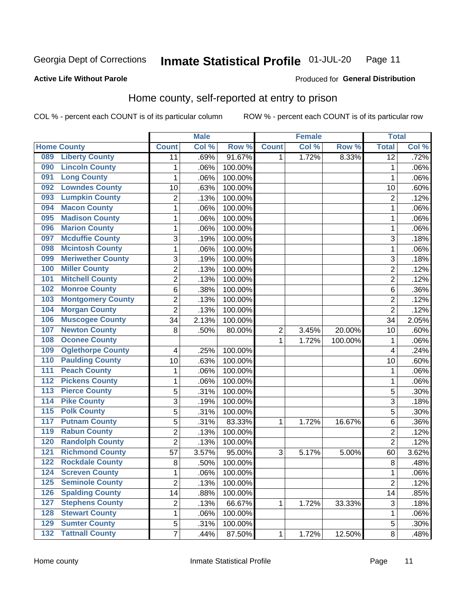#### **Inmate Statistical Profile 01-JUL-20** Page 11

#### **Active Life Without Parole**

## Produced for General Distribution

## Home county, self-reported at entry to prison

COL % - percent each COUNT is of its particular column

|                  |                          |                         | <b>Male</b> |         |              | <b>Female</b> |         | <b>Total</b>    |         |
|------------------|--------------------------|-------------------------|-------------|---------|--------------|---------------|---------|-----------------|---------|
|                  | <b>Home County</b>       | <b>Count</b>            | Col %       | Row %   | <b>Count</b> | Col %         | Row %   | <b>Total</b>    | Col %   |
| 089              | <b>Liberty County</b>    | 11                      | .69%        | 91.67%  | 1            | 1.72%         | 8.33%   | $\overline{12}$ | .72%    |
| 090              | <b>Lincoln County</b>    | $\mathbf{1}$            | .06%        | 100.00% |              |               |         | 1               | .06%    |
| 091              | <b>Long County</b>       | $\mathbf 1$             | .06%        | 100.00% |              |               |         | 1               | .06%    |
| 092              | <b>Lowndes County</b>    | 10                      | .63%        | 100.00% |              |               |         | 10              | .60%    |
| 093              | <b>Lumpkin County</b>    | $\overline{c}$          | .13%        | 100.00% |              |               |         | $\overline{2}$  | .12%    |
| 094              | <b>Macon County</b>      | $\mathbf 1$             | .06%        | 100.00% |              |               |         | 1               | .06%    |
| 095              | <b>Madison County</b>    | $\mathbf 1$             | .06%        | 100.00% |              |               |         | 1               | .06%    |
| 096              | <b>Marion County</b>     | $\mathbf{1}$            | .06%        | 100.00% |              |               |         | 1               | .06%    |
| 097              | <b>Mcduffie County</b>   | 3                       | .19%        | 100.00% |              |               |         | 3               | .18%    |
| 098              | <b>Mcintosh County</b>   | $\mathbf 1$             | .06%        | 100.00% |              |               |         | 1               | .06%    |
| 099              | <b>Meriwether County</b> | 3                       | .19%        | 100.00% |              |               |         | 3               | .18%    |
| 100              | <b>Miller County</b>     | $\overline{c}$          | .13%        | 100.00% |              |               |         | $\overline{2}$  | .12%    |
| 101              | <b>Mitchell County</b>   | $\overline{c}$          | .13%        | 100.00% |              |               |         | $\overline{2}$  | .12%    |
| 102              | <b>Monroe County</b>     | 6                       | .38%        | 100.00% |              |               |         | 6               | .36%    |
| 103              | <b>Montgomery County</b> | $\overline{2}$          | .13%        | 100.00% |              |               |         | $\overline{2}$  | .12%    |
| 104              | <b>Morgan County</b>     | $\overline{2}$          | .13%        | 100.00% |              |               |         | $\overline{2}$  | .12%    |
| 106              | <b>Muscogee County</b>   | 34                      | 2.13%       | 100.00% |              |               |         | 34              | 2.05%   |
| 107              | <b>Newton County</b>     | 8                       | .50%        | 80.00%  | 2            | 3.45%         | 20.00%  | 10              | .60%    |
| 108              | <b>Oconee County</b>     |                         |             |         | 1            | 1.72%         | 100.00% | $\mathbf 1$     | .06%    |
| 109              | <b>Oglethorpe County</b> | 4                       | .25%        | 100.00% |              |               |         | $\overline{4}$  | .24%    |
| 110              | <b>Paulding County</b>   | 10                      | .63%        | 100.00% |              |               |         | 10              | .60%    |
| $\overline{111}$ | <b>Peach County</b>      | $\mathbf 1$             | .06%        | 100.00% |              |               |         | 1               | .06%    |
| $\overline{112}$ | <b>Pickens County</b>    | $\mathbf 1$             | .06%        | 100.00% |              |               |         | 1               | .06%    |
| 113              | <b>Pierce County</b>     | 5                       | .31%        | 100.00% |              |               |         | 5               | .30%    |
| 114              | <b>Pike County</b>       | 3                       | .19%        | 100.00% |              |               |         | 3               | .18%    |
| $\overline{115}$ | <b>Polk County</b>       | 5                       | .31%        | 100.00% |              |               |         | 5               | .30%    |
| 117              | <b>Putnam County</b>     | $\overline{5}$          | .31%        | 83.33%  | 1            | 1.72%         | 16.67%  | 6               | .36%    |
| 119              | <b>Rabun County</b>      | $\overline{c}$          | .13%        | 100.00% |              |               |         | $\overline{2}$  | .12%    |
| 120              | <b>Randolph County</b>   | $\overline{2}$          | .13%        | 100.00% |              |               |         | $\overline{2}$  | .12%    |
| 121              | <b>Richmond County</b>   | 57                      | 3.57%       | 95.00%  | 3            | 5.17%         | 5.00%   | 60              | 3.62%   |
| 122              | <b>Rockdale County</b>   | 8                       | .50%        | 100.00% |              |               |         | 8               | .48%    |
| 124              | <b>Screven County</b>    | 1                       | .06%        | 100.00% |              |               |         | 1               | $.06\%$ |
| 125              | <b>Seminole County</b>   | $\overline{2}$          | .13%        | 100.00% |              |               |         | $\overline{2}$  | .12%    |
| 126              | <b>Spalding County</b>   | 14                      | .88%        | 100.00% |              |               |         | 14              | .85%    |
| 127              | <b>Stephens County</b>   | $\overline{\mathbf{c}}$ | .13%        | 66.67%  | 1            | 1.72%         | 33.33%  | $\mathsf 3$     | .18%    |
| 128              | <b>Stewart County</b>    | 1                       | .06%        | 100.00% |              |               |         | 1               | .06%    |
| 129              | <b>Sumter County</b>     | 5                       | .31%        | 100.00% |              |               |         | 5               | .30%    |
| $\overline{132}$ | <b>Tattnall County</b>   | $\overline{7}$          | .44%        | 87.50%  | 1            | 1.72%         | 12.50%  | $\bf 8$         | .48%    |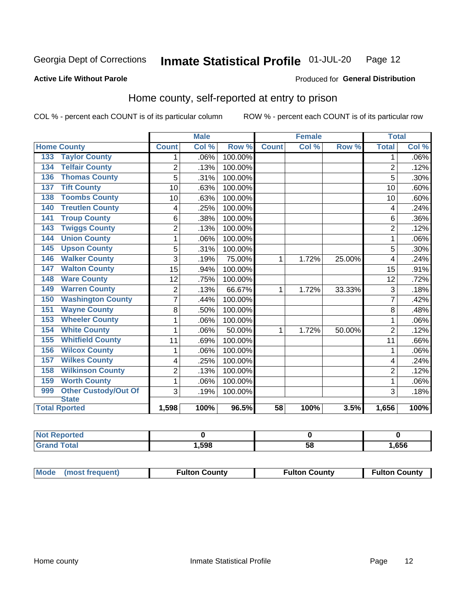#### Inmate Statistical Profile 01-JUL-20 Page 12

### **Active Life Without Parole**

## Produced for General Distribution

## Home county, self-reported at entry to prison

COL % - percent each COUNT is of its particular column

|     |                             |                | <b>Male</b><br><b>Female</b> |         |              |       | <b>Total</b> |                |         |
|-----|-----------------------------|----------------|------------------------------|---------|--------------|-------|--------------|----------------|---------|
|     | <b>Home County</b>          | <b>Count</b>   | Col %                        | Row %   | <b>Count</b> | Col % | Row %        | <b>Total</b>   | Col %   |
| 133 | <b>Taylor County</b>        | 1              | .06%                         | 100.00% |              |       |              | 1              | $.06\%$ |
| 134 | <b>Telfair County</b>       | $\overline{2}$ | .13%                         | 100.00% |              |       |              | $\overline{2}$ | .12%    |
| 136 | <b>Thomas County</b>        | 5              | .31%                         | 100.00% |              |       |              | 5              | .30%    |
| 137 | <b>Tift County</b>          | 10             | .63%                         | 100.00% |              |       |              | 10             | .60%    |
| 138 | <b>Toombs County</b>        | 10             | .63%                         | 100.00% |              |       |              | 10             | .60%    |
| 140 | <b>Treutlen County</b>      | 4              | .25%                         | 100.00% |              |       |              | 4              | .24%    |
| 141 | <b>Troup County</b>         | 6              | .38%                         | 100.00% |              |       |              | 6              | .36%    |
| 143 | <b>Twiggs County</b>        | 2              | .13%                         | 100.00% |              |       |              | $\overline{2}$ | .12%    |
| 144 | <b>Union County</b>         | 1              | .06%                         | 100.00% |              |       |              | 1              | .06%    |
| 145 | <b>Upson County</b>         | 5              | .31%                         | 100.00% |              |       |              | 5              | .30%    |
| 146 | <b>Walker County</b>        | 3              | .19%                         | 75.00%  | 1            | 1.72% | 25.00%       | 4              | .24%    |
| 147 | <b>Walton County</b>        | 15             | .94%                         | 100.00% |              |       |              | 15             | .91%    |
| 148 | <b>Ware County</b>          | 12             | .75%                         | 100.00% |              |       |              | 12             | .72%    |
| 149 | <b>Warren County</b>        | 2              | .13%                         | 66.67%  | 1            | 1.72% | 33.33%       | 3              | .18%    |
| 150 | <b>Washington County</b>    | $\overline{7}$ | .44%                         | 100.00% |              |       |              | 7              | .42%    |
| 151 | <b>Wayne County</b>         | 8              | .50%                         | 100.00% |              |       |              | 8              | .48%    |
| 153 | <b>Wheeler County</b>       | 1              | .06%                         | 100.00% |              |       |              | 1              | .06%    |
| 154 | <b>White County</b>         | 1              | .06%                         | 50.00%  | 1            | 1.72% | 50.00%       | $\overline{2}$ | .12%    |
| 155 | <b>Whitfield County</b>     | 11             | .69%                         | 100.00% |              |       |              | 11             | .66%    |
| 156 | <b>Wilcox County</b>        | 1              | .06%                         | 100.00% |              |       |              | 1              | .06%    |
| 157 | <b>Wilkes County</b>        | 4              | .25%                         | 100.00% |              |       |              | 4              | .24%    |
| 158 | <b>Wilkinson County</b>     | $\overline{2}$ | .13%                         | 100.00% |              |       |              | $\overline{2}$ | .12%    |
| 159 | <b>Worth County</b>         | $\mathbf{1}$   | .06%                         | 100.00% |              |       |              | 1              | .06%    |
| 999 | <b>Other Custody/Out Of</b> | 3              | .19%                         | 100.00% |              |       |              | 3              | .18%    |
|     | <b>State</b>                |                |                              |         |              |       |              |                |         |
|     | <b>Total Rported</b>        | 1,598          | 100%                         | 96.5%   | 58           | 100%  | 3.5%         | 1,656          | 100%    |

| Reported     |       |    |      |
|--------------|-------|----|------|
| <b>Total</b> | 1,598 | วด | ,656 |

| Mode (most frequent) | <b>Fulton County</b> | <b>Fulton County</b> | <b>Fulton County</b> |
|----------------------|----------------------|----------------------|----------------------|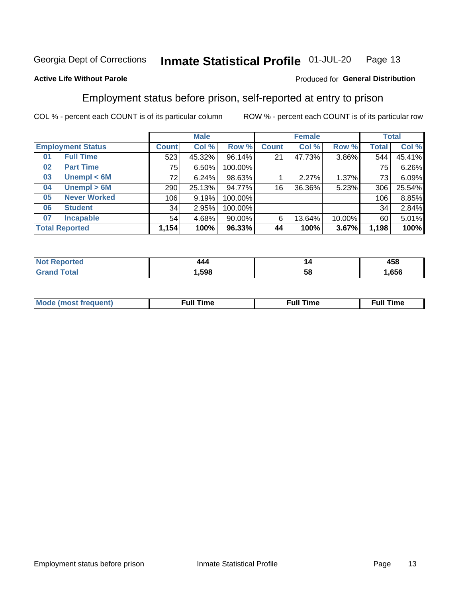#### Inmate Statistical Profile 01-JUL-20 Page 13

### **Active Life Without Parole**

### Produced for General Distribution

## Employment status before prison, self-reported at entry to prison

COL % - percent each COUNT is of its particular column

|                           |              | <b>Male</b> |           |              | <b>Female</b> |        |       | <b>Total</b> |
|---------------------------|--------------|-------------|-----------|--------------|---------------|--------|-------|--------------|
| <b>Employment Status</b>  | <b>Count</b> | Col %       | Row %     | <b>Count</b> | Col %         | Row %  | Total | Col %        |
| <b>Full Time</b><br>01    | 523          | 45.32%      | 96.14%    | 21           | 47.73%        | 3.86%  | 544   | 45.41%       |
| <b>Part Time</b><br>02    | 75           | 6.50%       | 100.00%   |              |               |        | 75    | 6.26%        |
| Unempl $<$ 6M<br>03       | 72           | 6.24%       | 98.63%    |              | 2.27%         | 1.37%  | 73    | 6.09%        |
| Unempl > 6M<br>04         | 290          | 25.13%      | 94.77%    | 16           | 36.36%        | 5.23%  | 306   | 25.54%       |
| <b>Never Worked</b><br>05 | 106          | 9.19%       | 100.00%   |              |               |        | 106   | 8.85%        |
| <b>Student</b><br>06      | 34           | 2.95%       | 100.00%   |              |               |        | 34    | 2.84%        |
| <b>Incapable</b><br>07    | 54           | 4.68%       | $90.00\%$ | 6            | 13.64%        | 10.00% | 60    | 5.01%        |
| <b>Total Reported</b>     | 1,154        | 100%        | 96.33%    | 44           | 100%          | 3.67%  | 1,198 | 100%         |

| . | 44 A | ◢  | 100 |
|---|------|----|-----|
|   |      |    | 430 |
|   | .598 | 58 | 656 |

| Mc | ----<br>me<br>ш | nc<br>. |
|----|-----------------|---------|
|    |                 |         |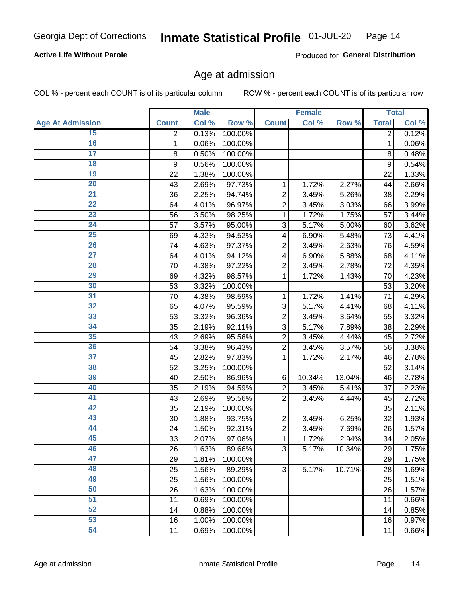### **Active Life Without Parole**

Produced for General Distribution

### Age at admission

COL % - percent each COUNT is of its particular column

|                         |              | <b>Male</b> |         |                | <b>Female</b> |        |                | <b>Total</b> |
|-------------------------|--------------|-------------|---------|----------------|---------------|--------|----------------|--------------|
| <b>Age At Admission</b> | <b>Count</b> | Col %       | Row %   | <b>Count</b>   | Col %         | Row %  | <b>Total</b>   | Col %        |
| 15                      | 2            | 0.13%       | 100.00% |                |               |        | $\overline{2}$ | 0.12%        |
| 16                      | $\mathbf 1$  | 0.06%       | 100.00% |                |               |        | $\mathbf{1}$   | 0.06%        |
| $\overline{17}$         | 8            | 0.50%       | 100.00% |                |               |        | 8              | 0.48%        |
| 18                      | 9            | 0.56%       | 100.00% |                |               |        | 9              | 0.54%        |
| 19                      | 22           | 1.38%       | 100.00% |                |               |        | 22             | 1.33%        |
| $\overline{20}$         | 43           | 2.69%       | 97.73%  | 1              | 1.72%         | 2.27%  | 44             | 2.66%        |
| 21                      | 36           | 2.25%       | 94.74%  | $\overline{c}$ | 3.45%         | 5.26%  | 38             | 2.29%        |
| $\overline{22}$         | 64           | 4.01%       | 96.97%  | $\overline{2}$ | 3.45%         | 3.03%  | 66             | 3.99%        |
| $\overline{23}$         | 56           | 3.50%       | 98.25%  | 1              | 1.72%         | 1.75%  | 57             | 3.44%        |
| $\overline{24}$         | 57           | 3.57%       | 95.00%  | 3              | 5.17%         | 5.00%  | 60             | 3.62%        |
| $\overline{25}$         | 69           | 4.32%       | 94.52%  | 4              | 6.90%         | 5.48%  | 73             | 4.41%        |
| 26                      | 74           | 4.63%       | 97.37%  | $\overline{2}$ | 3.45%         | 2.63%  | 76             | 4.59%        |
| $\overline{27}$         | 64           | 4.01%       | 94.12%  | 4              | 6.90%         | 5.88%  | 68             | 4.11%        |
| 28                      | 70           | 4.38%       | 97.22%  | $\overline{2}$ | 3.45%         | 2.78%  | 72             | 4.35%        |
| 29                      | 69           | 4.32%       | 98.57%  | 1              | 1.72%         | 1.43%  | 70             | 4.23%        |
| 30                      | 53           | 3.32%       | 100.00% |                |               |        | 53             | 3.20%        |
| 31                      | 70           | 4.38%       | 98.59%  | 1              | 1.72%         | 1.41%  | 71             | 4.29%        |
| $\overline{32}$         | 65           | 4.07%       | 95.59%  | 3              | 5.17%         | 4.41%  | 68             | 4.11%        |
| 33                      | 53           | 3.32%       | 96.36%  | $\overline{c}$ | 3.45%         | 3.64%  | 55             | 3.32%        |
| $\overline{34}$         | 35           | 2.19%       | 92.11%  | 3              | 5.17%         | 7.89%  | 38             | 2.29%        |
| 35                      | 43           | 2.69%       | 95.56%  | $\overline{c}$ | 3.45%         | 4.44%  | 45             | 2.72%        |
| 36                      | 54           | 3.38%       | 96.43%  | $\overline{2}$ | 3.45%         | 3.57%  | 56             | 3.38%        |
| $\overline{37}$         | 45           | 2.82%       | 97.83%  | 1              | 1.72%         | 2.17%  | 46             | 2.78%        |
| 38                      | 52           | 3.25%       | 100.00% |                |               |        | 52             | 3.14%        |
| 39                      | 40           | 2.50%       | 86.96%  | $\,6$          | 10.34%        | 13.04% | 46             | 2.78%        |
| 40                      | 35           | 2.19%       | 94.59%  | 2              | 3.45%         | 5.41%  | 37             | 2.23%        |
| 41                      | 43           | 2.69%       | 95.56%  | $\overline{2}$ | 3.45%         | 4.44%  | 45             | 2.72%        |
| 42                      | 35           | 2.19%       | 100.00% |                |               |        | 35             | 2.11%        |
| 43                      | 30           | 1.88%       | 93.75%  | $\overline{c}$ | 3.45%         | 6.25%  | 32             | 1.93%        |
| 44                      | 24           | 1.50%       | 92.31%  | $\overline{c}$ | 3.45%         | 7.69%  | 26             | 1.57%        |
| 45                      | 33           | 2.07%       | 97.06%  | $\mathbf{1}$   | 1.72%         | 2.94%  | 34             | 2.05%        |
| 46                      | 26           | 1.63%       | 89.66%  | 3              | 5.17%         | 10.34% | 29             | 1.75%        |
| 47                      | 29           | 1.81%       | 100.00% |                |               |        | 29             | 1.75%        |
| 48                      | 25           | 1.56%       | 89.29%  | 3              | 5.17%         | 10.71% | 28             | 1.69%        |
| 49                      | 25           | 1.56%       | 100.00% |                |               |        | 25             | 1.51%        |
| 50                      | 26           | 1.63%       | 100.00% |                |               |        | 26             | 1.57%        |
| $\overline{51}$         | 11           | 0.69%       | 100.00% |                |               |        | 11             | 0.66%        |
| $\overline{52}$         | 14           | 0.88%       | 100.00% |                |               |        | 14             | 0.85%        |
| 53                      | 16           | 1.00%       | 100.00% |                |               |        | 16             | 0.97%        |
| 54                      | 11           | 0.69%       | 100.00% |                |               |        | 11             | 0.66%        |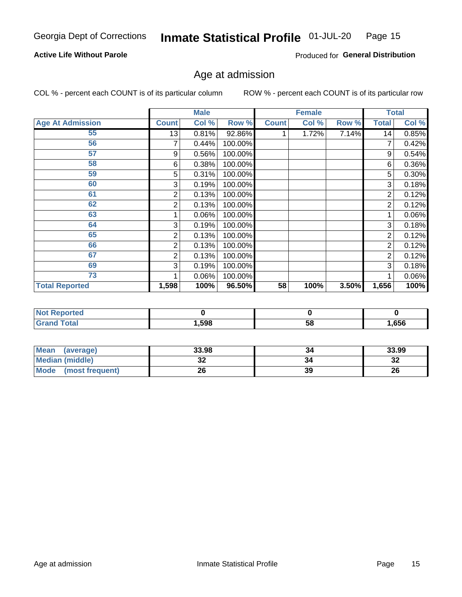### **Active Life Without Parole**

Produced for General Distribution

## Age at admission

COL % - percent each COUNT is of its particular column

|                         |              | <b>Male</b> |         |              | <b>Female</b> |       |                | <b>Total</b> |
|-------------------------|--------------|-------------|---------|--------------|---------------|-------|----------------|--------------|
| <b>Age At Admission</b> | <b>Count</b> | Col %       | Row %   | <b>Count</b> | Col %         | Row % | <b>Total</b>   | Col %        |
| 55                      | 13           | 0.81%       | 92.86%  |              | 1.72%         | 7.14% | 14             | 0.85%        |
| 56                      |              | 0.44%       | 100.00% |              |               |       |                | 0.42%        |
| 57                      | 9            | 0.56%       | 100.00% |              |               |       | 9              | 0.54%        |
| 58                      | 6            | 0.38%       | 100.00% |              |               |       | 6              | 0.36%        |
| 59                      | 5            | 0.31%       | 100.00% |              |               |       | 5              | $0.30\%$     |
| 60                      | 3            | 0.19%       | 100.00% |              |               |       | 3              | 0.18%        |
| 61                      | 2            | 0.13%       | 100.00% |              |               |       | 2              | 0.12%        |
| 62                      | 2            | 0.13%       | 100.00% |              |               |       | 2              | 0.12%        |
| 63                      |              | 0.06%       | 100.00% |              |               |       |                | 0.06%        |
| 64                      | 3            | 0.19%       | 100.00% |              |               |       | 3              | 0.18%        |
| 65                      | 2            | 0.13%       | 100.00% |              |               |       | 2              | 0.12%        |
| 66                      | 2            | 0.13%       | 100.00% |              |               |       | $\overline{2}$ | 0.12%        |
| 67                      | 2            | 0.13%       | 100.00% |              |               |       | 2              | 0.12%        |
| 69                      | 3            | 0.19%       | 100.00% |              |               |       | 3              | 0.18%        |
| 73                      |              | 0.06%       | 100.00% |              |               |       |                | 0.06%        |
| <b>Total Reported</b>   | 1,598        | 100%        | 96.50%  | 58           | 100%          | 3.50% | 1,656          | 100%         |

| <b>Not Reported</b> |      |    |      |
|---------------------|------|----|------|
| <b>Total</b>        | ,598 | ວເ | ,656 |

| Mean<br>(average)              | 33.98 | 34 | 33.99   |
|--------------------------------|-------|----|---------|
| <b>Median (middle)</b>         | JZ    |    | …<br>34 |
| <b>Mode</b><br>(most frequent) | 26    | 39 | 26      |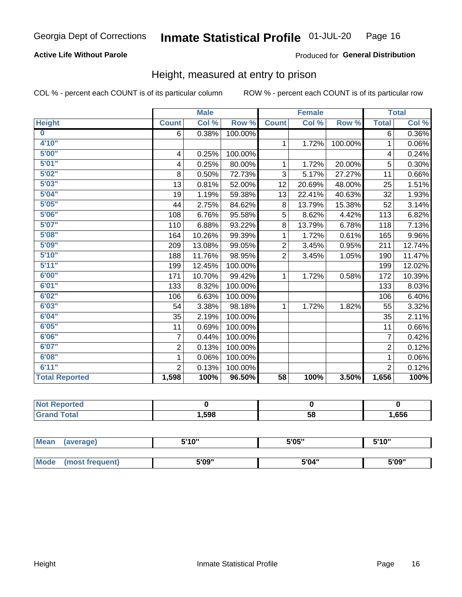### **Active Life Without Parole**

### Produced for General Distribution

### Height, measured at entry to prison

COL % - percent each COUNT is of its particular column

|                       |                | <b>Male</b> |         |                | <b>Female</b> |         |                | <b>Total</b> |
|-----------------------|----------------|-------------|---------|----------------|---------------|---------|----------------|--------------|
| <b>Height</b>         | <b>Count</b>   | Col %       | Row %   | <b>Count</b>   | Col %         | Row %   | <b>Total</b>   | Col %        |
| $\bf{0}$              | $\overline{6}$ | 0.38%       | 100.00% |                |               |         | 6              | 0.36%        |
| 4'10''                |                |             |         | $\mathbf{1}$   | 1.72%         | 100.00% | 1              | 0.06%        |
| 5'00''                | 4              | 0.25%       | 100.00% |                |               |         | 4              | 0.24%        |
| 5'01"                 | 4              | 0.25%       | 80.00%  | 1              | 1.72%         | 20.00%  | 5              | 0.30%        |
| 5'02"                 | 8              | 0.50%       | 72.73%  | 3              | 5.17%         | 27.27%  | 11             | 0.66%        |
| 5'03''                | 13             | 0.81%       | 52.00%  | 12             | 20.69%        | 48.00%  | 25             | 1.51%        |
| 5'04"                 | 19             | 1.19%       | 59.38%  | 13             | 22.41%        | 40.63%  | 32             | 1.93%        |
| 5'05"                 | 44             | 2.75%       | 84.62%  | 8              | 13.79%        | 15.38%  | 52             | 3.14%        |
| 5'06''                | 108            | 6.76%       | 95.58%  | 5              | 8.62%         | 4.42%   | 113            | 6.82%        |
| 5'07''                | 110            | 6.88%       | 93.22%  | 8              | 13.79%        | 6.78%   | 118            | 7.13%        |
| 5'08''                | 164            | 10.26%      | 99.39%  | 1              | 1.72%         | 0.61%   | 165            | 9.96%        |
| 5'09''                | 209            | 13.08%      | 99.05%  | $\overline{2}$ | 3.45%         | 0.95%   | 211            | 12.74%       |
| 5'10''                | 188            | 11.76%      | 98.95%  | $\overline{2}$ | 3.45%         | 1.05%   | 190            | 11.47%       |
| 5'11"                 | 199            | 12.45%      | 100.00% |                |               |         | 199            | 12.02%       |
| 6'00''                | 171            | 10.70%      | 99.42%  | $\mathbf{1}$   | 1.72%         | 0.58%   | 172            | 10.39%       |
| 6'01''                | 133            | 8.32%       | 100.00% |                |               |         | 133            | 8.03%        |
| 6'02"                 | 106            | 6.63%       | 100.00% |                |               |         | 106            | 6.40%        |
| 6'03''                | 54             | 3.38%       | 98.18%  | $\mathbf{1}$   | 1.72%         | 1.82%   | 55             | 3.32%        |
| 6'04"                 | 35             | 2.19%       | 100.00% |                |               |         | 35             | 2.11%        |
| 6'05"                 | 11             | 0.69%       | 100.00% |                |               |         | 11             | 0.66%        |
| 6'06''                | $\overline{7}$ | 0.44%       | 100.00% |                |               |         | $\overline{7}$ | 0.42%        |
| 6'07''                | $\overline{2}$ | 0.13%       | 100.00% |                |               |         | $\overline{2}$ | 0.12%        |
| 6'08''                | 1              | 0.06%       | 100.00% |                |               |         | 1              | $0.06\%$     |
| 6'11''                | $\overline{2}$ | 0.13%       | 100.00% |                |               |         | $\overline{2}$ | 0.12%        |
| <b>Total Reported</b> | 1,598          | 100%        | 96.50%  | 58             | 100%          | 3.50%   | 1,656          | 100%         |

| eported<br><b>NO</b> |       |    |      |
|----------------------|-------|----|------|
| $\sim$               | 598،، | 58 | ,656 |

| <b>Mean</b> | (average)      | 5'10" | 5'05" | 5'10"<br>ັ |
|-------------|----------------|-------|-------|------------|
|             |                |       |       |            |
| <b>Mode</b> | most frequent) | 5'09" | 5'04" | 5'09"      |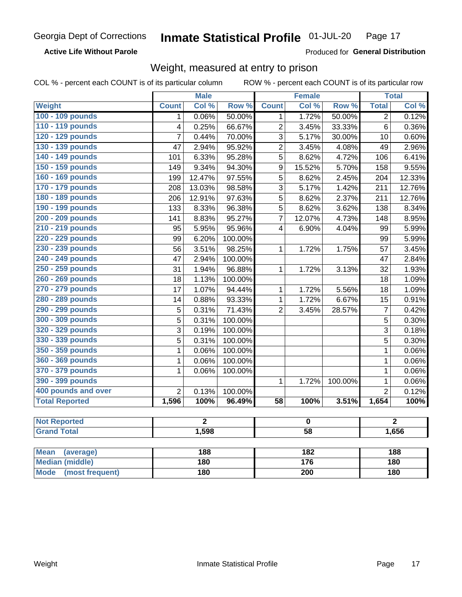**Active Life Without Parole** 

Produced for General Distribution

## Weight, measured at entry to prison

COL % - percent each COUNT is of its particular column

ROW % - percent each COUNT is of its particular row

|                          |                | <b>Male</b>    |            |                         | <b>Female</b>    |         |                | <b>Total</b>   |
|--------------------------|----------------|----------------|------------|-------------------------|------------------|---------|----------------|----------------|
| <b>Weight</b>            | <b>Count</b>   | Col %          | Row %      | <b>Count</b>            | Col %            | Row %   | <b>Total</b>   | Col %          |
| 100 - 109 pounds         | 1              | 0.06%          | 50.00%     | 1                       | 1.72%            | 50.00%  | $\overline{2}$ | 0.12%          |
| 110 - 119 pounds         | 4              | 0.25%          | 66.67%     | $\overline{2}$          | 3.45%            | 33.33%  | 6              | 0.36%          |
| 120 - 129 pounds         | 7              | 0.44%          | 70.00%     | 3                       | 5.17%            | 30.00%  | 10             | 0.60%          |
| 130 - 139 pounds         | 47             | 2.94%          | 95.92%     | $\overline{2}$          | 3.45%            | 4.08%   | 49             | 2.96%          |
| 140 - 149 pounds         | 101            | 6.33%          | 95.28%     | 5                       | 8.62%            | 4.72%   | 106            | 6.41%          |
| 150 - 159 pounds         | 149            | 9.34%          | 94.30%     | 9                       | 15.52%           | 5.70%   | 158            | 9.55%          |
| 160 - 169 pounds         | 199            | 12.47%         | 97.55%     | 5                       | 8.62%            | 2.45%   | 204            | 12.33%         |
| 170 - 179 pounds         | 208            | 13.03%         | 98.58%     | 3                       | 5.17%            | 1.42%   | 211            | 12.76%         |
| 180 - 189 pounds         | 206            | 12.91%         | 97.63%     | 5                       | 8.62%            | 2.37%   | 211            | 12.76%         |
| 190 - 199 pounds         | 133            | 8.33%          | 96.38%     | 5                       | 8.62%            | 3.62%   | 138            | 8.34%          |
| 200 - 209 pounds         | 141            | 8.83%          | 95.27%     | $\overline{7}$          | 12.07%           | 4.73%   | 148            | 8.95%          |
| 210 - 219 pounds         | 95             | 5.95%          | 95.96%     | $\overline{\mathbf{4}}$ | 6.90%            | 4.04%   | 99             | 5.99%          |
| 220 - 229 pounds         | 99             | 6.20%          | 100.00%    |                         |                  |         | 99             | 5.99%          |
| 230 - 239 pounds         | 56             | 3.51%          | 98.25%     | 1                       | 1.72%            | 1.75%   | 57             | 3.45%          |
| 240 - 249 pounds         | 47             | 2.94%          | 100.00%    |                         |                  |         | 47             | 2.84%          |
| 250 - 259 pounds         | 31             | 1.94%          | 96.88%     | 1                       | 1.72%            | 3.13%   | 32             | 1.93%          |
| 260 - 269 pounds         | 18             | 1.13%          | 100.00%    |                         |                  |         | 18             | 1.09%          |
| 270 - 279 pounds         | 17             | 1.07%          | 94.44%     | 1                       | 1.72%            | 5.56%   | 18             | 1.09%          |
| 280 - 289 pounds         | 14             | 0.88%          | 93.33%     | $\mathbf{1}$            | 1.72%            | 6.67%   | 15             | 0.91%          |
| 290 - 299 pounds         | $\overline{5}$ | 0.31%          | 71.43%     | $\overline{2}$          | 3.45%            | 28.57%  | $\overline{7}$ | 0.42%          |
| 300 - 309 pounds         | $\overline{5}$ | 0.31%          | 100.00%    |                         |                  |         | $\overline{5}$ | 0.30%          |
| 320 - 329 pounds         | $\overline{3}$ | 0.19%          | 100.00%    |                         |                  |         | $\overline{3}$ | 0.18%          |
| 330 - 339 pounds         | 5              | 0.31%          | 100.00%    |                         |                  |         | 5              | 0.30%          |
| 350 - 359 pounds         | 1              | 0.06%          | 100.00%    |                         |                  |         | $\mathbf 1$    | 0.06%          |
| 360 - 369 pounds         | 1              | 0.06%          | 100.00%    |                         |                  |         | $\mathbf 1$    | 0.06%          |
| 370 - 379 pounds         | $\mathbf 1$    | 0.06%          | 100.00%    |                         |                  |         | $\mathbf 1$    | 0.06%          |
| 390 - 399 pounds         |                |                |            | 1                       | 1.72%            | 100.00% | $\mathbf 1$    | 0.06%          |
| 400 pounds and over      | $\overline{2}$ | 0.13%          | 100.00%    |                         |                  |         | $\overline{2}$ | 0.12%          |
| <b>Total Reported</b>    | 1,596          | 100%           | 96.49%     | $\overline{58}$         | 100%             | 3.51%   | 1,654          | 100%           |
|                          |                |                |            |                         |                  |         |                |                |
| <b>Not Reported</b>      |                | $\overline{2}$ |            | $\mathbf 0$             |                  |         |                | $\overline{2}$ |
| <b>Grand Total</b>       |                | 1,598          |            | $\overline{58}$         |                  |         | 1,656          |                |
|                          |                |                |            |                         |                  |         |                |                |
| <b>Mean</b><br>(average) |                | 188            |            |                         | $\overline{182}$ |         |                | 188            |
| <b>Median (middle)</b>   |                |                | 180<br>176 |                         | 180              |         |                |                |

**Mode** 

(most frequent)

 $\overline{200}$ 

 $\overline{180}$ 

 $180$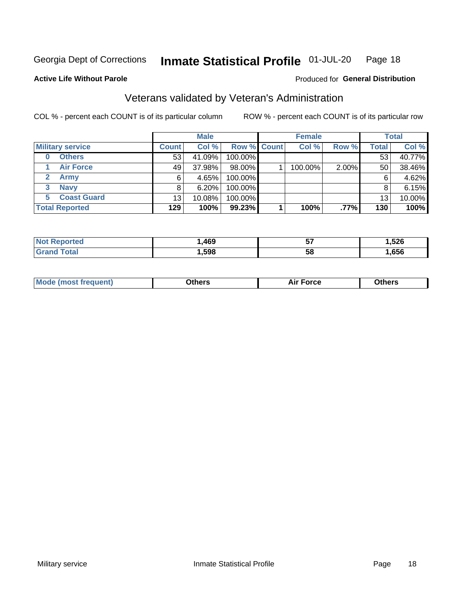#### Inmate Statistical Profile 01-JUL-20 Page 18

Produced for General Distribution

### **Active Life Without Parole**

## Veterans validated by Veteran's Administration

COL % - percent each COUNT is of its particular column

|                         |                 | <b>Male</b> |             | <b>Female</b> |       |              | <b>Total</b> |
|-------------------------|-----------------|-------------|-------------|---------------|-------|--------------|--------------|
| <b>Military service</b> | <b>Count</b>    | Col %       | Row % Count | Col %         | Row % | <b>Total</b> | Col %        |
| <b>Others</b><br>0      | 53              | 41.09%      | 100.00%     |               |       | 53           | 40.77%       |
| <b>Air Force</b>        | 49              | 37.98%      | 98.00%      | 100.00%       | 2.00% | 50           | 38.46%       |
| <b>Army</b>             | 6               | 4.65%       | 100.00%     |               |       | 6            | 4.62%        |
| <b>Navy</b><br>3        |                 | 6.20%       | 100.00%     |               |       | 8            | 6.15%        |
| <b>Coast Guard</b><br>5 | 13 <sub>1</sub> | 10.08%      | 100.00%     |               |       | 13           | 10.00%       |
| <b>Total Reported</b>   | 129             | 100%        | 99.23%      | 100%          | .77%  | 130          | 100%         |

| тес          | .469 | --<br>IJ | <b>EOC</b><br>ּטבע<br>- - |
|--------------|------|----------|---------------------------|
| <b>Total</b> | .598 | 5٤       | ,656                      |

| Mo | <b>\thers</b><br>____ | -nrce<br>^ ''<br>. | 146ara<br>____ |
|----|-----------------------|--------------------|----------------|
|    |                       |                    |                |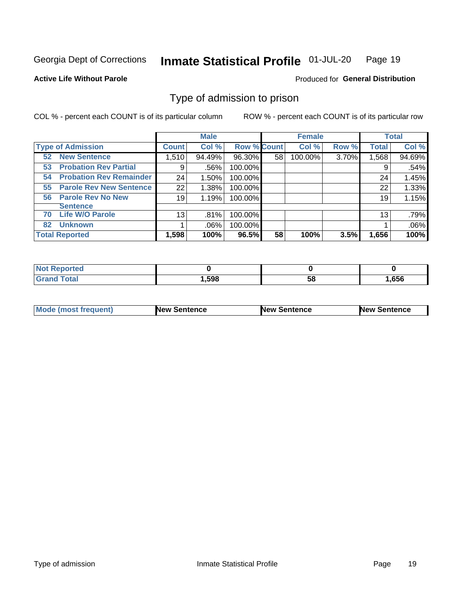#### Inmate Statistical Profile 01-JUL-20 Page 19

**Active Life Without Parole** 

Produced for General Distribution

## Type of admission to prison

COL % - percent each COUNT is of its particular column

|                                      |              | <b>Male</b> |                    |    | <b>Female</b> |       |              | <b>Total</b> |
|--------------------------------------|--------------|-------------|--------------------|----|---------------|-------|--------------|--------------|
| <b>Type of Admission</b>             | <b>Count</b> | Col %       | <b>Row % Count</b> |    | Col %         | Row % | <b>Total</b> | Col %        |
| <b>52 New Sentence</b>               | 1,510        | 94.49%      | 96.30%             | 58 | 100.00%       | 3.70% | 1,568        | 94.69%       |
| <b>Probation Rev Partial</b><br>53   | 9            | .56%        | 100.00%            |    |               |       | 9            | .54%         |
| <b>Probation Rev Remainder</b><br>54 | 24           | 1.50%       | 100.00%            |    |               |       | 24           | 1.45%        |
| <b>Parole Rev New Sentence</b><br>55 | 22           | 1.38%       | 100.00%            |    |               |       | 22           | 1.33%        |
| <b>Parole Rev No New</b><br>56       | 19           | 1.19%       | 100.00%            |    |               |       | 19           | 1.15%        |
| <b>Sentence</b>                      |              |             |                    |    |               |       |              |              |
| <b>Life W/O Parole</b><br>70         | 13           | .81%        | 100.00%            |    |               |       | 13           | .79%         |
| <b>Unknown</b><br>82                 |              | $.06\%$     | 100.00%            |    |               |       |              | .06%         |
| <b>Total Reported</b>                | 1,598        | 100%        | 96.5%              | 58 | 100%          | 3.5%  | 1,656        | 100%         |

| Reported<br><b>NOT</b>             |      |    |      |
|------------------------------------|------|----|------|
| <b>Total</b><br>"Gran <sub>"</sub> | ,598 | วง | .656 |

| Mode (most frequent) | <b>New Sentence</b> | <b>New Sentence</b> | <b>New Sentence</b> |
|----------------------|---------------------|---------------------|---------------------|
|                      |                     |                     |                     |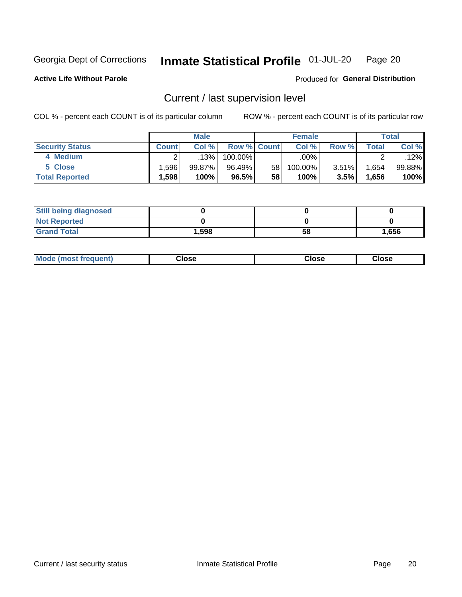#### Inmate Statistical Profile 01-JUL-20 Page 20

**Active Life Without Parole** 

Produced for General Distribution

## Current / last supervision level

COL % - percent each COUNT is of its particular column

|                        |          | <b>Male</b> |                    |                 | <b>Female</b> |       |       | <b>Total</b> |
|------------------------|----------|-------------|--------------------|-----------------|---------------|-------|-------|--------------|
| <b>Security Status</b> | Count l  | Col%        | <b>Row % Count</b> |                 | Col %         | Row % | Total | Col %        |
| 4 Medium               |          | .13%        | $100.00\%$         |                 | .00%          |       |       | .12%         |
| 5 Close                | .596     | 99.87%      | 96.49%             | 58 <sub>1</sub> | 100.00%       | 3.51% | .654  | 99.88%       |
| <b>Total Reported</b>  | $.598^+$ | 100%        | 96.5%              | 58              | 100%          | 3.5%  | .656  | 100%         |

| <b>Still being diagnosed</b> |       |    |       |
|------------------------------|-------|----|-------|
| <b>Not Reported</b>          |       |    |       |
| <b>Grand Total</b>           | 1,598 | 58 | 1,656 |

| <b>AhoM</b><br>rreauent) | <b>Close</b> | Close | Close |
|--------------------------|--------------|-------|-------|
|                          |              |       |       |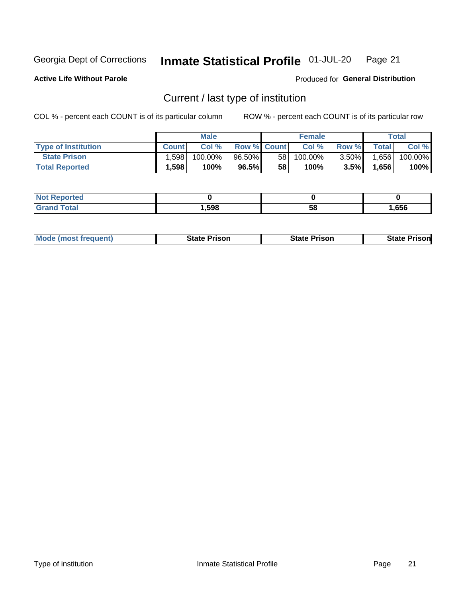#### Inmate Statistical Profile 01-JUL-20 Page 21

**Active Life Without Parole** 

Produced for General Distribution

## Current / last type of institution

COL % - percent each COUNT is of its particular column

|                            |              | <b>Male</b> |                    |    | <b>Female</b> |          |              | Total   |
|----------------------------|--------------|-------------|--------------------|----|---------------|----------|--------------|---------|
| <b>Type of Institution</b> | <b>Count</b> | Col %       | <b>Row % Count</b> |    | Col %         | Row %    | <b>Total</b> | Col %   |
| <b>State Prison</b>        | .598         | 100.00%     | 96.50%             | 58 | $100.00\%$    | $3.50\%$ | .656         | 100.00% |
| <b>Total Reported</b>      | 1,598        | 100%        | 96.5%              | 58 | $100\%$       | $3.5\%$  | 1,656        | 100%    |

| <b>eported</b> |      |    |      |
|----------------|------|----|------|
|                | ,598 | ວເ | .656 |

|  | <b>Mode (most frequent)</b> | State Prison | <b>State Prison</b> | <b>State Prison</b> |
|--|-----------------------------|--------------|---------------------|---------------------|
|--|-----------------------------|--------------|---------------------|---------------------|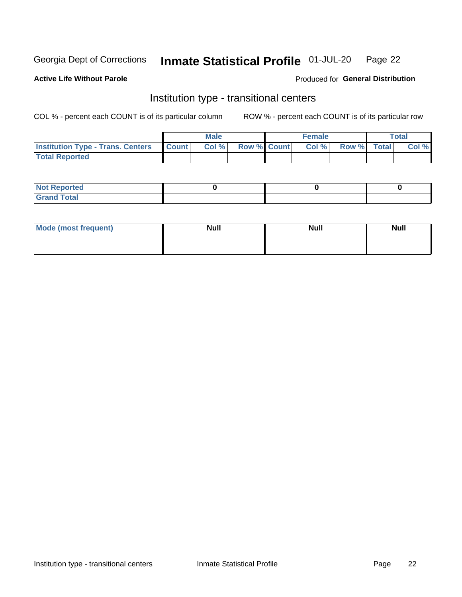#### Inmate Statistical Profile 01-JUL-20 Page 22

### **Active Life Without Parole**

### Produced for General Distribution

## Institution type - transitional centers

COL % - percent each COUNT is of its particular column

|                                                | Male  |                    | <b>Female</b> |                   | Total |
|------------------------------------------------|-------|--------------------|---------------|-------------------|-------|
| <b>Institution Type - Trans. Centers Count</b> | Col % | <b>Row % Count</b> |               | Col % Row % Total | Col % |
| <b>Total Reported</b>                          |       |                    |               |                   |       |

| <b>Reported</b><br><b>NOT</b><br>$\sim$            |  |  |
|----------------------------------------------------|--|--|
| $f$ $f \circ f \circ f$<br>$C = 1$<br><b>TULAI</b> |  |  |

| Mode (most frequent) | <b>Null</b> | <b>Null</b> | <b>Null</b> |
|----------------------|-------------|-------------|-------------|
|                      |             |             |             |
|                      |             |             |             |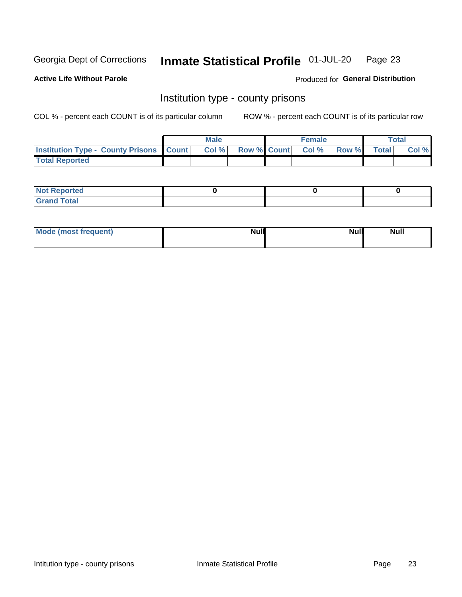#### Inmate Statistical Profile 01-JUL-20 Page 23

**Active Life Without Parole** 

**Produced for General Distribution** 

### Institution type - county prisons

COL % - percent each COUNT is of its particular column

|                                                    | <b>Male</b> |       |  | <b>Female</b> |                          |             | <b>Total</b> |       |  |
|----------------------------------------------------|-------------|-------|--|---------------|--------------------------|-------------|--------------|-------|--|
| <b>Institution Type - County Prisons   Count  </b> |             | Col % |  |               | <b>Row % Count Col %</b> | Row % Total |              | Col % |  |
| <b>Total Reported</b>                              |             |       |  |               |                          |             |              |       |  |

| <b>Not Reported</b>   |  |  |
|-----------------------|--|--|
| <b>Total</b><br>Granc |  |  |

| Mode (most frequent) | <b>Null</b> | <b>Null</b><br><b>Null</b> |
|----------------------|-------------|----------------------------|
|                      |             |                            |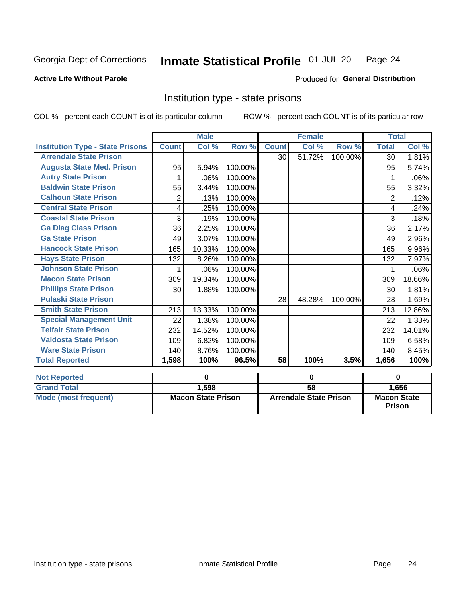#### Inmate Statistical Profile 01-JUL-20 Page 24

#### **Active Life Without Parole**

#### Produced for General Distribution

### Institution type - state prisons

|                                         | <b>Male</b>               |        |         |                               | <b>Female</b> |         | <b>Total</b>                        |        |
|-----------------------------------------|---------------------------|--------|---------|-------------------------------|---------------|---------|-------------------------------------|--------|
| <b>Institution Type - State Prisons</b> | <b>Count</b>              | Col %  | Row %   | <b>Count</b>                  | Col %         | Row %   | <b>Total</b>                        | Col %  |
| <b>Arrendale State Prison</b>           |                           |        |         | 30                            | 51.72%        | 100.00% | 30                                  | 1.81%  |
| <b>Augusta State Med. Prison</b>        | 95                        | 5.94%  | 100.00% |                               |               |         | 95                                  | 5.74%  |
| <b>Autry State Prison</b>               |                           | .06%   | 100.00% |                               |               |         |                                     | .06%   |
| <b>Baldwin State Prison</b>             | 55                        | 3.44%  | 100.00% |                               |               |         | 55                                  | 3.32%  |
| <b>Calhoun State Prison</b>             | $\overline{2}$            | .13%   | 100.00% |                               |               |         | $\overline{2}$                      | .12%   |
| <b>Central State Prison</b>             | 4                         | .25%   | 100.00% |                               |               |         | 4                                   | .24%   |
| <b>Coastal State Prison</b>             | 3                         | .19%   | 100.00% |                               |               |         | 3                                   | .18%   |
| <b>Ga Diag Class Prison</b>             | 36                        | 2.25%  | 100.00% |                               |               |         | 36                                  | 2.17%  |
| <b>Ga State Prison</b>                  | 49                        | 3.07%  | 100.00% |                               |               |         | 49                                  | 2.96%  |
| <b>Hancock State Prison</b>             | 165                       | 10.33% | 100.00% |                               |               |         | 165                                 | 9.96%  |
| <b>Hays State Prison</b>                | 132                       | 8.26%  | 100.00% |                               |               |         | 132                                 | 7.97%  |
| <b>Johnson State Prison</b>             | 1                         | .06%   | 100.00% |                               |               |         | 1                                   | .06%   |
| <b>Macon State Prison</b>               | 309                       | 19.34% | 100.00% |                               |               |         | 309                                 | 18.66% |
| <b>Phillips State Prison</b>            | 30                        | 1.88%  | 100.00% |                               |               |         | 30                                  | 1.81%  |
| <b>Pulaski State Prison</b>             |                           |        |         | 28                            | 48.28%        | 100.00% | 28                                  | 1.69%  |
| <b>Smith State Prison</b>               | 213                       | 13.33% | 100.00% |                               |               |         | 213                                 | 12.86% |
| <b>Special Management Unit</b>          | 22                        | 1.38%  | 100.00% |                               |               |         | 22                                  | 1.33%  |
| <b>Telfair State Prison</b>             | 232                       | 14.52% | 100.00% |                               |               |         | 232                                 | 14.01% |
| <b>Valdosta State Prison</b>            | 109                       | 6.82%  | 100.00% |                               |               |         | 109                                 | 6.58%  |
| <b>Ware State Prison</b>                | 140                       | 8.76%  | 100.00% |                               |               |         | 140                                 | 8.45%  |
| <b>Total Reported</b>                   | 1,598                     | 100%   | 96.5%   | 58                            | 100%          | 3.5%    | 1,656                               | 100%   |
| <b>Not Reported</b>                     |                           | 0      |         | 0                             |               |         | 0                                   |        |
| <b>Grand Total</b>                      |                           | 1,598  |         | $\overline{58}$               |               |         |                                     | 1,656  |
| <b>Mode (most frequent)</b>             | <b>Macon State Prison</b> |        |         | <b>Arrendale State Prison</b> |               |         | <b>Macon State</b><br><b>Prison</b> |        |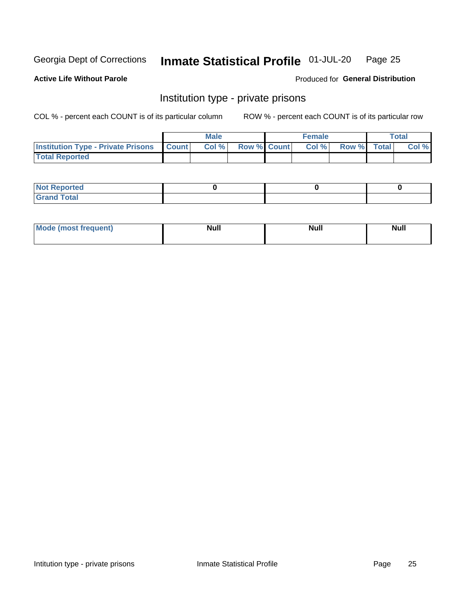#### Inmate Statistical Profile 01-JUL-20 Page 25

**Active Life Without Parole** 

Produced for General Distribution

## Institution type - private prisons

COL % - percent each COUNT is of its particular column

|                                                 | <b>Male</b> |      |                    | <b>Female</b> |       |             | Total |       |
|-------------------------------------------------|-------------|------|--------------------|---------------|-------|-------------|-------|-------|
| <b>Institution Type - Private Prisons Count</b> |             | Col% | <b>Row % Count</b> |               | Col % | Row % Total |       | Col % |
| <b>Total Reported</b>                           |             |      |                    |               |       |             |       |       |

| Not Reported          |  |  |
|-----------------------|--|--|
| <b>Cotal</b><br>_____ |  |  |

| <b>Mo</b><br>frequent) | <b>Null</b> | <b>Null</b> | . . I *<br><b>IVUII</b> |
|------------------------|-------------|-------------|-------------------------|
|                        |             |             |                         |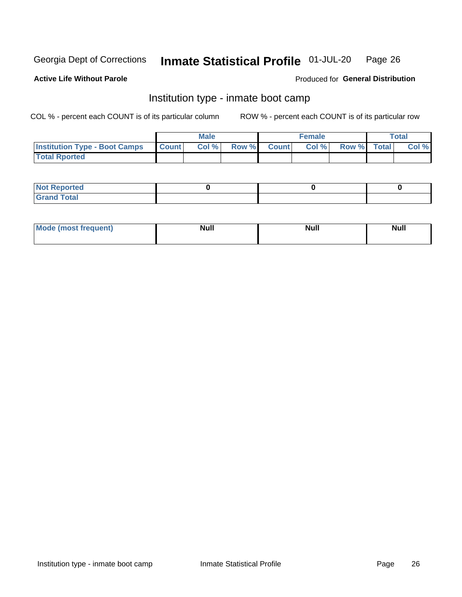#### Inmate Statistical Profile 01-JUL-20 Page 26

### **Active Life Without Parole**

### Produced for General Distribution

## Institution type - inmate boot camp

COL % - percent each COUNT is of its particular column

|                                      | <b>Male</b>     |       |              |              | <b>Female</b> | <b>Total</b> |  |       |
|--------------------------------------|-----------------|-------|--------------|--------------|---------------|--------------|--|-------|
| <b>Institution Type - Boot Camps</b> | <b>I</b> Count⊥ | Col % | <b>Row %</b> | <b>Count</b> | Col %         | Row % Total  |  | Col % |
| <b>Total Rported</b>                 |                 |       |              |              |               |              |  |       |

| <b>Not Reported</b>            |  |  |
|--------------------------------|--|--|
| <b>Total</b><br>C <sub>r</sub> |  |  |

| Mod<br>uamo | Nul.<br>$- - - - - -$ | <b>Null</b> | <br>uu.<br>------ |
|-------------|-----------------------|-------------|-------------------|
|             |                       |             |                   |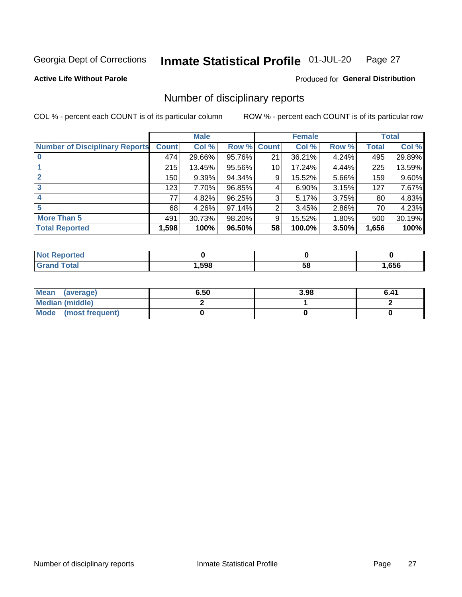#### Inmate Statistical Profile 01-JUL-20 Page 27

### **Active Life Without Parole**

Produced for General Distribution

## Number of disciplinary reports

COL % - percent each COUNT is of its particular column

|                                       | <b>Male</b>  |        |        |              | <b>Female</b> | <b>Total</b> |              |        |
|---------------------------------------|--------------|--------|--------|--------------|---------------|--------------|--------------|--------|
| <b>Number of Disciplinary Reports</b> | <b>Count</b> | Col %  | Row %  | <b>Count</b> | Col %         | Row %        | <b>Total</b> | Col %  |
|                                       | 474          | 29.66% | 95.76% | 21           | 36.21%        | 4.24%        | 495          | 29.89% |
|                                       | 215          | 13.45% | 95.56% | 10           | 17.24%        | 4.44%        | 225          | 13.59% |
| 2                                     | 150          | 9.39%  | 94.34% | 9            | 15.52%        | 5.66%        | 159          | 9.60%  |
| 3                                     | 123          | 7.70%  | 96.85% | 4            | $6.90\%$      | 3.15%        | 127          | 7.67%  |
|                                       | 77           | 4.82%  | 96.25% | 3            | 5.17%         | 3.75%        | 80           | 4.83%  |
| 5                                     | 68           | 4.26%  | 97.14% | 2            | 3.45%         | 2.86%        | 70           | 4.23%  |
| <b>More Than 5</b>                    | 491          | 30.73% | 98.20% | 9            | 15.52%        | 1.80%        | 500          | 30.19% |
| <b>Total Reported</b>                 | 1,598        | 100%   | 96.50% | 58           | 100.0%        | 3.50%        | 1,656        | 100%   |

| orted<br>ימא |      |    |      |
|--------------|------|----|------|
| <b>Total</b> | ,598 | ၁၀ | ,656 |

| Mean (average)       | 6.50 | 3.98 | 6.41 |
|----------------------|------|------|------|
| Median (middle)      |      |      |      |
| Mode (most frequent) |      |      |      |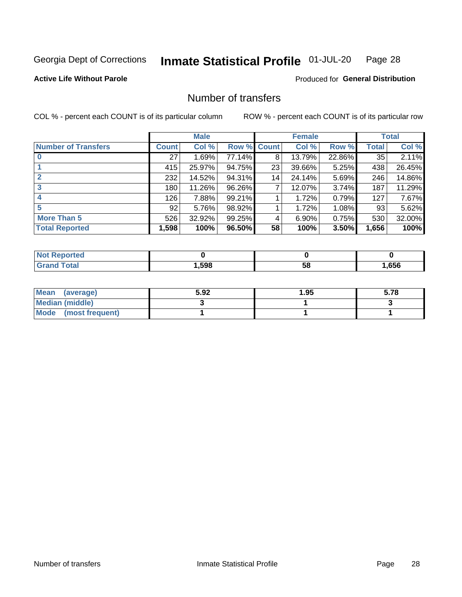#### Inmate Statistical Profile 01-JUL-20 Page 28

**Active Life Without Parole** 

**Produced for General Distribution** 

## Number of transfers

COL % - percent each COUNT is of its particular column

|                            |         | <b>Male</b> |                    |    | <b>Female</b> |        |              | <b>Total</b> |
|----------------------------|---------|-------------|--------------------|----|---------------|--------|--------------|--------------|
| <b>Number of Transfers</b> | Count l | Col %       | <b>Row % Count</b> |    | Col %         | Row %  | <b>Total</b> | Col %        |
|                            | 27      | 1.69%       | 77.14%             | 8  | 13.79%        | 22.86% | 35           | 2.11%        |
|                            | 415     | 25.97%      | 94.75%             | 23 | 39.66%        | 5.25%  | 438          | 26.45%       |
| $\mathbf{2}$               | 232     | 14.52%      | 94.31%             | 14 | 24.14%        | 5.69%  | 246          | 14.86%       |
| 3                          | 180     | 11.26%      | 96.26%             | 7  | 12.07%        | 3.74%  | 187          | 11.29%       |
|                            | 126     | 7.88%       | 99.21%             |    | 1.72%         | 0.79%  | 127          | 7.67%        |
| 5                          | 92      | 5.76%       | 98.92%             |    | 1.72%         | 1.08%  | 93           | 5.62%        |
| <b>More Than 5</b>         | 526     | 32.92%      | 99.25%             | 4  | 6.90%         | 0.75%  | 530          | 32.00%       |
| <b>Total Reported</b>      | 1,598   | 100%        | 96.50%             | 58 | 100%          | 3.50%  | 1,656        | 100%         |

| <u>orteo</u><br>NOT |      |    |      |
|---------------------|------|----|------|
| `otal               | ,598 | 58 | .656 |

| Mean (average)       | 5.92 | 95.، | 5.78 |
|----------------------|------|------|------|
| Median (middle)      |      |      |      |
| Mode (most frequent) |      |      |      |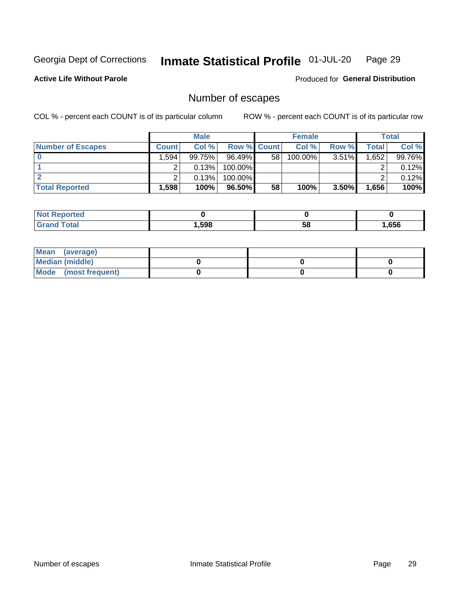#### Inmate Statistical Profile 01-JUL-20 Page 29

#### **Active Life Without Parole**

Produced for General Distribution

## Number of escapes

COL % - percent each COUNT is of its particular column

|                          |              | <b>Male</b> |                    |    | <b>Female</b> |          |       | Total  |
|--------------------------|--------------|-------------|--------------------|----|---------------|----------|-------|--------|
| <b>Number of Escapes</b> | <b>Count</b> | Col%        | <b>Row % Count</b> |    | Col %         | Row %    | Total | Col %  |
|                          | .594         | 99.75%      | $96.49\%$          | 58 | $100.00\%$    | $3.51\%$ | .652  | 99.76% |
|                          |              | 0.13%       | 100.00%            |    |               |          |       | 0.12%  |
|                          |              | 0.13%       | 100.00%            |    |               |          |       | 0.12%  |
| <b>Total Reported</b>    | $.598+$      | 100%        | 96.50%             | 58 | 100%          | $3.50\%$ | 1,656 | 100%   |

| rtea<br><b>NOT</b> |      |    |      |
|--------------------|------|----|------|
| `otal<br>Grand     | .598 | 58 | .656 |

| Mean (average)       |  |  |
|----------------------|--|--|
| Median (middle)      |  |  |
| Mode (most frequent) |  |  |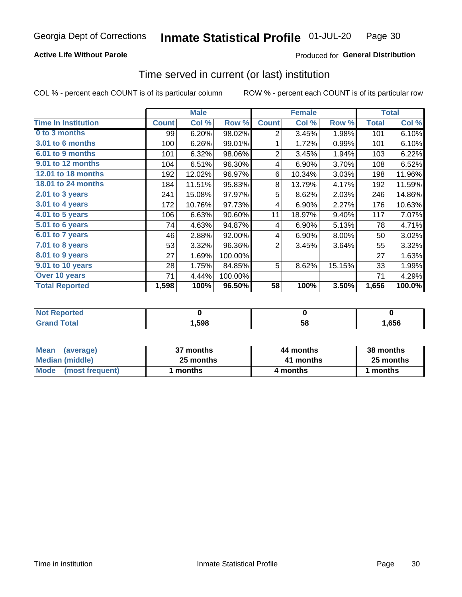### **Active Life Without Parole**

### Produced for General Distribution

### Time served in current (or last) institution

COL % - percent each COUNT is of its particular column

|                            |              | <b>Male</b> |         |                | <b>Female</b> |        |              | <b>Total</b> |
|----------------------------|--------------|-------------|---------|----------------|---------------|--------|--------------|--------------|
| <b>Time In Institution</b> | <b>Count</b> | Col %       | Row %   | <b>Count</b>   | Col %         | Row %  | <b>Total</b> | Col %        |
| 0 to 3 months              | 99           | 6.20%       | 98.02%  | 2              | 3.45%         | 1.98%  | 101          | 6.10%        |
| <b>3.01 to 6 months</b>    | 100          | 6.26%       | 99.01%  | 1              | 1.72%         | 0.99%  | 101          | 6.10%        |
| 6.01 to 9 months           | 101          | 6.32%       | 98.06%  | $\overline{2}$ | 3.45%         | 1.94%  | 103          | 6.22%        |
| 9.01 to 12 months          | 104          | 6.51%       | 96.30%  | 4              | 6.90%         | 3.70%  | 108          | 6.52%        |
| 12.01 to 18 months         | 192          | 12.02%      | 96.97%  | 6              | 10.34%        | 3.03%  | 198          | 11.96%       |
| <b>18.01 to 24 months</b>  | 184          | 11.51%      | 95.83%  | 8              | 13.79%        | 4.17%  | 192          | 11.59%       |
| $2.01$ to 3 years          | 241          | 15.08%      | 97.97%  | 5              | 8.62%         | 2.03%  | 246          | 14.86%       |
| $3.01$ to 4 years          | 172          | 10.76%      | 97.73%  | 4              | 6.90%         | 2.27%  | 176          | 10.63%       |
| $4.01$ to 5 years          | 106          | 6.63%       | 90.60%  | 11             | 18.97%        | 9.40%  | 117          | 7.07%        |
| 5.01 to 6 years            | 74           | 4.63%       | 94.87%  | 4              | 6.90%         | 5.13%  | 78           | 4.71%        |
| 6.01 to 7 years            | 46           | 2.88%       | 92.00%  | 4              | 6.90%         | 8.00%  | 50           | 3.02%        |
| 7.01 to 8 years            | 53           | 3.32%       | 96.36%  | $\overline{2}$ | 3.45%         | 3.64%  | 55           | 3.32%        |
| 8.01 to 9 years            | 27           | 1.69%       | 100.00% |                |               |        | 27           | 1.63%        |
| 9.01 to 10 years           | 28           | 1.75%       | 84.85%  | 5              | 8.62%         | 15.15% | 33           | 1.99%        |
| Over 10 years              | 71           | 4.44%       | 100.00% |                |               |        | 71           | 4.29%        |
| <b>Total Reported</b>      | 1,598        | 100%        | 96.50%  | 58             | 100%          | 3.50%  | 1,656        | 100.0%       |

| <b>Not Reported</b> |      |    |      |
|---------------------|------|----|------|
| $f \circ f \circ f$ | ,598 | vu | ,656 |

| <b>Mean</b><br>(average) | 37 months | 44 months | 38 months |
|--------------------------|-----------|-----------|-----------|
| Median (middle)          | 25 months | 41 months | 25 months |
| Mode (most frequent)     | months    | 4 months  | 1 months  |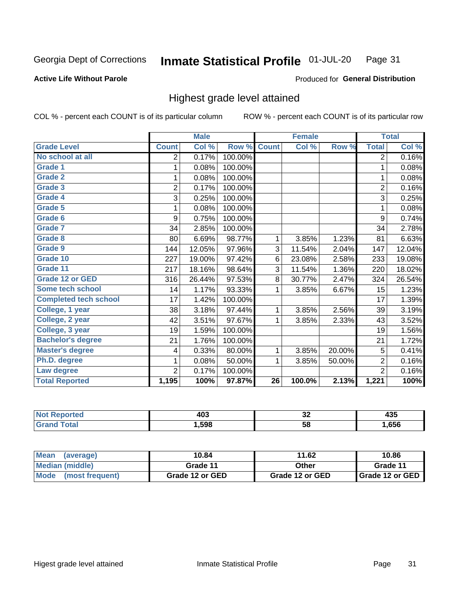#### Inmate Statistical Profile 01-JUL-20 Page 31

#### **Active Life Without Parole**

#### Produced for General Distribution

### Highest grade level attained

COL % - percent each COUNT is of its particular column

|                              |                | <b>Male</b> |         |                 | <b>Female</b> |        |                | <b>Total</b> |
|------------------------------|----------------|-------------|---------|-----------------|---------------|--------|----------------|--------------|
| <b>Grade Level</b>           | <b>Count</b>   | Col %       | Row %   | <b>Count</b>    | Col %         | Row %  | <b>Total</b>   | Col %        |
| No school at all             | 2              | 0.17%       | 100.00% |                 |               |        | $\overline{2}$ | 0.16%        |
| <b>Grade 1</b>               | 1              | 0.08%       | 100.00% |                 |               |        | 1              | 0.08%        |
| <b>Grade 2</b>               | 1              | 0.08%       | 100.00% |                 |               |        | 1              | 0.08%        |
| <b>Grade 3</b>               | $\overline{2}$ | 0.17%       | 100.00% |                 |               |        | $\overline{2}$ | 0.16%        |
| <b>Grade 4</b>               | 3              | 0.25%       | 100.00% |                 |               |        | 3              | 0.25%        |
| Grade 5                      | 1              | 0.08%       | 100.00% |                 |               |        | 1              | 0.08%        |
| Grade 6                      | 9              | 0.75%       | 100.00% |                 |               |        | 9              | 0.74%        |
| Grade 7                      | 34             | 2.85%       | 100.00% |                 |               |        | 34             | 2.78%        |
| Grade 8                      | 80             | 6.69%       | 98.77%  | 1               | 3.85%         | 1.23%  | 81             | 6.63%        |
| Grade 9                      | 144            | 12.05%      | 97.96%  | 3               | 11.54%        | 2.04%  | 147            | 12.04%       |
| Grade 10                     | 227            | 19.00%      | 97.42%  | 6               | 23.08%        | 2.58%  | 233            | 19.08%       |
| Grade 11                     | 217            | 18.16%      | 98.64%  | 3               | 11.54%        | 1.36%  | 220            | 18.02%       |
| <b>Grade 12 or GED</b>       | 316            | 26.44%      | 97.53%  | 8               | 30.77%        | 2.47%  | 324            | 26.54%       |
| Some tech school             | 14             | 1.17%       | 93.33%  | 1               | 3.85%         | 6.67%  | 15             | 1.23%        |
| <b>Completed tech school</b> | 17             | 1.42%       | 100.00% |                 |               |        | 17             | 1.39%        |
| College, 1 year              | 38             | 3.18%       | 97.44%  | 1               | 3.85%         | 2.56%  | 39             | 3.19%        |
| College, 2 year              | 42             | 3.51%       | 97.67%  | 1               | 3.85%         | 2.33%  | 43             | 3.52%        |
| College, 3 year              | 19             | 1.59%       | 100.00% |                 |               |        | 19             | 1.56%        |
| <b>Bachelor's degree</b>     | 21             | 1.76%       | 100.00% |                 |               |        | 21             | 1.72%        |
| <b>Master's degree</b>       | 4              | 0.33%       | 80.00%  | 1               | 3.85%         | 20.00% | 5              | 0.41%        |
| Ph.D. degree                 | 1              | 0.08%       | 50.00%  | 1               | 3.85%         | 50.00% | $\overline{2}$ | 0.16%        |
| Law degree                   | $\overline{2}$ | 0.17%       | 100.00% |                 |               |        | $\overline{2}$ | 0.16%        |
| <b>Total Reported</b>        | 1,195          | 100%        | 97.87%  | $\overline{26}$ | 100.0%        | 2.13%  | 1,221          | 100%         |

| NO   | 10°   | ^^ | ---  |
|------|-------|----|------|
| rtec | ヿヷぃ   | ◡▵ | マソー  |
|      | 1,598 | 58 | ,656 |

| <b>Mean</b><br>(average) | 10.84           | 11.62           | 10.86           |
|--------------------------|-----------------|-----------------|-----------------|
| <b>Median (middle)</b>   | Grade 11        | Other           | Grade 11        |
| Mode<br>(most frequent)  | Grade 12 or GED | Grade 12 or GED | Grade 12 or GED |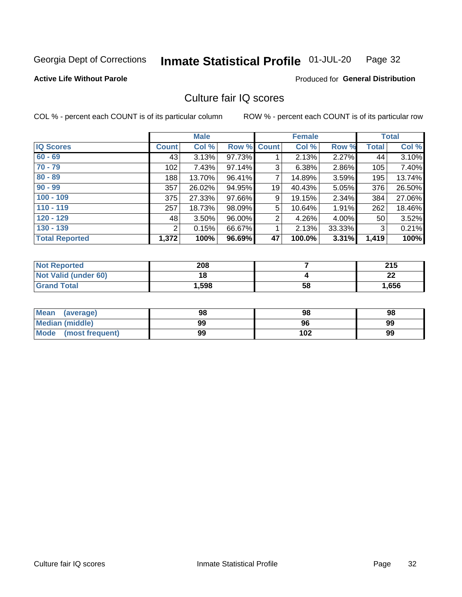#### Inmate Statistical Profile 01-JUL-20 Page 32

### **Active Life Without Parole**

#### Produced for General Distribution

## Culture fair IQ scores

COL % - percent each COUNT is of its particular column

|                       |              | <b>Male</b> |                    |                | <b>Female</b> |          |              | <b>Total</b> |
|-----------------------|--------------|-------------|--------------------|----------------|---------------|----------|--------------|--------------|
| <b>IQ Scores</b>      | <b>Count</b> | Col %       | <b>Row % Count</b> |                | Col %         | Row %    | <b>Total</b> | Col %        |
| $60 - 69$             | 43           | 3.13%       | 97.73%             |                | 2.13%         | $2.27\%$ | 44           | 3.10%        |
| $70 - 79$             | 102          | 7.43%       | 97.14%             | 3              | 6.38%         | 2.86%    | 105          | 7.40%        |
| $80 - 89$             | 188          | 13.70%      | 96.41%             | $\overline{7}$ | 14.89%        | 3.59%    | 195          | 13.74%       |
| $90 - 99$             | 357          | 26.02%      | 94.95%             | 19             | 40.43%        | $5.05\%$ | 376          | 26.50%       |
| $100 - 109$           | 375          | 27.33%      | 97.66%             | 9              | 19.15%        | 2.34%    | 384          | 27.06%       |
| $110 - 119$           | 257          | 18.73%      | 98.09%             | 5              | 10.64%        | $1.91\%$ | 262          | 18.46%       |
| $120 - 129$           | 48           | 3.50%       | 96.00%             | $\overline{2}$ | 4.26%         | $4.00\%$ | 50           | 3.52%        |
| $130 - 139$           | 2            | 0.15%       | 66.67%             | 1              | 2.13%         | 33.33%   | 3            | 0.21%        |
| <b>Total Reported</b> | 1,372        | 100%        | 96.69%             | 47             | 100.0%        | $3.31\%$ | 1,419        | 100%         |

| <b>Not Reported</b>  | 208   |    | クイド<br>2 I J |
|----------------------|-------|----|--------------|
| Not Valid (under 60) | 18    |    | ົ<br>LL      |
| <b>Grand Total</b>   | 1,598 | 58 | 1,656        |

| Mean<br>(average)       | 98 | 98  | 98 |
|-------------------------|----|-----|----|
| <b>Median (middle)</b>  | 99 | 96  | 99 |
| Mode<br>(most frequent) | 99 | 102 | 99 |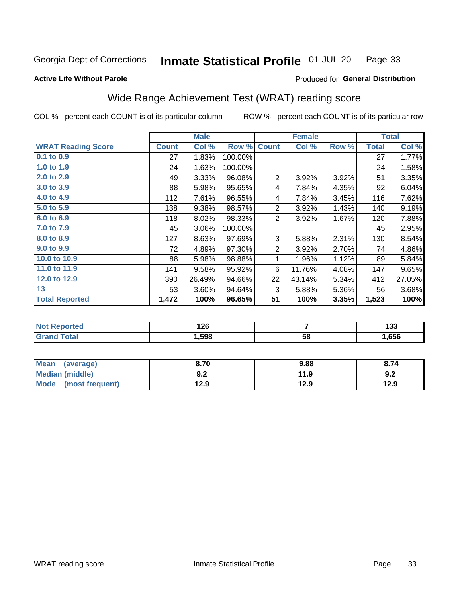#### Inmate Statistical Profile 01-JUL-20 Page 33

#### **Active Life Without Parole**

### Produced for General Distribution

## Wide Range Achievement Test (WRAT) reading score

COL % - percent each COUNT is of its particular column

|                           |              | <b>Male</b> |         |                | <b>Female</b> | <b>Total</b> |              |        |
|---------------------------|--------------|-------------|---------|----------------|---------------|--------------|--------------|--------|
| <b>WRAT Reading Score</b> | <b>Count</b> | Col %       | Row %   | <b>Count</b>   | Col %         | Row %        | <b>Total</b> | Col %  |
| $0.1$ to $0.9$            | 27           | 1.83%       | 100.00% |                |               |              | 27           | 1.77%  |
| 1.0 to 1.9                | 24           | 1.63%       | 100.00% |                |               |              | 24           | 1.58%  |
| 2.0 to 2.9                | 49           | 3.33%       | 96.08%  | 2              | 3.92%         | 3.92%        | 51           | 3.35%  |
| 3.0 to 3.9                | 88           | 5.98%       | 95.65%  | 4              | 7.84%         | 4.35%        | 92           | 6.04%  |
| 4.0 to 4.9                | 112          | 7.61%       | 96.55%  | 4              | 7.84%         | 3.45%        | 116          | 7.62%  |
| 5.0 to 5.9                | 138          | 9.38%       | 98.57%  | $\overline{2}$ | 3.92%         | 1.43%        | 140          | 9.19%  |
| 6.0 to 6.9                | 118          | 8.02%       | 98.33%  | $\overline{2}$ | 3.92%         | 1.67%        | 120          | 7.88%  |
| 7.0 to 7.9                | 45           | 3.06%       | 100.00% |                |               |              | 45           | 2.95%  |
| 8.0 to 8.9                | 127          | 8.63%       | 97.69%  | 3              | 5.88%         | 2.31%        | 130          | 8.54%  |
| 9.0 to 9.9                | 72           | 4.89%       | 97.30%  | $\overline{2}$ | 3.92%         | 2.70%        | 74           | 4.86%  |
| 10.0 to 10.9              | 88           | 5.98%       | 98.88%  | 1              | 1.96%         | 1.12%        | 89           | 5.84%  |
| 11.0 to 11.9              | 141          | 9.58%       | 95.92%  | 6              | 11.76%        | 4.08%        | 147          | 9.65%  |
| 12.0 to 12.9              | 390          | 26.49%      | 94.66%  | 22             | 43.14%        | 5.34%        | 412          | 27.05% |
| 13                        | 53           | 3.60%       | 94.64%  | 3              | 5.88%         | 5.36%        | 56           | 3.68%  |
| <b>Total Reported</b>     | 1,472        | 100%        | 96.65%  | 51             | 100%          | 3.35%        | 1,523        | 100%   |
|                           |              |             |         |                |               |              |              |        |

| <b>Not Reported</b>   | 126  |    | 400<br>ייו |
|-----------------------|------|----|------------|
| <b>Total</b><br>Grand | ,598 | 58 | ,656       |

| Mean (average)         | 8.70       | 9.88 | 8.74 |
|------------------------|------------|------|------|
| <b>Median (middle)</b> | י ה<br>Y.Z | 11.9 | 9.2  |
| Mode (most frequent)   | 12.9       | 12.9 | 12.9 |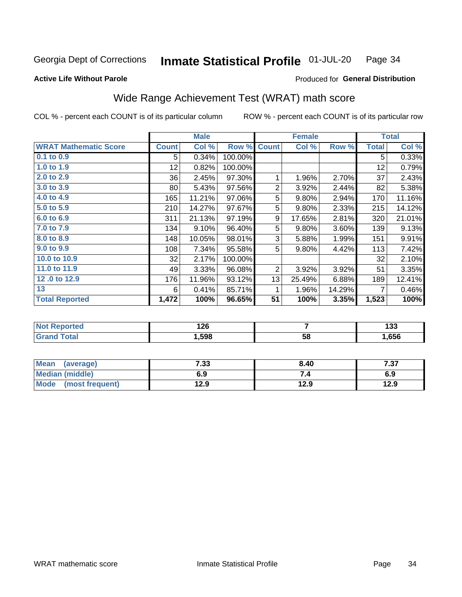#### Inmate Statistical Profile 01-JUL-20 Page 34

#### **Active Life Without Parole**

### Produced for General Distribution

## Wide Range Achievement Test (WRAT) math score

COL % - percent each COUNT is of its particular column

|                              |              | <b>Male</b> |         |                | <b>Female</b> |        |              | <b>Total</b> |
|------------------------------|--------------|-------------|---------|----------------|---------------|--------|--------------|--------------|
| <b>WRAT Mathematic Score</b> | <b>Count</b> | Col %       | Row %   | <b>Count</b>   | Col %         | Row %  | <b>Total</b> | Col %        |
| $0.1$ to $0.9$               | 5            | 0.34%       | 100.00% |                |               |        | 5            | 0.33%        |
| 1.0 to 1.9                   | 12           | 0.82%       | 100.00% |                |               |        | 12           | 0.79%        |
| 2.0 to 2.9                   | 36           | 2.45%       | 97.30%  | 1              | 1.96%         | 2.70%  | 37           | 2.43%        |
| 3.0 to 3.9                   | 80           | 5.43%       | 97.56%  | $\overline{2}$ | 3.92%         | 2.44%  | 82           | 5.38%        |
| 4.0 to 4.9                   | 165          | 11.21%      | 97.06%  | 5              | 9.80%         | 2.94%  | 170          | 11.16%       |
| 5.0 to 5.9                   | 210          | 14.27%      | 97.67%  | 5              | 9.80%         | 2.33%  | 215          | 14.12%       |
| 6.0 to 6.9                   | 311          | 21.13%      | 97.19%  | 9              | 17.65%        | 2.81%  | 320          | 21.01%       |
| 7.0 to 7.9                   | 134          | 9.10%       | 96.40%  | 5              | 9.80%         | 3.60%  | 139          | 9.13%        |
| 8.0 to 8.9                   | 148          | 10.05%      | 98.01%  | 3              | 5.88%         | 1.99%  | 151          | 9.91%        |
| 9.0 to 9.9                   | 108          | 7.34%       | 95.58%  | 5              | 9.80%         | 4.42%  | 113          | 7.42%        |
| 10.0 to 10.9                 | 32           | 2.17%       | 100.00% |                |               |        | 32           | 2.10%        |
| 11.0 to 11.9                 | 49           | 3.33%       | 96.08%  | 2              | 3.92%         | 3.92%  | 51           | 3.35%        |
| 12.0 to 12.9                 | 176          | 11.96%      | 93.12%  | 13             | 25.49%        | 6.88%  | 189          | 12.41%       |
| 13                           | 6            | 0.41%       | 85.71%  | 1              | 1.96%         | 14.29% |              | 0.46%        |
| <b>Total Reported</b>        | 1,472        | 100%        | 96.65%  | 51             | 100%          | 3.35%  | 1,523        | 100%         |
|                              |              |             |         |                |               |        |              |              |

| <b>Not Reported</b>   | 126  |    | 400<br>ייו |
|-----------------------|------|----|------------|
| <b>Total</b><br>Grand | ,598 | 58 | ,656       |

| <b>Mean</b><br>(average) | 7.33 | 8.40 | フヘフ<br>، ن |
|--------------------------|------|------|------------|
| Median (middle)          | 6.9  | ۰.,  | 6.9        |
| Mode<br>(most frequent)  | 12.9 | 12.9 | 12.9       |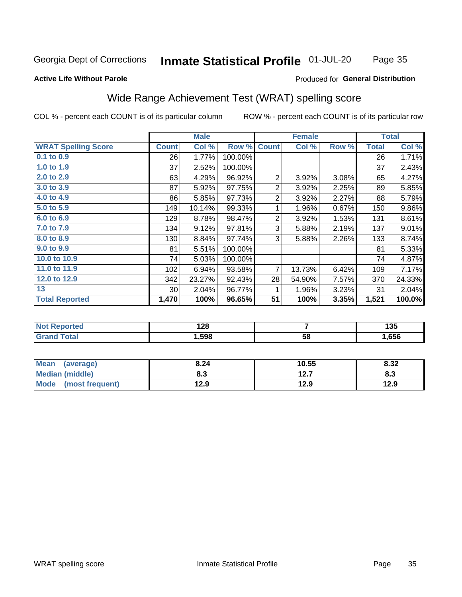#### Inmate Statistical Profile 01-JUL-20 Page 35

#### **Active Life Without Parole**

#### Produced for General Distribution

## Wide Range Achievement Test (WRAT) spelling score

COL % - percent each COUNT is of its particular column

|                            |              | <b>Male</b>      |         | <b>Female</b>  |               |       | <b>Total</b> |            |
|----------------------------|--------------|------------------|---------|----------------|---------------|-------|--------------|------------|
| <b>WRAT Spelling Score</b> | <b>Count</b> | Col %            | Row %   | <b>Count</b>   | Col %         | Row % | <b>Total</b> | Col %      |
| $0.1$ to $0.9$             | 26           | 1.77%            | 100.00% |                |               |       | 26           | 1.71%      |
| 1.0 to 1.9                 | 37           | 2.52%            | 100.00% |                |               |       | 37           | 2.43%      |
| 2.0 to 2.9                 | 63           | 4.29%            | 96.92%  | $\overline{2}$ | 3.92%         | 3.08% | 65           | 4.27%      |
| 3.0 to 3.9                 | 87           | 5.92%            | 97.75%  | 2              | 3.92%         | 2.25% | 89           | 5.85%      |
| 4.0 to 4.9                 | 86           | 5.85%            | 97.73%  | $\overline{2}$ | 3.92%         | 2.27% | 88           | 5.79%      |
| 5.0 to 5.9                 | 149          | 10.14%           | 99.33%  |                | 1.96%         | 0.67% | 150          | 9.86%      |
| 6.0 to 6.9                 | 129          | 8.78%            | 98.47%  | $\overline{2}$ | 3.92%         | 1.53% | 131          | 8.61%      |
| 7.0 to 7.9                 | 134          | 9.12%            | 97.81%  | 3              | 5.88%         | 2.19% | 137          | 9.01%      |
| 8.0 to 8.9                 | 130          | 8.84%            | 97.74%  | 3              | 5.88%         | 2.26% | 133          | 8.74%      |
| 9.0 to 9.9                 | 81           | 5.51%            | 100.00% |                |               |       | 81           | 5.33%      |
| 10.0 to 10.9               | 74           | 5.03%            | 100.00% |                |               |       | 74           | 4.87%      |
| 11.0 to 11.9               | 102          | 6.94%            | 93.58%  | $\overline{7}$ | 13.73%        | 6.42% | 109          | 7.17%      |
| 12.0 to 12.9               | 342          | 23.27%           | 92.43%  | 28             | 54.90%        | 7.57% | 370          | 24.33%     |
| 13                         | 30           | 2.04%            | 96.77%  | 1              | 1.96%         | 3.23% | 31           | 2.04%      |
| <b>Total Reported</b>      | 1,470        | 100%             | 96.65%  | 51             | 100%          | 3.35% | 1,521        | 100.0%     |
| Mart Daniel and a st       |              | $\overline{100}$ |         |                | $\rightarrow$ |       |              | $\sqrt{2}$ |

| N     | 0 מ  |    | .    |
|-------|------|----|------|
| onteo | .ZO  |    | טטו  |
|       | .598 | 58 | .656 |

| <b>Mean</b><br>(average) | 8.24 | 10.55         | 8.32 |
|--------------------------|------|---------------|------|
| <b>Median (middle)</b>   | o.J  | 1つ フ<br>I 4.I | o.J  |
| Mode<br>(most frequent)  | l2.9 | 12.9          | 12.9 |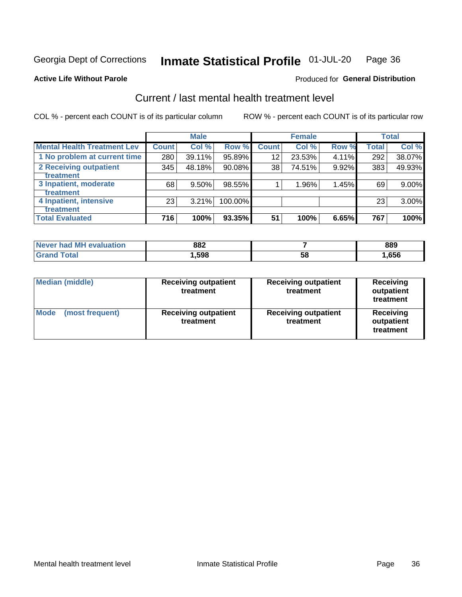#### Inmate Statistical Profile 01-JUL-20 Page 36

**Produced for General Distribution** 

#### **Active Life Without Parole**

## Current / last mental health treatment level

COL % - percent each COUNT is of its particular column

|                                    |              | <b>Male</b> |           |              | <b>Female</b> |       |              | <b>Total</b> |
|------------------------------------|--------------|-------------|-----------|--------------|---------------|-------|--------------|--------------|
| <b>Mental Health Treatment Lev</b> | <b>Count</b> | Col %       | Row %     | <b>Count</b> | Col %         | Row % | <b>Total</b> | Col %        |
| 1 No problem at current time       | 280          | 39.11%      | 95.89%    | 12           | 23.53%        | 4.11% | 292          | 38.07%       |
| 2 Receiving outpatient             | 345          | 48.18%      | $90.08\%$ | 38           | 74.51%        | 9.92% | 383          | 49.93%       |
| <b>Treatment</b>                   |              |             |           |              |               |       |              |              |
| 3 Inpatient, moderate              | 68           | 9.50%       | 98.55%    |              | 1.96%         | 1.45% | 69           | 9.00%        |
| <b>Treatment</b>                   |              |             |           |              |               |       |              |              |
| 4 Inpatient, intensive             | 23           | 3.21%       | 100.00%   |              |               |       | 23           | 3.00%        |
| Treatment                          |              |             |           |              |               |       |              |              |
| <b>Total Evaluated</b>             | 716          | 100%        | 93.35%    | 51           | 100%          | 6.65% | 767          | 100%         |

| Never had MH evaluation | 882  |    | 889  |
|-------------------------|------|----|------|
| $\tau$ otal $\;$        | .598 | 58 | ,656 |

| <b>Median (middle)</b>         | <b>Receiving outpatient</b><br>treatment | <b>Receiving outpatient</b><br>treatment | <b>Receiving</b><br>outpatient<br>treatment |  |
|--------------------------------|------------------------------------------|------------------------------------------|---------------------------------------------|--|
| <b>Mode</b><br>(most frequent) | <b>Receiving outpatient</b><br>treatment | <b>Receiving outpatient</b><br>treatment | <b>Receiving</b><br>outpatient<br>treatment |  |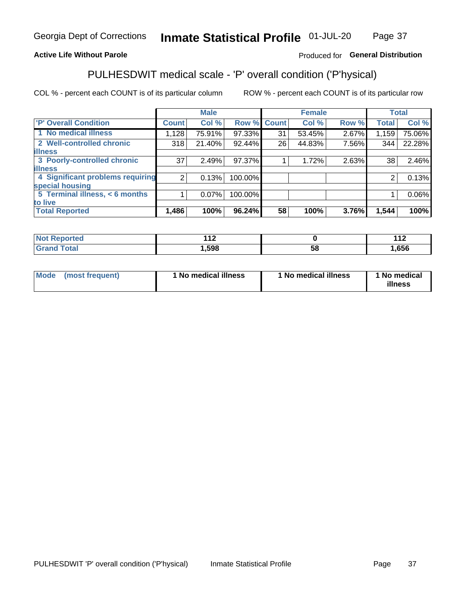#### Inmate Statistical Profile 01-JUL-20 Page 37

### **Active Life Without Parole**

### Produced for General Distribution

## PULHESDWIT medical scale - 'P' overall condition ('P'hysical)

COL % - percent each COUNT is of its particular column

|                                  |                 | <b>Male</b> |         |              | <b>Female</b> |       |              | <b>Total</b> |
|----------------------------------|-----------------|-------------|---------|--------------|---------------|-------|--------------|--------------|
| 'P' Overall Condition            | <b>Count</b>    | Col %       | Row %   | <b>Count</b> | Col %         | Row % | <b>Total</b> | Col %        |
| 1 No medical illness             | 1,128           | 75.91%      | 97.33%  | 31           | 53.45%        | 2.67% | 1,159        | 75.06%       |
| 2 Well-controlled chronic        | 318             | 21.40%      | 92.44%  | 26           | 44.83%        | 7.56% | 344          | 22.28%       |
| <b>illness</b>                   |                 |             |         |              |               |       |              |              |
| 3 Poorly-controlled chronic      | 37 <sub>l</sub> | 2.49%       | 97.37%  |              | 1.72%         | 2.63% | 38           | 2.46%        |
| <b>illness</b>                   |                 |             |         |              |               |       |              |              |
| 4 Significant problems requiring | 2               | 0.13%       | 100.00% |              |               |       | 2            | 0.13%        |
| special housing                  |                 |             |         |              |               |       |              |              |
| 5 Terminal illness, < 6 months   |                 | $0.07\%$    | 100.00% |              |               |       |              | 0.06%        |
| to live                          |                 |             |         |              |               |       |              |              |
| <b>Total Reported</b>            | 1,486           | 100%        | 96.24%  | 58           | 100%          | 3.76% | 1,544        | 100%         |

| rteo                 | 44 C   |    | 44 <sup>c</sup> |
|----------------------|--------|----|-----------------|
| .                    |        |    | . .             |
| $5 - 6 - 1$<br>_____ | 598, ا | Эč | ,656            |

| Mode (most frequent) | 1 No medical illness | 1 No medical illness | 1 No medical<br>illness |
|----------------------|----------------------|----------------------|-------------------------|
|                      |                      |                      |                         |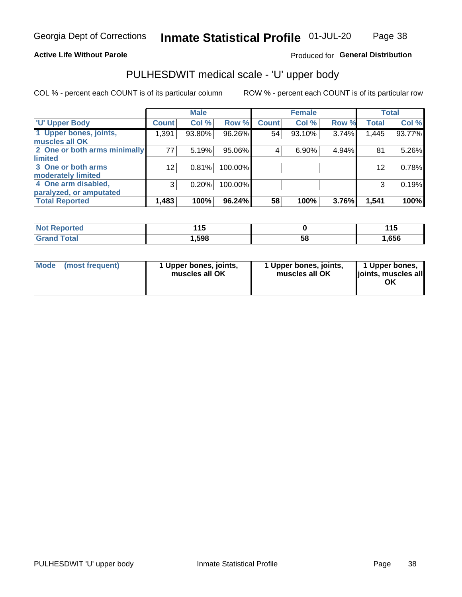### **Active Life Without Parole**

### Produced for General Distribution

## PULHESDWIT medical scale - 'U' upper body

COL % - percent each COUNT is of its particular column

|                              |              | <b>Male</b> |           |              | <b>Female</b> |       |              | <b>Total</b> |
|------------------------------|--------------|-------------|-----------|--------------|---------------|-------|--------------|--------------|
| <b>U' Upper Body</b>         | <b>Count</b> | Col %       | Row %     | <b>Count</b> | Col %         | Row % | <b>Total</b> | Col %        |
| 1 Upper bones, joints,       | 1,391        | 93.80%      | 96.26%    | 54           | 93.10%        | 3.74% | 1,445        | 93.77%       |
| muscles all OK               |              |             |           |              |               |       |              |              |
| 2 One or both arms minimally | 77           | 5.19%       | 95.06%    | 4            | 6.90%         | 4.94% | 81           | 5.26%        |
| limited                      |              |             |           |              |               |       |              |              |
| 3 One or both arms           | 12           | 0.81%       | 100.00%   |              |               |       | 12           | 0.78%        |
| <b>moderately limited</b>    |              |             |           |              |               |       |              |              |
| 4 One arm disabled,          | 3            | 0.20%       | 100.00%   |              |               |       | 3            | 0.19%        |
| paralyzed, or amputated      |              |             |           |              |               |       |              |              |
| <b>Total Reported</b>        | 1,483        | 100%        | $96.24\%$ | 58           | 100%          | 3.76% | 1,541        | 100%         |

| <b>Not Reported</b> | - -<br>. . U |    | 44'  |
|---------------------|--------------|----|------|
| <b>Grand Total</b>  | ,598         | აა | ,656 |

| <b>Mode</b> | (most frequent) | 1 Upper bones, joints,<br>muscles all OK | 1 Upper bones, joints,<br>muscles all OK | 1 Upper bones,<br>ljoints, muscles all<br>ОK |
|-------------|-----------------|------------------------------------------|------------------------------------------|----------------------------------------------|
|-------------|-----------------|------------------------------------------|------------------------------------------|----------------------------------------------|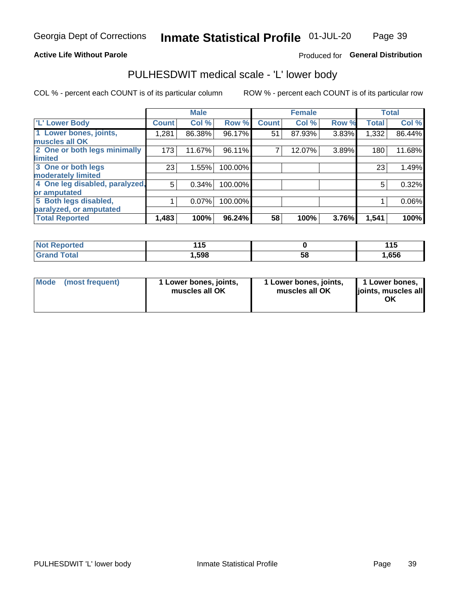### **Active Life Without Parole**

### Produced for General Distribution

## PULHESDWIT medical scale - 'L' lower body

COL % - percent each COUNT is of its particular column

|                                |              | <b>Male</b> |         |              | <b>Female</b> |       |              | <b>Total</b> |
|--------------------------------|--------------|-------------|---------|--------------|---------------|-------|--------------|--------------|
| 'L' Lower Body                 | <b>Count</b> | Col %       | Row %   | <b>Count</b> | Col %         | Row % | <b>Total</b> | Col %        |
| 1 Lower bones, joints,         | 1,281        | 86.38%      | 96.17%  | 51           | 87.93%        | 3.83% | 1,332        | 86.44%       |
| muscles all OK                 |              |             |         |              |               |       |              |              |
| 2 One or both legs minimally   | 173          | 11.67%      | 96.11%  | ⇁            | 12.07%        | 3.89% | 180          | 11.68%       |
| limited                        |              |             |         |              |               |       |              |              |
| 3 One or both legs             | 23           | 1.55%       | 100.00% |              |               |       | 23           | 1.49%        |
| moderately limited             |              |             |         |              |               |       |              |              |
| 4 One leg disabled, paralyzed, | 5            | 0.34%       | 100.00% |              |               |       | 5            | 0.32%        |
| or amputated                   |              |             |         |              |               |       |              |              |
| 5 Both legs disabled,          |              | 0.07%       | 100.00% |              |               |       |              | 0.06%        |
| paralyzed, or amputated        |              |             |         |              |               |       |              |              |
| <b>Total Reported</b>          | 1,483        | 100%        | 96.24%  | 58           | 100%          | 3.76% | 1,541        | 100%         |

| <b>Not Reported</b> | $\overline{4}$<br>. . |    | . .<br>. |
|---------------------|-----------------------|----|----------|
| <b>Grand Total</b>  | 598, ا                | ວັ | 1,656    |

| Mode | (most frequent) | 1 Lower bones, joints,<br>muscles all OK | 1 Lower bones, joints,<br>muscles all OK | 1 Lower bones,<br>joints, muscles all<br>ΟK |
|------|-----------------|------------------------------------------|------------------------------------------|---------------------------------------------|
|------|-----------------|------------------------------------------|------------------------------------------|---------------------------------------------|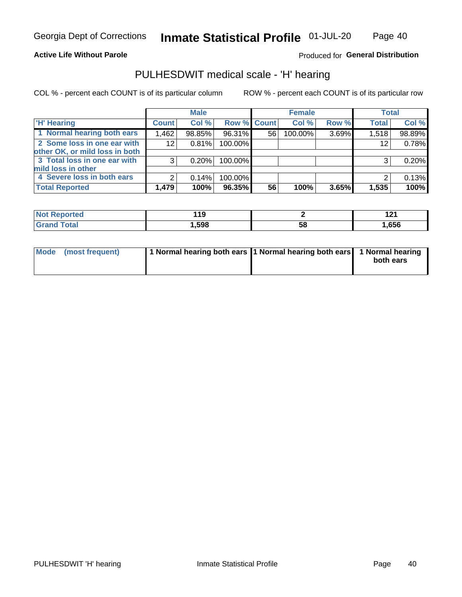### **Active Life Without Parole**

### Produced for General Distribution

## PULHESDWIT medical scale - 'H' hearing

COL % - percent each COUNT is of its particular column

|                                |              | <b>Male</b> |                    |    | <b>Female</b> |       | <b>Total</b> |        |
|--------------------------------|--------------|-------------|--------------------|----|---------------|-------|--------------|--------|
| <b>H' Hearing</b>              | <b>Count</b> | Col %       | <b>Row % Count</b> |    | Col %         | Row % | <b>Total</b> | Col %  |
| 1 Normal hearing both ears     | 1,462        | 98.85%      | 96.31%             | 56 | 100.00%       | 3.69% | 1,518        | 98.89% |
| 2 Some loss in one ear with    | 12           | 0.81%       | 100.00%            |    |               |       | 12           | 0.78%  |
| other OK, or mild loss in both |              |             |                    |    |               |       |              |        |
| 3 Total loss in one ear with   | 3            | 0.20%       | 100.00%            |    |               |       | 3            | 0.20%  |
| mild loss in other             |              |             |                    |    |               |       |              |        |
| 4 Severe loss in both ears     | 2            | 0.14%       | 100.00%            |    |               |       | ⌒            | 0.13%  |
| <b>Total Reported</b>          | 1,479        | 100%        | 96.35%             | 56 | 100%          | 3.65% | 1,535        | 100%   |

| N<br>тео | 119 |    | $\sim$<br><u>.</u> |
|----------|-----|----|--------------------|
| _____    | 598 | აა | ,656               |

| Mode (most frequent) | 1 Normal hearing both ears 1 Normal hearing both ears 1 Normal hearing | both ears |
|----------------------|------------------------------------------------------------------------|-----------|
|                      |                                                                        |           |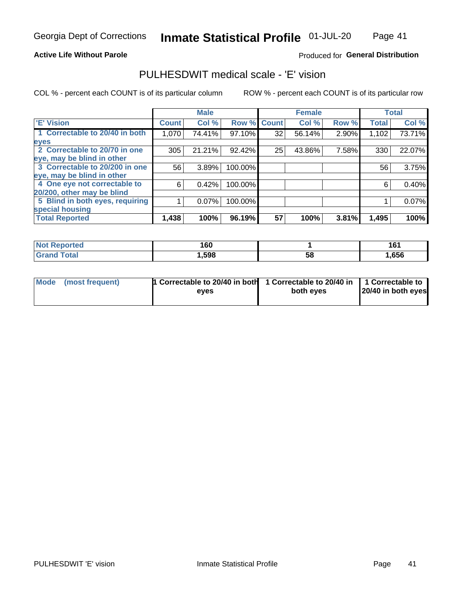### **Active Life Without Parole**

### Produced for General Distribution

## PULHESDWIT medical scale - 'E' vision

COL % - percent each COUNT is of its particular column

|                                 |              | <b>Male</b> |         |              | <b>Female</b> |       |              | <b>Total</b> |
|---------------------------------|--------------|-------------|---------|--------------|---------------|-------|--------------|--------------|
| <b>E' Vision</b>                | <b>Count</b> | Col %       | Row %   | <b>Count</b> | Col %         | Row % | <b>Total</b> | Col %        |
| 1 Correctable to 20/40 in both  | 1,070        | 74.41%      | 97.10%  | 32           | 56.14%        | 2.90% | 1,102        | 73.71%       |
| eyes                            |              |             |         |              |               |       |              |              |
| 2 Correctable to 20/70 in one   | 305          | 21.21%      | 92.42%  | 25           | 43.86%        | 7.58% | 330          | 22.07%       |
| eye, may be blind in other      |              |             |         |              |               |       |              |              |
| 3 Correctable to 20/200 in one  | 56           | 3.89%       | 100.00% |              |               |       | 56           | 3.75%        |
| eye, may be blind in other      |              |             |         |              |               |       |              |              |
| 4 One eye not correctable to    | 6            | 0.42%       | 100.00% |              |               |       | 6            | 0.40%        |
| 20/200, other may be blind      |              |             |         |              |               |       |              |              |
| 5 Blind in both eyes, requiring |              | 0.07%       | 100.00% |              |               |       |              | 0.07%        |
| special housing                 |              |             |         |              |               |       |              |              |
| <b>Total Reported</b>           | 1,438        | 100%        | 96.19%  | 57           | 100%          | 3.81% | 1,495        | 100%         |

| <b>ported</b><br><b>NOT</b><br>kehor | 160  |    | 161  |
|--------------------------------------|------|----|------|
| ™otal                                | ,598 | 58 | ,656 |

| Mode (most frequent) | 1 Correctable to 20/40 in both<br>eves | 1 Correctable to 20/40 in   1 Correctable to  <br>both eyes | 20/40 in both eyes |  |
|----------------------|----------------------------------------|-------------------------------------------------------------|--------------------|--|
|                      |                                        |                                                             |                    |  |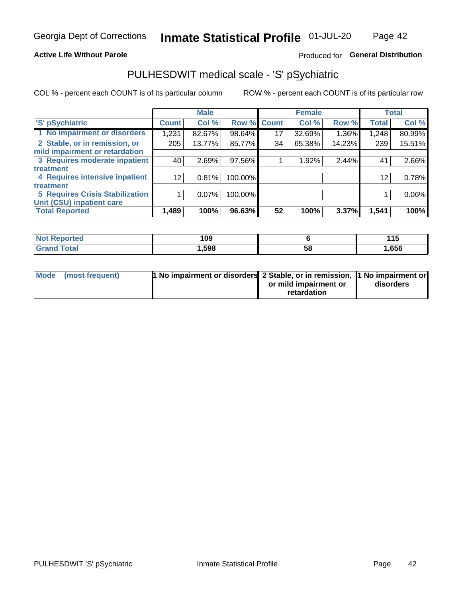### **Active Life Without Parole**

### Produced for General Distribution

## PULHESDWIT medical scale - 'S' pSychiatric

COL % - percent each COUNT is of its particular column

|                                 |              | <b>Male</b> |         |             | <b>Female</b> |        |              | <b>Total</b> |
|---------------------------------|--------------|-------------|---------|-------------|---------------|--------|--------------|--------------|
| 'S' pSychiatric                 | <b>Count</b> | Col %       |         | Row % Count | Col %         | Row %  | <b>Total</b> | Col %        |
| 1 No impairment or disorders    | 1,231        | 82.67%      | 98.64%  | 17          | 32.69%        | 1.36%  | 1,248        | 80.99%       |
| 2 Stable, or in remission, or   | 205          | 13.77%      | 85.77%  | 34          | 65.38%        | 14.23% | 239          | 15.51%       |
| mild impairment or retardation  |              |             |         |             |               |        |              |              |
| 3 Requires moderate inpatient   | 40           | 2.69%       | 97.56%  |             | 1.92%         | 2.44%  | 41           | 2.66%        |
| <b>treatment</b>                |              |             |         |             |               |        |              |              |
| 4 Requires intensive inpatient  | 12           | 0.81%       | 100.00% |             |               |        | 12           | 0.78%        |
| <b>treatment</b>                |              |             |         |             |               |        |              |              |
| 5 Requires Crisis Stabilization |              | 0.07%       | 100.00% |             |               |        |              | 0.06%        |
| Unit (CSU) inpatient care       |              |             |         |             |               |        |              |              |
| <b>Total Reported</b>           | 1,489        | 100%        | 96.63%  | 52          | 100%          | 3.37%  | 1,541        | 100%         |

| <b>Not Reported</b> | 109  |    | 44 F<br>4 I J |
|---------------------|------|----|---------------|
| <b>Grand Total</b>  | ,598 | 58 | ,656          |

| Mode (most frequent) | <b>1 No impairment or disorders</b> 2 Stable, or in remission, 11 No impairment or |                       |           |
|----------------------|------------------------------------------------------------------------------------|-----------------------|-----------|
|                      |                                                                                    | or mild impairment or | disorders |
|                      |                                                                                    | retardation           |           |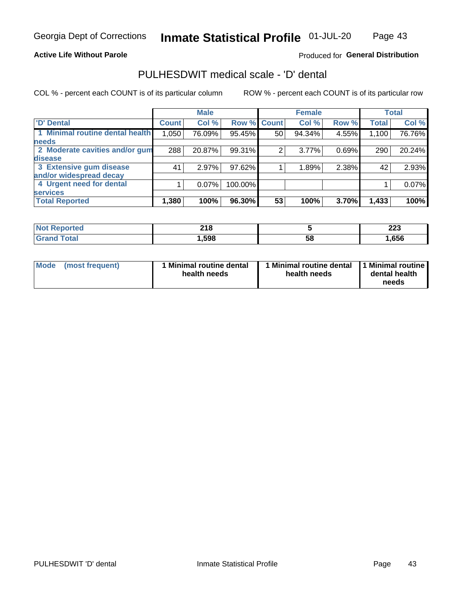### **Active Life Without Parole**

### Produced for General Distribution

## PULHESDWIT medical scale - 'D' dental

COL % - percent each COUNT is of its particular column

|                                 |              | <b>Male</b> |         |              | <b>Female</b> |       |              | <b>Total</b> |
|---------------------------------|--------------|-------------|---------|--------------|---------------|-------|--------------|--------------|
| <b>D'</b> Dental                | <b>Count</b> | Col %       | Row %   | <b>Count</b> | Col %         | Row % | <b>Total</b> | Col %        |
| 1 Minimal routine dental health | 1,050        | 76.09%      | 95.45%  | 50           | 94.34%        | 4.55% | 1,100        | 76.76%       |
| <b>needs</b>                    |              |             |         |              |               |       |              |              |
| 2 Moderate cavities and/or gum  | 288          | 20.87%      | 99.31%  | 2            | 3.77%         | 0.69% | 290          | 20.24%       |
| disease                         |              |             |         |              |               |       |              |              |
| 3 Extensive gum disease         | 41           | 2.97%       | 97.62%  |              | 1.89%         | 2.38% | 42           | 2.93%        |
| and/or widespread decay         |              |             |         |              |               |       |              |              |
| 4 Urgent need for dental        |              | $0.07\%$    | 100.00% |              |               |       |              | 0.07%        |
| <b>services</b>                 |              |             |         |              |               |       |              |              |
| <b>Total Reported</b>           | 1,380        | 100%        | 96.30%  | 53           | 100%          | 3.70% | 1,433        | 100%         |

| <b>Not Reported</b> | 24C<br>ZIO. |    | nne<br>ZZJ |
|---------------------|-------------|----|------------|
| Total               | ,598        | 58 | ,656       |

| Mode<br>(most frequent) | <b>Minimal routine dental</b><br>health needs | 1 Minimal routine dental<br>health needs | 11 Minimal routine I<br>dental health<br>needs |
|-------------------------|-----------------------------------------------|------------------------------------------|------------------------------------------------|
|-------------------------|-----------------------------------------------|------------------------------------------|------------------------------------------------|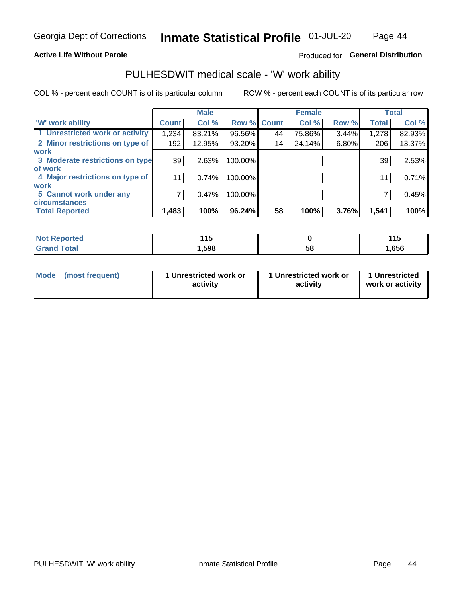### **Active Life Without Parole**

### Produced for General Distribution

### PULHESDWIT medical scale - 'W' work ability

COL % - percent each COUNT is of its particular column

|                                 |                    | <b>Male</b> |         |             | <b>Female</b> |       |              | <b>Total</b> |
|---------------------------------|--------------------|-------------|---------|-------------|---------------|-------|--------------|--------------|
| <b>W' work ability</b>          | Count <sup>'</sup> | Col %       |         | Row % Count | Col %         | Row % | <b>Total</b> | Col %        |
| 1 Unrestricted work or activity | 1,234              | 83.21%      | 96.56%  | 44          | 75.86%        | 3.44% | 1,278        | 82.93%       |
| 2 Minor restrictions on type of | 192                | 12.95%      | 93.20%  | 14          | 24.14%        | 6.80% | 206          | 13.37%       |
| <b>work</b>                     |                    |             |         |             |               |       |              |              |
| 3 Moderate restrictions on type | 39                 | 2.63%       | 100.00% |             |               |       | 39           | 2.53%        |
| lof work                        |                    |             |         |             |               |       |              |              |
| 4 Major restrictions on type of | 11                 | 0.74%       | 100.00% |             |               |       | 11           | 0.71%        |
| <b>work</b>                     |                    |             |         |             |               |       |              |              |
| 5 Cannot work under any         |                    | 0.47%       | 100.00% |             |               |       |              | 0.45%        |
| <b>circumstances</b>            |                    |             |         |             |               |       |              |              |
| <b>Total Reported</b>           | 1,483              | 100%        | 96.24%  | 58          | 100%          | 3.76% | 1,541        | 100%         |

| 'Not Reported        | 44 F   |   | .<br>. |
|----------------------|--------|---|--------|
| <b>Total</b><br>Cron | 598, ا | ວ | ,656   |

| Mode (most frequent) | 1 Unrestricted work or | 1 Unrestricted work or | 1 Unrestricted   |
|----------------------|------------------------|------------------------|------------------|
|                      | activity               | activity               | work or activity |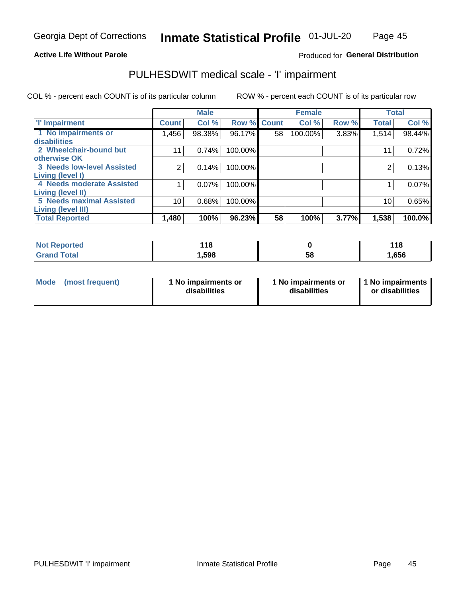#### **Active Life Without Parole**

### Produced for General Distribution

## PULHESDWIT medical scale - 'I' impairment

|                                                             |              | <b>Male</b> |                    |    | <b>Female</b> |       |              | <b>Total</b> |
|-------------------------------------------------------------|--------------|-------------|--------------------|----|---------------|-------|--------------|--------------|
| <b>T' Impairment</b>                                        | <b>Count</b> | Col %       | <b>Row % Count</b> |    | Col %         | Row % | <b>Total</b> | Col %        |
| 1 No impairments or<br>disabilities                         | 1,456        | 98.38%      | 96.17%             | 58 | 100.00%       | 3.83% | 1,514        | 98.44%       |
| 2 Wheelchair-bound but                                      |              | 0.74%       | 100.00%            |    |               |       | 11           | 0.72%        |
| otherwise OK<br><b>3 Needs low-level Assisted</b>           |              | 0.14%       | 100.00%            |    |               |       |              | 0.13%        |
| Living (level I)                                            |              |             |                    |    |               |       |              |              |
| 4 Needs moderate Assisted                                   |              | 0.07%       | 100.00%            |    |               |       |              | 0.07%        |
| <b>Living (level II)</b><br><b>5 Needs maximal Assisted</b> | 10           | 0.68%       | 100.00%            |    |               |       | 10           | 0.65%        |
| <b>Living (level III)</b><br><b>Total Reported</b>          | 1,480        | 100%        | 96.23%             | 58 | 100%          | 3.77% | 1,538        | 100.0%       |

| Reported     | 440<br><u> 10</u> |    | 440<br><u> 1 1 0</u> |
|--------------|-------------------|----|----------------------|
| <b>Total</b> | 598, ا            | 58 | <b>1,656</b>         |

| Mode | (most frequent) | 1 No impairments or<br>disabilities | 1 No impairments or<br>disabilities | 1 No impairments<br>or disabilities |
|------|-----------------|-------------------------------------|-------------------------------------|-------------------------------------|
|------|-----------------|-------------------------------------|-------------------------------------|-------------------------------------|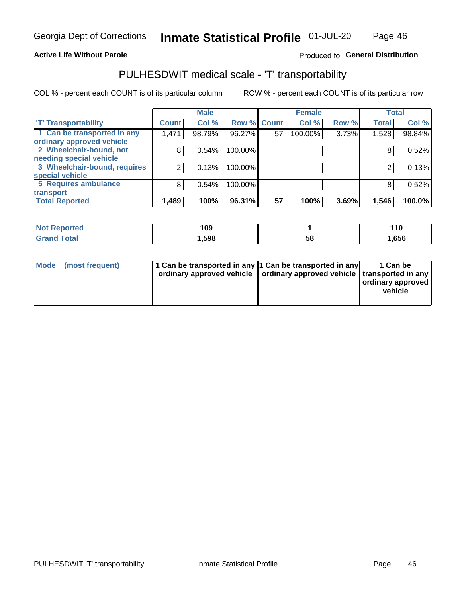### **Active Life Without Parole**

### Produced fo General Distribution

## PULHESDWIT medical scale - 'T' transportability

COL % - percent each COUNT is of its particular column

|                              |              | <b>Male</b> |                    |    | <b>Female</b> |       |              | <b>Total</b> |
|------------------------------|--------------|-------------|--------------------|----|---------------|-------|--------------|--------------|
| <b>T' Transportability</b>   | <b>Count</b> | Col %       | <b>Row % Count</b> |    | Col %         | Row % | <b>Total</b> | Col %        |
| 1 Can be transported in any  | 1,471        | 98.79%      | 96.27%             | 57 | 100.00%       | 3.73% | 1,528        | 98.84%       |
| ordinary approved vehicle    |              |             |                    |    |               |       |              |              |
| 2 Wheelchair-bound, not      | 8            | 0.54%       | 100.00%            |    |               |       |              | 0.52%        |
| needing special vehicle      |              |             |                    |    |               |       |              |              |
| 3 Wheelchair-bound, requires |              | 0.13%       | 100.00%            |    |               |       |              | 0.13%        |
| special vehicle              |              |             |                    |    |               |       |              |              |
| 5 Requires ambulance         | 8            | 0.54%       | 100.00%            |    |               |       |              | 0.52%        |
| transport                    |              |             |                    |    |               |       |              |              |
| <b>Total Reported</b>        | 1,489        | 100%        | 96.31%             | 57 | 100%          | 3.69% | 1,546        | 100.0%       |

| วrted | 109    |    | 1 4 N<br>$\blacksquare$ |
|-------|--------|----|-------------------------|
| `otal | 598. ا | 58 | 656,                    |

| <b>Mode</b> | (most frequent) | 1 Can be transported in any 1 Can be transported in any<br>ordinary approved vehicle   ordinary approved vehicle   transported in any |  | 1 Can be<br>ordinary approved<br>vehicle |
|-------------|-----------------|---------------------------------------------------------------------------------------------------------------------------------------|--|------------------------------------------|
|-------------|-----------------|---------------------------------------------------------------------------------------------------------------------------------------|--|------------------------------------------|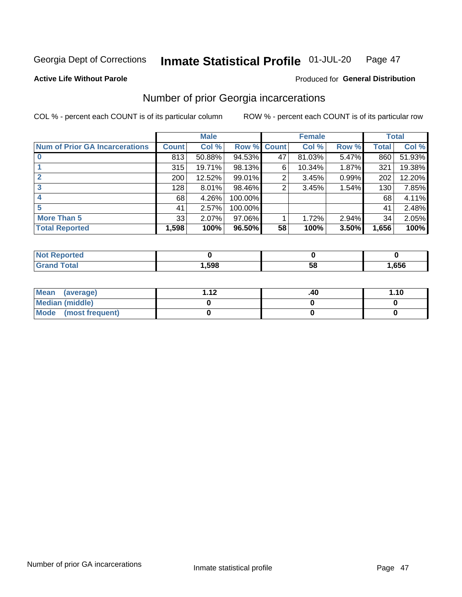#### Inmate Statistical Profile 01-JUL-20 Page 47

#### **Active Life Without Parole**

## Produced for General Distribution

## Number of prior Georgia incarcerations

COL % - percent each COUNT is of its particular column

|                                       |       | <b>Male</b> |             |    | <b>Female</b> |       |       | <b>Total</b> |
|---------------------------------------|-------|-------------|-------------|----|---------------|-------|-------|--------------|
| <b>Num of Prior GA Incarcerations</b> | Count | Col %       | Row % Count |    | Col %         | Row % | Total | Col %        |
| $\bf{0}$                              | 813   | 50.88%      | 94.53%      | 47 | 81.03%        | 5.47% | 860   | 51.93%       |
|                                       | 315   | 19.71%      | 98.13%      | 6  | 10.34%        | 1.87% | 321   | 19.38%       |
|                                       | 200   | 12.52%      | 99.01%      | 2  | 3.45%         | 0.99% | 202   | 12.20%       |
| 3                                     | 128   | $8.01\%$    | 98.46%      | 2  | 3.45%         | 1.54% | 130   | 7.85%        |
| 4                                     | 68    | 4.26%       | 100.00%     |    |               |       | 68    | 4.11%        |
| 5                                     | 41    | 2.57%       | 100.00%     |    |               |       | 41    | 2.48%        |
| <b>More Than 5</b>                    | 33    | 2.07%       | $97.06\%$   |    | 1.72%         | 2.94% | 34    | 2.05%        |
| <b>Total Reported</b>                 | 1,598 | 100%        | 96.50%      | 58 | 100%          | 3.50% | 1,656 | 100%         |

| <b>orted</b><br><b>NOT REDO</b> |      |    |      |
|---------------------------------|------|----|------|
| <b>Total</b><br>Cror            | ,598 | วช | ,656 |

| Mean (average)       | 1 1 J | .40 | 1.10 |
|----------------------|-------|-----|------|
| Median (middle)      |       |     |      |
| Mode (most frequent) |       |     |      |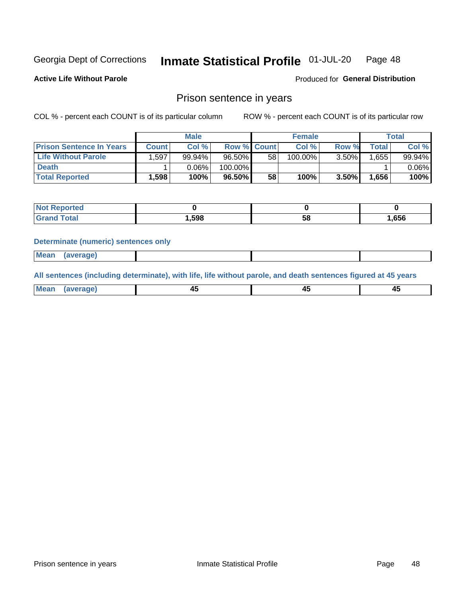#### Inmate Statistical Profile 01-JUL-20 Page 48

**Active Life Without Parole** 

Produced for General Distribution

### Prison sentence in years

COL % - percent each COUNT is of its particular column

ROW % - percent each COUNT is of its particular row

|                                 |       | <b>Male</b> |                    |    | <b>Female</b> |       |              | Total     |
|---------------------------------|-------|-------------|--------------------|----|---------------|-------|--------------|-----------|
| <b>Prison Sentence In Years</b> | Count | Col %       | <b>Row % Count</b> |    | Col %         | Row % | <b>Total</b> | Col %     |
| <b>Life Without Parole</b>      | .597  | 99.94%      | 96.50%             | 58 | 100.00%       | 3.50% | 1.655        | $99.94\%$ |
| <b>Death</b>                    |       | $0.06\%$    | $100.00\%$         |    |               |       |              | $0.06\%$  |
| <b>Total Reported</b>           | 1,598 | 100%        | 96.50%             | 58 | 100%          | 3.50% | 1.656        | 100%      |

| тео         |        |    |      |
|-------------|--------|----|------|
| <b>otal</b> | 598. ا | ວດ | .656 |

#### **Determinate (numeric) sentences only**

| ' Mea<br><b>Service</b> A<br>ЯМА. |  |  |  |
|-----------------------------------|--|--|--|
|                                   |  |  |  |

All sentences (including determinate), with life, life without parole, and death sentences figured at 45 years

| Me: |  |  |  |
|-----|--|--|--|
|     |  |  |  |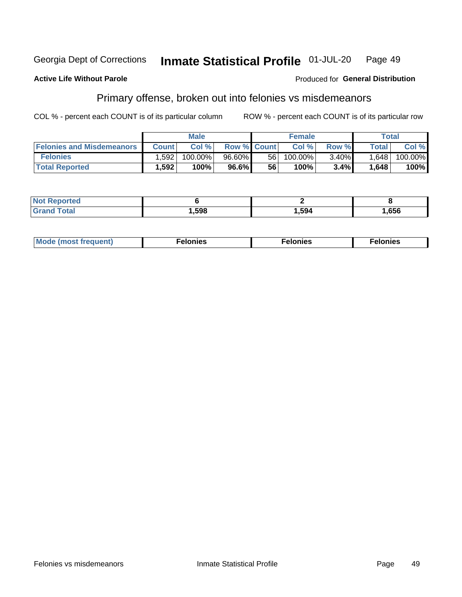#### **Georgia Dept of Corrections** Inmate Statistical Profile 01-JUL-20 Page 49

#### **Active Life Without Parole**

#### Produced for General Distribution

## Primary offense, broken out into felonies vs misdemeanors

COL % - percent each COUNT is of its particular column

|                                  |              | <b>Male</b> |                    |      | <b>Female</b> |          |              | Total   |
|----------------------------------|--------------|-------------|--------------------|------|---------------|----------|--------------|---------|
| <b>Felonies and Misdemeanors</b> | <b>Count</b> | Col%        | <b>Row % Count</b> |      | Col%          | Row %    | <b>Total</b> | Col %   |
| <b>Felonies</b>                  | .592         | 100.00%     | 96.60%             | 56 I | 100.00%       | $3.40\%$ | 1,648        | 100.00% |
| <b>Total Reported</b>            | .592         | 100%        | 96.6%              | 56   | 100%          | 3.4%     | 1,648        | 100%    |

| <b>Not Reported</b> |      |      |      |
|---------------------|------|------|------|
| <b>Grand Total</b>  | ,598 | ,594 | ,656 |

| Mode (most frequent)<br>elonies | Felonies | Felonies |
|---------------------------------|----------|----------|
|---------------------------------|----------|----------|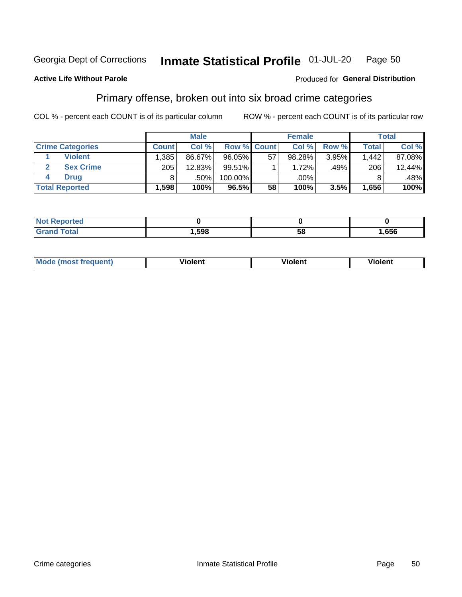#### Inmate Statistical Profile 01-JUL-20 **Georgia Dept of Corrections** Page 50

#### **Active Life Without Parole**

### Produced for General Distribution

## Primary offense, broken out into six broad crime categories

COL % - percent each COUNT is of its particular column

|                         |              | <b>Male</b> |                    |    | <b>Female</b> |       |              | <b>Total</b> |
|-------------------------|--------------|-------------|--------------------|----|---------------|-------|--------------|--------------|
| <b>Crime Categories</b> | <b>Count</b> | Col%        | <b>Row % Count</b> |    | Col%          | Row % | <b>Total</b> | Col %        |
| <b>Violent</b>          | .385         | 86.67%      | 96.05%             | 57 | 98.28%        | 3.95% | 1.442        | 87.08%       |
| <b>Sex Crime</b>        | 205          | 12.83%      | $99.51\%$          |    | 1.72%         | .49%  | 206          | $12.44\%$    |
| Drua                    | 8            | .50%        | 100.00%            |    | .00%          |       |              | .48%         |
| <b>Total Reported</b>   | 1,598        | 100%        | $96.5\%$           | 58 | 100%          | 3.5%  | 1,656        | 100%         |

| .           |      |          |     |
|-------------|------|----------|-----|
| -<br>______ | .598 | --<br>ာင | 656 |

| Mo<br>quenti | .<br>iolent<br>ΊΙ. | --<br>olent | .<br>'ent |
|--------------|--------------------|-------------|-----------|
|              |                    |             |           |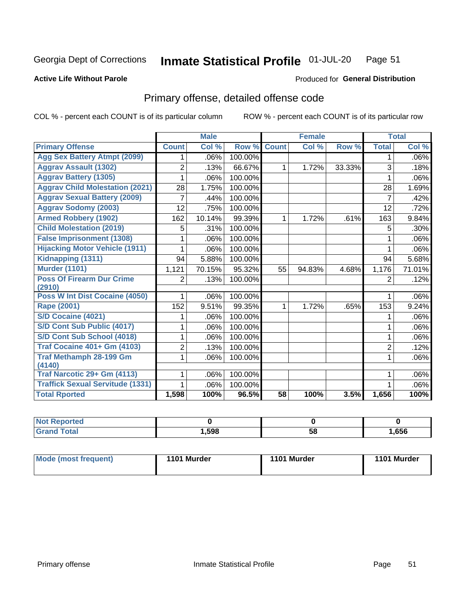#### Inmate Statistical Profile 01-JUL-20 Page 51

#### **Active Life Without Parole**

### **Produced for General Distribution**

## Primary offense, detailed offense code

COL % - percent each COUNT is of its particular column

|                                            |                | <b>Male</b>               |         |                 | <b>Female</b> |        |                | <b>Total</b> |
|--------------------------------------------|----------------|---------------------------|---------|-----------------|---------------|--------|----------------|--------------|
| <b>Primary Offense</b>                     | <b>Count</b>   | $\overline{\text{Col}}$ % | Row %   | <b>Count</b>    | Col %         | Row %  | <b>Total</b>   | Col %        |
| <b>Agg Sex Battery Atmpt (2099)</b>        | 1.             | .06%                      | 100.00% |                 |               |        | 1              | $.06\%$      |
| <b>Aggrav Assault (1302)</b>               | 2              | .13%                      | 66.67%  | 1               | 1.72%         | 33.33% | 3              | .18%         |
| <b>Aggrav Battery (1305)</b>               |                | .06%                      | 100.00% |                 |               |        | 1              | $.06\%$      |
| <b>Aggrav Child Molestation (2021)</b>     | 28             | 1.75%                     | 100.00% |                 |               |        | 28             | 1.69%        |
| <b>Aggrav Sexual Battery (2009)</b>        | 7              | .44%                      | 100.00% |                 |               |        | $\overline{7}$ | .42%         |
| <b>Aggrav Sodomy (2003)</b>                | 12             | .75%                      | 100.00% |                 |               |        | 12             | .72%         |
| <b>Armed Robbery (1902)</b>                | 162            | 10.14%                    | 99.39%  | 1.              | 1.72%         | .61%   | 163            | 9.84%        |
| <b>Child Molestation (2019)</b>            | 5              | .31%                      | 100.00% |                 |               |        | 5              | $.30\%$      |
| <b>False Imprisonment (1308)</b>           | 1              | .06%                      | 100.00% |                 |               |        | 1              | .06%         |
| <b>Hijacking Motor Vehicle (1911)</b>      | 1              | .06%                      | 100.00% |                 |               |        | 1              | $.06\%$      |
| Kidnapping (1311)                          | 94             | 5.88%                     | 100.00% |                 |               |        | 94             | 5.68%        |
| <b>Murder (1101)</b>                       | 1,121          | 70.15%                    | 95.32%  | 55              | 94.83%        | 4.68%  | 1,176          | 71.01%       |
| <b>Poss Of Firearm Dur Crime</b><br>(2910) | 2              | .13%                      | 100.00% |                 |               |        | $\overline{2}$ | .12%         |
| Poss W Int Dist Cocaine (4050)             | 1              | .06%                      | 100.00% |                 |               |        | 1              | $.06\%$      |
| <b>Rape (2001)</b>                         | 152            | 9.51%                     | 99.35%  | $\mathbf 1$     | 1.72%         | .65%   | 153            | 9.24%        |
| S/D Cocaine (4021)                         |                | .06%                      | 100.00% |                 |               |        |                | $.06\%$      |
| S/D Cont Sub Public (4017)                 | 1              | .06%                      | 100.00% |                 |               |        | 1              | $.06\%$      |
| S/D Cont Sub School (4018)                 | 1              | .06%                      | 100.00% |                 |               |        | 1              | $.06\%$      |
| <b>Traf Cocaine 401+ Gm (4103)</b>         | $\overline{2}$ | .13%                      | 100.00% |                 |               |        | $\overline{2}$ | .12%         |
| Traf Methamph 28-199 Gm<br>(4140)          | 1              | .06%                      | 100.00% |                 |               |        | 1              | $.06\%$      |
| Traf Narcotic 29+ Gm (4113)                |                | .06%                      | 100.00% |                 |               |        |                | $.06\%$      |
| <b>Traffick Sexual Servitude (1331)</b>    |                | .06%                      | 100.00% |                 |               |        |                | .06%         |
| <b>Total Rported</b>                       | 1,598          | 100%                      | 96.5%   | $\overline{58}$ | 100%          | 3.5%   | 1,656          | 100%         |

| eported<br><b>NOT</b> |      |    |      |
|-----------------------|------|----|------|
| Гоtal                 | ,598 | 58 | ,656 |

| Mode (most frequent) | 1101 Murder | 1101 Murder | 1101 Murder |
|----------------------|-------------|-------------|-------------|
|----------------------|-------------|-------------|-------------|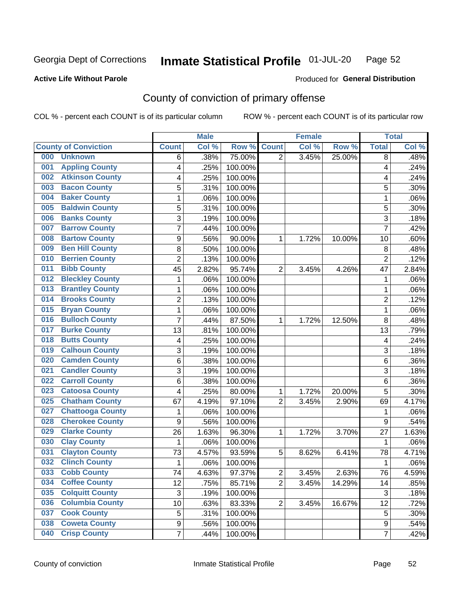#### Inmate Statistical Profile 01-JUL-20 Page 52

### **Active Life Without Parole**

### Produced for General Distribution

## County of conviction of primary offense

COL % - percent each COUNT is of its particular column

|     |                             |                  | <b>Male</b> |         |                | <b>Female</b> |        |                | <b>Total</b> |
|-----|-----------------------------|------------------|-------------|---------|----------------|---------------|--------|----------------|--------------|
|     | <b>County of Conviction</b> | <b>Count</b>     | Col %       | Row %   | <b>Count</b>   | Col %         | Row %  | <b>Total</b>   | Col %        |
| 000 | <b>Unknown</b>              | 6                | .38%        | 75.00%  | $\overline{2}$ | 3.45%         | 25.00% | 8              | .48%         |
| 001 | <b>Appling County</b>       | 4                | .25%        | 100.00% |                |               |        | 4              | .24%         |
| 002 | <b>Atkinson County</b>      | 4                | .25%        | 100.00% |                |               |        | 4              | .24%         |
| 003 | <b>Bacon County</b>         | 5                | .31%        | 100.00% |                |               |        | 5              | .30%         |
| 004 | <b>Baker County</b>         | $\mathbf{1}$     | .06%        | 100.00% |                |               |        | 1              | .06%         |
| 005 | <b>Baldwin County</b>       | 5                | .31%        | 100.00% |                |               |        | 5              | .30%         |
| 006 | <b>Banks County</b>         | 3                | .19%        | 100.00% |                |               |        | $\overline{3}$ | .18%         |
| 007 | <b>Barrow County</b>        | $\overline{7}$   | .44%        | 100.00% |                |               |        | $\overline{7}$ | .42%         |
| 008 | <b>Bartow County</b>        | 9                | .56%        | 90.00%  | 1              | 1.72%         | 10.00% | 10             | .60%         |
| 009 | <b>Ben Hill County</b>      | 8                | .50%        | 100.00% |                |               |        | 8              | .48%         |
| 010 | <b>Berrien County</b>       | $\overline{c}$   | .13%        | 100.00% |                |               |        | $\overline{2}$ | .12%         |
| 011 | <b>Bibb County</b>          | 45               | 2.82%       | 95.74%  | $\overline{2}$ | 3.45%         | 4.26%  | 47             | 2.84%        |
| 012 | <b>Bleckley County</b>      | $\mathbf{1}$     | .06%        | 100.00% |                |               |        | $\mathbf{1}$   | .06%         |
| 013 | <b>Brantley County</b>      | $\mathbf{1}$     | .06%        | 100.00% |                |               |        | $\mathbf{1}$   | .06%         |
| 014 | <b>Brooks County</b>        | $\overline{c}$   | .13%        | 100.00% |                |               |        | $\overline{2}$ | .12%         |
| 015 | <b>Bryan County</b>         | $\mathbf{1}$     | .06%        | 100.00% |                |               |        | $\mathbf{1}$   | .06%         |
| 016 | <b>Bulloch County</b>       | 7                | .44%        | 87.50%  | 1              | 1.72%         | 12.50% | 8              | .48%         |
| 017 | <b>Burke County</b>         | 13               | .81%        | 100.00% |                |               |        | 13             | .79%         |
| 018 | <b>Butts County</b>         | 4                | .25%        | 100.00% |                |               |        | 4              | .24%         |
| 019 | <b>Calhoun County</b>       | 3                | .19%        | 100.00% |                |               |        | $\overline{3}$ | .18%         |
| 020 | <b>Camden County</b>        | 6                | .38%        | 100.00% |                |               |        | 6              | .36%         |
| 021 | <b>Candler County</b>       | 3                | .19%        | 100.00% |                |               |        | 3              | .18%         |
| 022 | <b>Carroll County</b>       | 6                | .38%        | 100.00% |                |               |        | 6              | .36%         |
| 023 | <b>Catoosa County</b>       | 4                | .25%        | 80.00%  | 1              | 1.72%         | 20.00% | 5              | .30%         |
| 025 | <b>Chatham County</b>       | 67               | 4.19%       | 97.10%  | $\overline{2}$ | 3.45%         | 2.90%  | 69             | 4.17%        |
| 027 | <b>Chattooga County</b>     | 1                | .06%        | 100.00% |                |               |        | 1              | .06%         |
| 028 | <b>Cherokee County</b>      | $\boldsymbol{9}$ | .56%        | 100.00% |                |               |        | 9              | .54%         |
| 029 | <b>Clarke County</b>        | 26               | 1.63%       | 96.30%  | 1              | 1.72%         | 3.70%  | 27             | 1.63%        |
| 030 | <b>Clay County</b>          | $\mathbf{1}$     | .06%        | 100.00% |                |               |        | $\mathbf{1}$   | .06%         |
| 031 | <b>Clayton County</b>       | 73               | 4.57%       | 93.59%  | 5              | 8.62%         | 6.41%  | 78             | 4.71%        |
| 032 | <b>Clinch County</b>        | 1                | .06%        | 100.00% |                |               |        | 1              | .06%         |
| 033 | <b>Cobb County</b>          | 74               | 4.63%       | 97.37%  | 2              | 3.45%         | 2.63%  | 76             | 4.59%        |
| 034 | <b>Coffee County</b>        | 12               | .75%        | 85.71%  | $\overline{2}$ | 3.45%         | 14.29% | 14             | .85%         |
| 035 | <b>Colquitt County</b>      | $\mathfrak{S}$   | .19%        | 100.00% |                |               |        | 3              | .18%         |
| 036 | <b>Columbia County</b>      | 10               | .63%        | 83.33%  | $\overline{2}$ | 3.45%         | 16.67% | 12             | .72%         |
| 037 | <b>Cook County</b>          | 5                | .31%        | 100.00% |                |               |        | 5              | .30%         |
| 038 | <b>Coweta County</b>        | 9                | .56%        | 100.00% |                |               |        | 9              | .54%         |
| 040 | <b>Crisp County</b>         | $\overline{7}$   | .44%        | 100.00% |                |               |        | $\overline{7}$ | .42%         |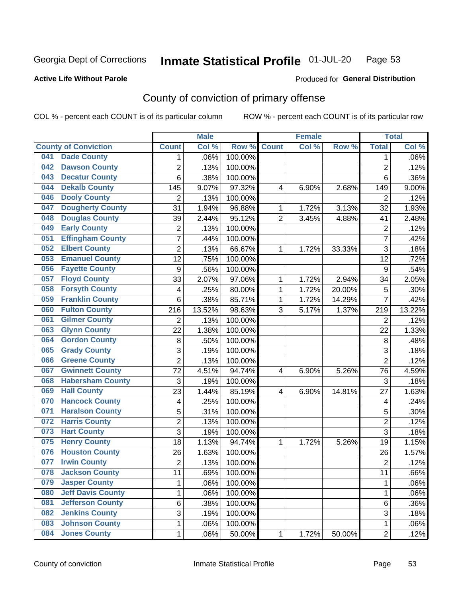#### Inmate Statistical Profile 01-JUL-20 Page 53

### **Active Life Without Parole**

### Produced for General Distribution

## County of conviction of primary offense

COL % - percent each COUNT is of its particular column

|     |                             |                  | <b>Male</b> |         |                | <b>Female</b> |           |                | <b>Total</b> |
|-----|-----------------------------|------------------|-------------|---------|----------------|---------------|-----------|----------------|--------------|
|     | <b>County of Conviction</b> | <b>Count</b>     | Col %       | Row %   | <b>Count</b>   | Col %         | Row %     | <b>Total</b>   | Col %        |
| 041 | <b>Dade County</b>          | 1                | .06%        | 100.00% |                |               |           | 1              | .06%         |
| 042 | <b>Dawson County</b>        | $\overline{2}$   | .13%        | 100.00% |                |               |           | $\overline{2}$ | .12%         |
| 043 | <b>Decatur County</b>       | 6                | .38%        | 100.00% |                |               |           | 6              | .36%         |
| 044 | <b>Dekalb County</b>        | 145              | 9.07%       | 97.32%  | 4              | 6.90%         | 2.68%     | 149            | 9.00%        |
| 046 | <b>Dooly County</b>         | $\overline{2}$   | .13%        | 100.00% |                |               |           | $\overline{2}$ | .12%         |
| 047 | <b>Dougherty County</b>     | 31               | 1.94%       | 96.88%  | 1              | 1.72%         | 3.13%     | 32             | 1.93%        |
| 048 | <b>Douglas County</b>       | 39               | 2.44%       | 95.12%  | $\overline{2}$ | 3.45%         | 4.88%     | 41             | 2.48%        |
| 049 | <b>Early County</b>         | $\mathbf 2$      | .13%        | 100.00% |                |               |           | $\overline{2}$ | .12%         |
| 051 | <b>Effingham County</b>     | 7                | .44%        | 100.00% |                |               |           | $\overline{7}$ | .42%         |
| 052 | <b>Elbert County</b>        | $\overline{2}$   | .13%        | 66.67%  | 1              | 1.72%         | 33.33%    | 3              | .18%         |
| 053 | <b>Emanuel County</b>       | 12               | .75%        | 100.00% |                |               |           | 12             | .72%         |
| 056 | <b>Fayette County</b>       | $\boldsymbol{9}$ | .56%        | 100.00% |                |               |           | 9              | .54%         |
| 057 | <b>Floyd County</b>         | 33               | 2.07%       | 97.06%  | $\mathbf{1}$   | 1.72%         | 2.94%     | 34             | 2.05%        |
| 058 | <b>Forsyth County</b>       | 4                | .25%        | 80.00%  | 1              | 1.72%         | 20.00%    | 5              | .30%         |
| 059 | <b>Franklin County</b>      | 6                | .38%        | 85.71%  | 1              | 1.72%         | 14.29%    | $\overline{7}$ | .42%         |
| 060 | <b>Fulton County</b>        | 216              | 13.52%      | 98.63%  | 3              | 5.17%         | 1.37%     | 219            | 13.22%       |
| 061 | <b>Gilmer County</b>        | $\overline{2}$   | .13%        | 100.00% |                |               |           | $\overline{2}$ | .12%         |
| 063 | <b>Glynn County</b>         | 22               | 1.38%       | 100.00% |                |               |           | 22             | 1.33%        |
| 064 | <b>Gordon County</b>        | 8                | .50%        | 100.00% |                |               |           | 8              | .48%         |
| 065 | <b>Grady County</b>         | 3                | .19%        | 100.00% |                |               |           | 3              | .18%         |
| 066 | <b>Greene County</b>        | $\overline{2}$   | .13%        | 100.00% |                |               |           | $\overline{2}$ | .12%         |
| 067 | <b>Gwinnett County</b>      | 72               | 4.51%       | 94.74%  | 4              | 6.90%         | 5.26%     | 76             | 4.59%        |
| 068 | <b>Habersham County</b>     | 3                | .19%        | 100.00% |                |               |           | 3              | .18%         |
| 069 | <b>Hall County</b>          | 23               | 1.44%       | 85.19%  | 4              | 6.90%         | 14.81%    | 27             | 1.63%        |
| 070 | <b>Hancock County</b>       | 4                | .25%        | 100.00% |                |               |           | 4              | .24%         |
| 071 | <b>Haralson County</b>      | 5                | .31%        | 100.00% |                |               |           | 5              | .30%         |
| 072 | <b>Harris County</b>        | $\overline{2}$   | .13%        | 100.00% |                |               |           | $\overline{2}$ | .12%         |
| 073 | <b>Hart County</b>          | 3                | .19%        | 100.00% |                |               |           | $\overline{3}$ | .18%         |
| 075 | <b>Henry County</b>         | 18               | 1.13%       | 94.74%  | $\mathbf{1}$   | 1.72%         | 5.26%     | 19             | 1.15%        |
| 076 | <b>Houston County</b>       | 26               | 1.63%       | 100.00% |                |               |           | 26             | 1.57%        |
| 077 | <b>Irwin County</b>         | $\overline{2}$   | .13%        | 100.00% |                |               |           | $\overline{2}$ | .12%         |
| 078 | <b>Jackson County</b>       | 11               | .69%        | 100.00% |                |               |           | 11             | .66%         |
| 079 | <b>Jasper County</b>        | $\mathbf{1}$     | .06%        | 100.00% |                |               |           | $\mathbf{1}$   | .06%         |
| 080 | <b>Jeff Davis County</b>    | 1                | .06%        | 100.00% |                |               |           | $\mathbf{1}$   | .06%         |
| 081 | <b>Jefferson County</b>     | 6                | .38%        | 100.00% |                |               |           | 6              | .36%         |
| 082 | <b>Jenkins County</b>       | 3                | .19%        | 100.00% |                |               |           | 3              | .18%         |
| 083 | <b>Johnson County</b>       | 1                | .06%        | 100.00% |                |               |           | $\mathbf 1$    | .06%         |
| 084 | <b>Jones County</b>         | $\mathbf 1$      | .06%        | 50.00%  | 1              | 1.72%         | $50.00\%$ | $\overline{2}$ | .12%         |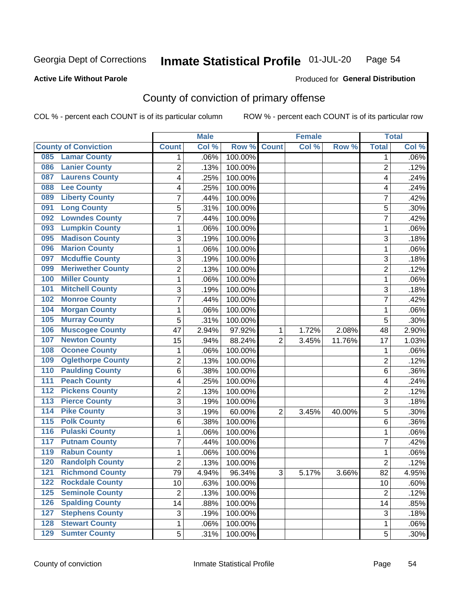#### Inmate Statistical Profile 01-JUL-20 Page 54

**Active Life Without Parole** 

Produced for General Distribution

## County of conviction of primary offense

COL % - percent each COUNT is of its particular column

|                  |                             |                 | <b>Male</b> |         |                | <b>Female</b> |          |                 | <b>Total</b> |
|------------------|-----------------------------|-----------------|-------------|---------|----------------|---------------|----------|-----------------|--------------|
|                  | <b>County of Conviction</b> | <b>Count</b>    | Col %       | Row %   | <b>Count</b>   | Col %         | Row %    | <b>Total</b>    | Col %        |
| 085              | <b>Lamar County</b>         | 1               | .06%        | 100.00% |                |               |          | 1               | $.06\%$      |
| 086              | <b>Lanier County</b>        | $\overline{2}$  | .13%        | 100.00% |                |               |          | $\overline{2}$  | .12%         |
| 087              | <b>Laurens County</b>       | 4               | .25%        | 100.00% |                |               |          | 4               | .24%         |
| 088              | <b>Lee County</b>           | 4               | .25%        | 100.00% |                |               |          | 4               | .24%         |
| 089              | <b>Liberty County</b>       | 7               | .44%        | 100.00% |                |               |          | 7               | .42%         |
| 091              | <b>Long County</b>          | 5               | .31%        | 100.00% |                |               |          | 5               | .30%         |
| 092              | <b>Lowndes County</b>       | 7               | .44%        | 100.00% |                |               |          | 7               | .42%         |
| 093              | <b>Lumpkin County</b>       | 1               | .06%        | 100.00% |                |               |          | 1               | .06%         |
| 095              | <b>Madison County</b>       | 3               | .19%        | 100.00% |                |               |          | 3               | .18%         |
| 096              | <b>Marion County</b>        | 1               | .06%        | 100.00% |                |               |          | 1               | .06%         |
| 097              | <b>Mcduffie County</b>      | 3               | .19%        | 100.00% |                |               |          | 3               | .18%         |
| 099              | <b>Meriwether County</b>    | $\overline{2}$  | .13%        | 100.00% |                |               |          | $\overline{2}$  | .12%         |
| 100              | <b>Miller County</b>        | 1               | .06%        | 100.00% |                |               |          | 1               | .06%         |
| 101              | <b>Mitchell County</b>      | 3               | .19%        | 100.00% |                |               |          | 3               | .18%         |
| 102              | <b>Monroe County</b>        | 7               | .44%        | 100.00% |                |               |          | $\overline{7}$  | .42%         |
| 104              | <b>Morgan County</b>        | 1               | .06%        | 100.00% |                |               |          | 1               | .06%         |
| 105              | <b>Murray County</b>        | 5               | .31%        | 100.00% |                |               |          | 5               | .30%         |
| 106              | <b>Muscogee County</b>      | 47              | 2.94%       | 97.92%  | 1              | 1.72%         | 2.08%    | 48              | 2.90%        |
| 107              | <b>Newton County</b>        | 15              | .94%        | 88.24%  | $\overline{2}$ | 3.45%         | 11.76%   | 17              | 1.03%        |
| 108              | <b>Oconee County</b>        | 1               | .06%        | 100.00% |                |               |          | 1               | .06%         |
| 109              | <b>Oglethorpe County</b>    | 2               | .13%        | 100.00% |                |               |          | 2               | .12%         |
| 110              | <b>Paulding County</b>      | 6               | .38%        | 100.00% |                |               |          | 6               | .36%         |
| 111              | <b>Peach County</b>         | 4               | .25%        | 100.00% |                |               |          | 4               | .24%         |
| 112              | <b>Pickens County</b>       | $\overline{2}$  | .13%        | 100.00% |                |               |          | $\overline{2}$  | .12%         |
| 113              | <b>Pierce County</b>        | 3               | .19%        | 100.00% |                |               |          | 3               | .18%         |
| $\overline{114}$ | <b>Pike County</b>          | 3               | .19%        | 60.00%  | $\overline{2}$ | 3.45%         | 40.00%   | 5               | .30%         |
| $\overline{115}$ | <b>Polk County</b>          | 6               | .38%        | 100.00% |                |               |          | 6               | .36%         |
| 116              | <b>Pulaski County</b>       | 1               | .06%        | 100.00% |                |               |          | 1               | .06%         |
| 117              | <b>Putnam County</b>        | 7               | .44%        | 100.00% |                |               |          | 7               | .42%         |
| 119              | <b>Rabun County</b>         | 1               | .06%        | 100.00% |                |               |          | 1               | .06%         |
| 120              | <b>Randolph County</b>      | 2               | .13%        | 100.00% |                |               |          | 2               | .12%         |
|                  | <b>121 Richmond County</b>  | $\overline{79}$ | 4.94%       | 96.34%  | 3              | 5.17%         | $3.66\%$ | $\overline{82}$ | 4.95%        |
| 122              | <b>Rockdale County</b>      | 10              | .63%        | 100.00% |                |               |          | 10              | .60%         |
| $125$            | <b>Seminole County</b>      | $\overline{2}$  | .13%        | 100.00% |                |               |          | $\overline{2}$  | .12%         |
| 126              | <b>Spalding County</b>      | 14              | .88%        | 100.00% |                |               |          | 14              | .85%         |
| 127              | <b>Stephens County</b>      | 3               | .19%        | 100.00% |                |               |          | 3               | .18%         |
| 128              | <b>Stewart County</b>       | 1               | .06%        | 100.00% |                |               |          | 1               | .06%         |
| 129              | <b>Sumter County</b>        | 5               | .31%        | 100.00% |                |               |          | 5               | .30%         |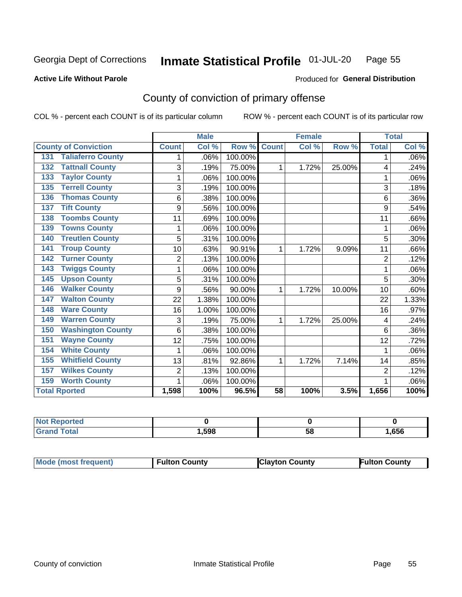#### Inmate Statistical Profile 01-JUL-20 Page 55

#### **Active Life Without Parole**

#### Produced for General Distribution

## County of conviction of primary offense

COL % - percent each COUNT is of its particular column

|                                 |                | <b>Male</b> |         |              | <b>Female</b> |        |                | <b>Total</b> |
|---------------------------------|----------------|-------------|---------|--------------|---------------|--------|----------------|--------------|
| <b>County of Conviction</b>     | <b>Count</b>   | Col %       | Row %   | <b>Count</b> | Col %         | Row %  | <b>Total</b>   | Col %        |
| <b>Taliaferro County</b><br>131 |                | .06%        | 100.00% |              |               |        | 1              | .06%         |
| <b>Tattnall County</b><br>132   | 3              | .19%        | 75.00%  | 1            | 1.72%         | 25.00% | 4              | .24%         |
| <b>Taylor County</b><br>133     | 1              | .06%        | 100.00% |              |               |        | 1              | .06%         |
| <b>Terrell County</b><br>135    | 3              | .19%        | 100.00% |              |               |        | 3              | .18%         |
| <b>Thomas County</b><br>136     | 6              | .38%        | 100.00% |              |               |        | 6              | .36%         |
| <b>Tift County</b><br>137       | 9              | .56%        | 100.00% |              |               |        | 9              | .54%         |
| <b>Toombs County</b><br>138     | 11             | .69%        | 100.00% |              |               |        | 11             | .66%         |
| <b>Towns County</b><br>139      | 1              | .06%        | 100.00% |              |               |        | 1              | .06%         |
| <b>Treutlen County</b><br>140   | 5              | .31%        | 100.00% |              |               |        | 5              | .30%         |
| <b>Troup County</b><br>141      | 10             | .63%        | 90.91%  | 1            | 1.72%         | 9.09%  | 11             | .66%         |
| <b>Turner County</b><br>142     | $\overline{2}$ | .13%        | 100.00% |              |               |        | $\overline{2}$ | .12%         |
| <b>Twiggs County</b><br>143     | 1              | .06%        | 100.00% |              |               |        | 1              | .06%         |
| <b>Upson County</b><br>145      | 5              | .31%        | 100.00% |              |               |        | 5              | .30%         |
| <b>Walker County</b><br>146     | 9              | .56%        | 90.00%  | 1            | 1.72%         | 10.00% | 10             | .60%         |
| <b>Walton County</b><br>147     | 22             | 1.38%       | 100.00% |              |               |        | 22             | 1.33%        |
| <b>Ware County</b><br>148       | 16             | 1.00%       | 100.00% |              |               |        | 16             | .97%         |
| <b>Warren County</b><br>149     | 3              | .19%        | 75.00%  | 1            | 1.72%         | 25.00% | 4              | .24%         |
| <b>Washington County</b><br>150 | 6              | .38%        | 100.00% |              |               |        | 6              | .36%         |
| <b>Wayne County</b><br>151      | 12             | .75%        | 100.00% |              |               |        | 12             | .72%         |
| <b>White County</b><br>154      | 1              | .06%        | 100.00% |              |               |        | 1              | .06%         |
| <b>Whitfield County</b><br>155  | 13             | .81%        | 92.86%  | 1            | 1.72%         | 7.14%  | 14             | .85%         |
| <b>Wilkes County</b><br>157     | $\overline{2}$ | .13%        | 100.00% |              |               |        | $\overline{2}$ | .12%         |
| <b>Worth County</b><br>159      | 1              | .06%        | 100.00% |              |               |        |                | .06%         |
| <b>Total Rported</b>            | 1,598          | 100%        | 96.5%   | 58           | 100%          | 3.5%   | 1,656          | 100%         |

| τeα |      |    |      |
|-----|------|----|------|
|     | ,598 | 58 | ,656 |

| <b>Mode (most frequent)</b> | <b>Fulton County</b> | <b>Clayton County</b> | <b>Fulton County</b> |
|-----------------------------|----------------------|-----------------------|----------------------|
|-----------------------------|----------------------|-----------------------|----------------------|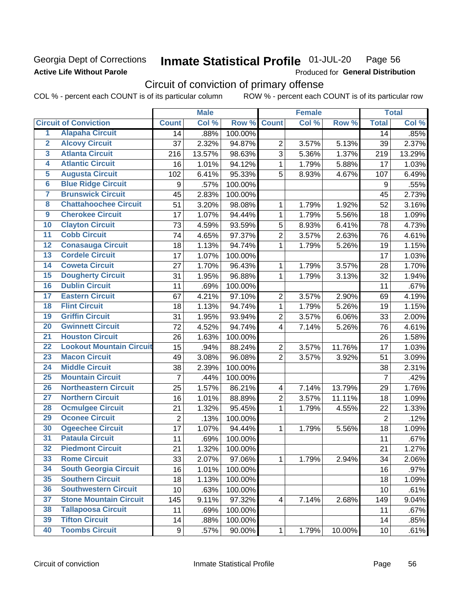### **Georgia Dept of Corrections Active Life Without Parole**

#### Inmate Statistical Profile 01-JUL-20 Page 56

Produced for General Distribution

## Circuit of conviction of primary offense

|                         |                                 | <b>Male</b>      |        | <b>Female</b>    |                          |       | <b>Total</b> |                |        |
|-------------------------|---------------------------------|------------------|--------|------------------|--------------------------|-------|--------------|----------------|--------|
|                         | <b>Circuit of Conviction</b>    | <b>Count</b>     | Col %  | Row <sup>%</sup> | <b>Count</b>             | Col % | Row %        | <b>Total</b>   | Col %  |
| 1                       | <b>Alapaha Circuit</b>          | 14               | .88%   | 100.00%          |                          |       |              | 14             | .85%   |
| $\overline{2}$          | <b>Alcovy Circuit</b>           | 37               | 2.32%  | 94.87%           | $\overline{2}$           | 3.57% | 5.13%        | 39             | 2.37%  |
| $\overline{\mathbf{3}}$ | <b>Atlanta Circuit</b>          | 216              | 13.57% | 98.63%           | 3                        | 5.36% | 1.37%        | 219            | 13.29% |
| $\overline{4}$          | <b>Atlantic Circuit</b>         | 16               | 1.01%  | 94.12%           | 1                        | 1.79% | 5.88%        | 17             | 1.03%  |
| 5                       | <b>Augusta Circuit</b>          | 102              | 6.41%  | 95.33%           | 5                        | 8.93% | 4.67%        | 107            | 6.49%  |
| $\overline{\bf{6}}$     | <b>Blue Ridge Circuit</b>       | 9                | .57%   | 100.00%          |                          |       |              | 9              | .55%   |
| 7                       | <b>Brunswick Circuit</b>        | 45               | 2.83%  | 100.00%          |                          |       |              | 45             | 2.73%  |
| $\overline{\mathbf{8}}$ | <b>Chattahoochee Circuit</b>    | 51               | 3.20%  | 98.08%           | 1                        | 1.79% | 1.92%        | 52             | 3.16%  |
| $\overline{9}$          | <b>Cherokee Circuit</b>         | 17               | 1.07%  | 94.44%           | 1                        | 1.79% | 5.56%        | 18             | 1.09%  |
| 10                      | <b>Clayton Circuit</b>          | 73               | 4.59%  | 93.59%           | 5                        | 8.93% | 6.41%        | 78             | 4.73%  |
| $\overline{11}$         | <b>Cobb Circuit</b>             | 74               | 4.65%  | 97.37%           | $\overline{2}$           | 3.57% | 2.63%        | 76             | 4.61%  |
| $\overline{12}$         | <b>Conasauga Circuit</b>        | 18               | 1.13%  | 94.74%           | 1                        | 1.79% | 5.26%        | 19             | 1.15%  |
| 13                      | <b>Cordele Circuit</b>          | 17               | 1.07%  | 100.00%          |                          |       |              | 17             | 1.03%  |
| 14                      | <b>Coweta Circuit</b>           | 27               | 1.70%  | 96.43%           | 1                        | 1.79% | 3.57%        | 28             | 1.70%  |
| 15                      | <b>Dougherty Circuit</b>        | 31               | 1.95%  | 96.88%           | $\mathbf{1}$             | 1.79% | 3.13%        | 32             | 1.94%  |
| 16                      | <b>Dublin Circuit</b>           | 11               | .69%   | 100.00%          |                          |       |              | 11             | .67%   |
| 17                      | <b>Eastern Circuit</b>          | 67               | 4.21%  | 97.10%           | $\overline{2}$           | 3.57% | 2.90%        | 69             | 4.19%  |
| $\overline{18}$         | <b>Flint Circuit</b>            | 18               | 1.13%  | 94.74%           | 1                        | 1.79% | 5.26%        | 19             | 1.15%  |
| 19                      | <b>Griffin Circuit</b>          | 31               | 1.95%  | 93.94%           | $\mathbf 2$              | 3.57% | 6.06%        | 33             | 2.00%  |
| $\overline{20}$         | <b>Gwinnett Circuit</b>         | 72               | 4.52%  | 94.74%           | 4                        | 7.14% | 5.26%        | 76             | 4.61%  |
| $\overline{21}$         | <b>Houston Circuit</b>          | 26               | 1.63%  | 100.00%          |                          |       |              | 26             | 1.58%  |
| $\overline{22}$         | <b>Lookout Mountain Circuit</b> | 15               | .94%   | 88.24%           | $\overline{2}$           | 3.57% | 11.76%       | 17             | 1.03%  |
| 23                      | <b>Macon Circuit</b>            | 49               | 3.08%  | 96.08%           | $\overline{2}$           | 3.57% | 3.92%        | 51             | 3.09%  |
| $\overline{24}$         | <b>Middle Circuit</b>           | 38               | 2.39%  | 100.00%          |                          |       |              | 38             | 2.31%  |
| $\overline{25}$         | <b>Mountain Circuit</b>         | $\overline{7}$   | .44%   | 100.00%          |                          |       |              | $\overline{7}$ | .42%   |
| 26                      | <b>Northeastern Circuit</b>     | 25               | 1.57%  | 86.21%           | $\overline{\mathbf{4}}$  | 7.14% | 13.79%       | 29             | 1.76%  |
| $\overline{27}$         | <b>Northern Circuit</b>         | 16               | 1.01%  | 88.89%           | $\overline{2}$           | 3.57% | 11.11%       | 18             | 1.09%  |
| 28                      | <b>Ocmulgee Circuit</b>         | 21               | 1.32%  | 95.45%           | 1                        | 1.79% | 4.55%        | 22             | 1.33%  |
| 29                      | <b>Oconee Circuit</b>           | $\overline{2}$   | .13%   | 100.00%          |                          |       |              | $\overline{2}$ | .12%   |
| 30                      | <b>Ogeechee Circuit</b>         | 17               | 1.07%  | 94.44%           | 1                        | 1.79% | 5.56%        | 18             | 1.09%  |
| $\overline{31}$         | <b>Pataula Circuit</b>          | 11               | .69%   | 100.00%          |                          |       |              | 11             | .67%   |
| 32                      | <b>Piedmont Circuit</b>         | 21               | 1.32%  | 100.00%          |                          |       |              | 21             | 1.27%  |
| 33                      | <b>Rome Circuit</b>             | 33               | 2.07%  | 97.06%           | $\mathbf{1}$             | 1.79% | 2.94%        | 34             | 2.06%  |
| 34                      | <b>South Georgia Circuit</b>    | 16               | 1.01%  | 100.00%          |                          |       |              | 16             | .97%   |
| 35                      | <b>Southern Circuit</b>         | 18               | 1.13%  | 100.00%          |                          |       |              | 18             | 1.09%  |
| 36                      | <b>Southwestern Circuit</b>     | 10               | .63%   | 100.00%          |                          |       |              | 10             | .61%   |
| 37                      | <b>Stone Mountain Circuit</b>   | 145              | 9.11%  | 97.32%           | $\overline{\mathcal{A}}$ | 7.14% | 2.68%        | 149            | 9.04%  |
| 38                      | <b>Tallapoosa Circuit</b>       | 11               | .69%   | 100.00%          |                          |       |              | 11             | .67%   |
| 39                      | <b>Tifton Circuit</b>           | 14               | .88%   | 100.00%          |                          |       |              | 14             | .85%   |
| 40                      | <b>Toombs Circuit</b>           | $\boldsymbol{9}$ | .57%   | 90.00%           | 1                        | 1.79% | 10.00%       | 10             | .61%   |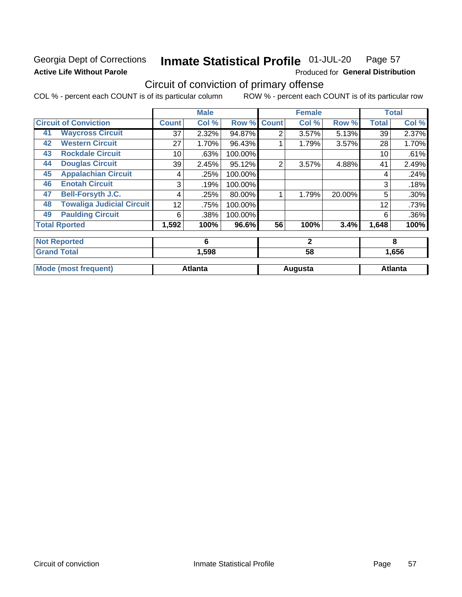## **Georgia Dept of Corrections Active Life Without Parole**

#### Inmate Statistical Profile 01-JUL-20 Page 57

Produced for General Distribution

## Circuit of conviction of primary offense

|    |                                  |              | <b>Male</b>    |         |                | <b>Female</b> |        |              | <b>Total</b>   |
|----|----------------------------------|--------------|----------------|---------|----------------|---------------|--------|--------------|----------------|
|    | <b>Circuit of Conviction</b>     | <b>Count</b> | Col %          | Row %   | <b>Count</b>   | Col %         | Row %  | <b>Total</b> | Col %          |
| 41 | <b>Waycross Circuit</b>          | 37           | 2.32%          | 94.87%  | 2              | 3.57%         | 5.13%  | 39           | 2.37%          |
| 42 | <b>Western Circuit</b>           | 27           | 1.70%          | 96.43%  |                | 1.79%         | 3.57%  | 28           | 1.70%          |
| 43 | <b>Rockdale Circuit</b>          | 10           | .63%           | 100.00% |                |               |        | 10           | .61%           |
| 44 | <b>Douglas Circuit</b>           | 39           | 2.45%          | 95.12%  | $\overline{2}$ | 3.57%         | 4.88%  | 41           | 2.49%          |
| 45 | <b>Appalachian Circuit</b>       | 4            | .25%           | 100.00% |                |               |        | 4            | .24%           |
| 46 | <b>Enotah Circuit</b>            | 3            | .19%           | 100.00% |                |               |        | 3            | .18%           |
| 47 | <b>Bell-Forsyth J.C.</b>         | 4            | .25%           | 80.00%  |                | 1.79%         | 20.00% | 5            | .30%           |
| 48 | <b>Towaliga Judicial Circuit</b> | 12           | .75%           | 100.00% |                |               |        | 12           | .73%           |
| 49 | <b>Paulding Circuit</b>          | 6            | .38%           | 100.00% |                |               |        | 6            | .36%           |
|    | <b>Total Rported</b>             | 1,592        | 100%           | 96.6%   | 56             | 100%          | 3.4%   | 1,648        | 100%           |
|    | <b>Not Reported</b>              |              | 6              |         |                | $\mathbf{2}$  |        |              | 8              |
|    | <b>Grand Total</b>               |              | 1,598          |         |                | 58            |        |              | 1,656          |
|    | <b>Mode (most frequent)</b>      |              | <b>Atlanta</b> |         |                | Augusta       |        |              | <b>Atlanta</b> |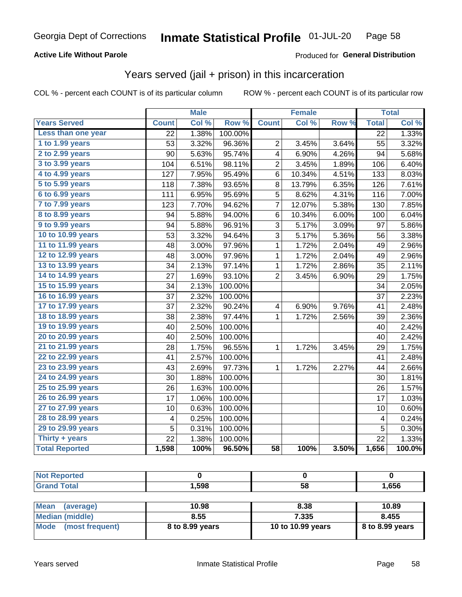### **Active Life Without Parole**

### Produced for General Distribution

## Years served (jail + prison) in this incarceration

COL % - percent each COUNT is of its particular column

|                       |                 | <b>Male</b> |         |                         | <b>Female</b> |       |                 | <b>Total</b> |
|-----------------------|-----------------|-------------|---------|-------------------------|---------------|-------|-----------------|--------------|
| <b>Years Served</b>   | <b>Count</b>    | Col %       | Row %   | <b>Count</b>            | Col %         | Row % | <b>Total</b>    | Col%         |
| Less than one year    | 22              | 1.38%       | 100.00% |                         |               |       | $\overline{22}$ | 1.33%        |
| 1 to 1.99 years       | 53              | 3.32%       | 96.36%  | $\overline{2}$          | 3.45%         | 3.64% | 55              | 3.32%        |
| 2 to 2.99 years       | 90              | 5.63%       | 95.74%  | 4                       | 6.90%         | 4.26% | 94              | 5.68%        |
| 3 to 3.99 years       | 104             | 6.51%       | 98.11%  | $\overline{\mathbf{c}}$ | 3.45%         | 1.89% | 106             | 6.40%        |
| 4 to 4.99 years       | 127             | 7.95%       | 95.49%  | 6                       | 10.34%        | 4.51% | 133             | 8.03%        |
| 5 to 5.99 years       | 118             | 7.38%       | 93.65%  | 8                       | 13.79%        | 6.35% | 126             | 7.61%        |
| 6 to 6.99 years       | 111             | 6.95%       | 95.69%  | 5                       | 8.62%         | 4.31% | 116             | 7.00%        |
| 7 to 7.99 years       | 123             | 7.70%       | 94.62%  | $\overline{7}$          | 12.07%        | 5.38% | 130             | 7.85%        |
| 8 to 8.99 years       | 94              | 5.88%       | 94.00%  | 6                       | 10.34%        | 6.00% | 100             | 6.04%        |
| 9 to 9.99 years       | 94              | 5.88%       | 96.91%  | 3                       | 5.17%         | 3.09% | 97              | 5.86%        |
| 10 to 10.99 years     | 53              | 3.32%       | 94.64%  | 3                       | 5.17%         | 5.36% | 56              | 3.38%        |
| 11 to 11.99 years     | 48              | 3.00%       | 97.96%  | 1                       | 1.72%         | 2.04% | 49              | 2.96%        |
| 12 to 12.99 years     | 48              | 3.00%       | 97.96%  | 1                       | 1.72%         | 2.04% | 49              | 2.96%        |
| 13 to 13.99 years     | 34              | 2.13%       | 97.14%  | 1                       | 1.72%         | 2.86% | 35              | 2.11%        |
| 14 to 14.99 years     | 27              | 1.69%       | 93.10%  | $\overline{c}$          | 3.45%         | 6.90% | 29              | 1.75%        |
| 15 to 15.99 years     | 34              | 2.13%       | 100.00% |                         |               |       | 34              | 2.05%        |
| 16 to 16.99 years     | 37              | 2.32%       | 100.00% |                         |               |       | 37              | 2.23%        |
| 17 to 17.99 years     | 37              | 2.32%       | 90.24%  | $\overline{\mathbf{4}}$ | 6.90%         | 9.76% | 41              | 2.48%        |
| 18 to 18.99 years     | 38              | 2.38%       | 97.44%  | $\mathbf 1$             | 1.72%         | 2.56% | 39              | 2.36%        |
| 19 to 19.99 years     | 40              | 2.50%       | 100.00% |                         |               |       | 40              | 2.42%        |
| 20 to 20.99 years     | 40              | 2.50%       | 100.00% |                         |               |       | 40              | 2.42%        |
| 21 to 21.99 years     | 28              | 1.75%       | 96.55%  | 1                       | 1.72%         | 3.45% | 29              | 1.75%        |
| 22 to 22.99 years     | 41              | 2.57%       | 100.00% |                         |               |       | 41              | 2.48%        |
| 23 to 23.99 years     | 43              | 2.69%       | 97.73%  | 1                       | 1.72%         | 2.27% | 44              | 2.66%        |
| 24 to 24.99 years     | 30              | 1.88%       | 100.00% |                         |               |       | 30              | 1.81%        |
| 25 to 25.99 years     | 26              | 1.63%       | 100.00% |                         |               |       | 26              | 1.57%        |
| 26 to 26.99 years     | 17              | 1.06%       | 100.00% |                         |               |       | 17              | 1.03%        |
| 27 to 27.99 years     | 10              | 0.63%       | 100.00% |                         |               |       | 10              | 0.60%        |
| 28 to 28.99 years     | 4               | 0.25%       | 100.00% |                         |               |       | 4               | 0.24%        |
| 29 to 29.99 years     | 5               | 0.31%       | 100.00% |                         |               |       | 5               | 0.30%        |
| Thirty + years        | $\overline{22}$ | 1.38%       | 100.00% |                         |               |       | $\overline{22}$ | 1.33%        |
| <b>Total Reported</b> | 1,598           | 100%        | 96.50%  | $\overline{58}$         | 100%          | 3.50% | 1,656           | 100.0%       |

| нео |      |            |      |
|-----|------|------------|------|
| --  | ,598 | $ -$<br>၁၀ | ,656 |

| <b>Mean</b><br>(average) | 10.98           | 8.38              | 10.89             |
|--------------------------|-----------------|-------------------|-------------------|
| Median (middle)          | 8.55            | 7.335             | 8.455             |
| Mode (most frequent)     | 8 to 8.99 years | 10 to 10.99 years | $8$ to 8.99 years |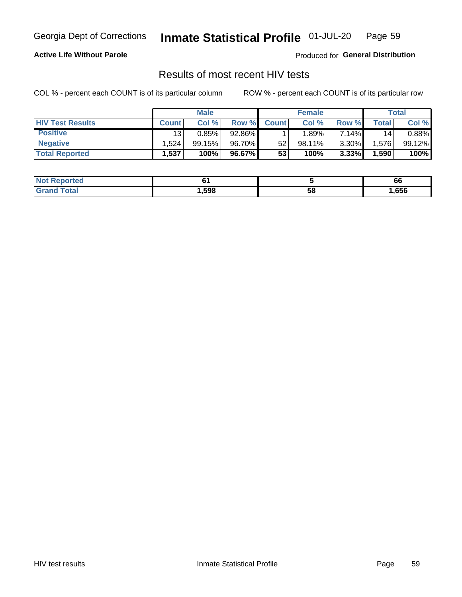#### Inmate Statistical Profile 01-JUL-20 Page 59

**Active Life Without Parole** 

Produced for General Distribution

## Results of most recent HIV tests

COL % - percent each COUNT is of its particular column

|                         | <b>Male</b>     |        |        | <b>Female</b> |         |          | Total |        |
|-------------------------|-----------------|--------|--------|---------------|---------|----------|-------|--------|
| <b>HIV Test Results</b> | <b>Count</b>    | Col %  | Row %I | <b>Count</b>  | Col %   | Row %    | Total | Col %  |
| <b>Positive</b>         | 13 <sub>1</sub> | 0.85%  | 92.86% |               | $.89\%$ | 7.14%    | 14    | 0.88%  |
| <b>Negative</b>         | .524            | 99.15% | 96.70% | 52            | 98.11%  | $3.30\%$ | .576  | 99.12% |
| <b>Total Reported</b>   | 1,537           | 100%   | 96.67% | 53            | 100%    | 3.33%    | 1,590 | 100%   |

| <b>Not Reported</b>    |        |    | 66   |
|------------------------|--------|----|------|
| <b>Total</b><br>∍Grori | 598, ا | 58 | ,656 |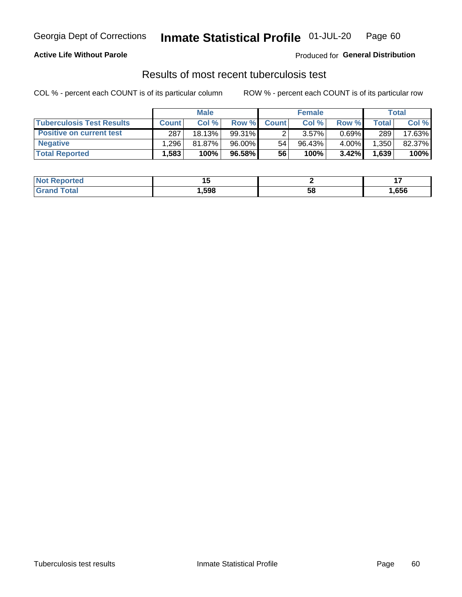## Georgia Dept of Corrections **Inmate Statistical Profile** 01-JUL-20 Page 60

### **Active Life Without Parole**

Produced for **General Distribution**

## Results of most recent tuberculosis test

|                                  | <b>Male</b>  |        |          | <b>Female</b> |           |          | Total        |        |
|----------------------------------|--------------|--------|----------|---------------|-----------|----------|--------------|--------|
| <b>Tuberculosis Test Results</b> | <b>Count</b> | Col%   | Row %I   | <b>Count</b>  | Col %     | Row %    | <b>Total</b> | Col %  |
| <b>Positive on current test</b>  | 287          | 18.13% | 99.31%   |               | 3.57%     | $0.69\%$ | 289          | 17.63% |
| <b>Negative</b>                  | .296         | 81.87% | 96.00%   | 54            | $96.43\%$ | 4.00%    | .350         | 82.37% |
| <b>Total Reported</b>            | .583         | 100%   | 96.58% I | 56            | 100%      | $3.42\%$ | 1,639        | 100%   |

| <b>Not Reported</b> |        |    | . .    |
|---------------------|--------|----|--------|
| <b>Total</b><br>Gr2 | 598. ا | Эō | 656, ا |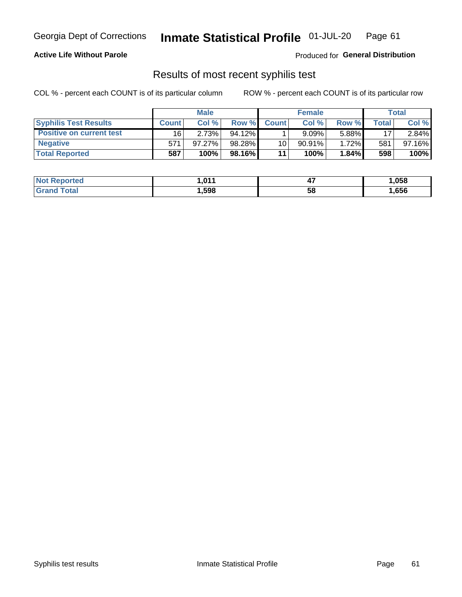## Georgia Dept of Corrections **Inmate Statistical Profile** 01-JUL-20 Page 61

### **Active Life Without Parole**

Produced for **General Distribution**

### Results of most recent syphilis test

|                                 |              | <b>Male</b> |           |                 | <b>Female</b> |       |       | Total  |
|---------------------------------|--------------|-------------|-----------|-----------------|---------------|-------|-------|--------|
| <b>Syphilis Test Results</b>    | <b>Count</b> | Col%        | Row %I    | <b>Count</b>    | Col%          | Row % | Total | Col %  |
| <b>Positive on current test</b> | 16           | 2.73%       | $94.12\%$ |                 | $9.09\%$      | 5.88% | 17    | 2.84%  |
| <b>Negative</b>                 | 571          | 97.27%      | 98.28%    | 10 <sub>1</sub> | $90.91\%$     | 1.72% | 581   | 97.16% |
| <b>Total Reported</b>           | 587          | 100%        | 98.16%I   | 11              | $100\%$       | 1.84% | 598   | 100%   |

| <b>Not Reported</b>          | 1.011 | . .<br>−. | 1,058 |
|------------------------------|-------|-----------|-------|
| <b>Total</b><br><b>Grand</b> | ,598  | 58        | ,656  |